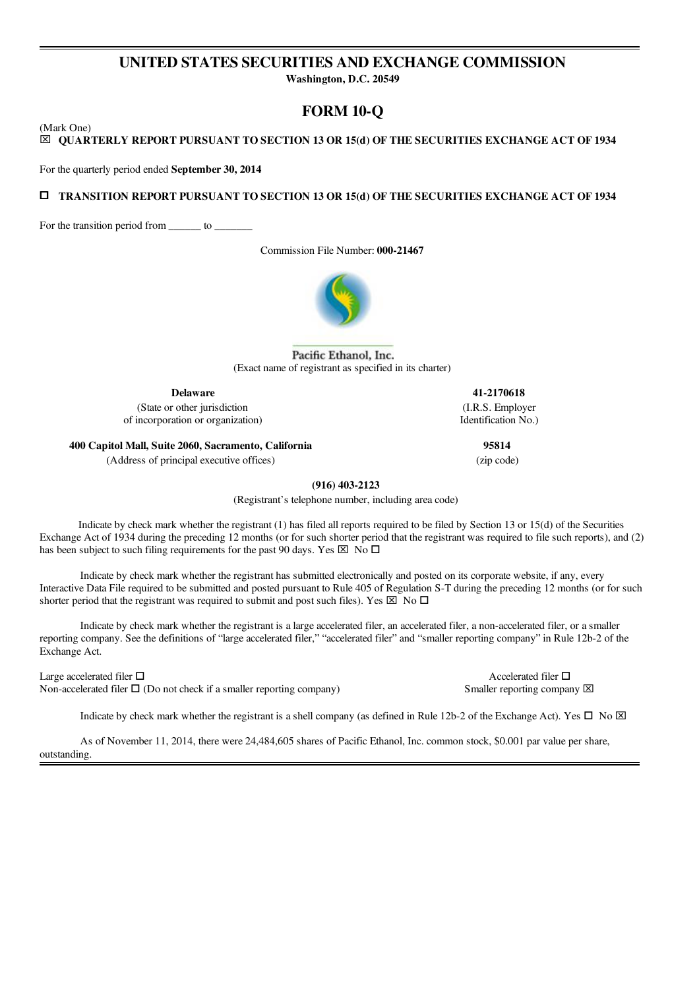# UNITED STATES SECURITIES AND EXCHANGE COMMISSION

Washington, D.C. 20549

# FORM 10-Q

(Mark One)

 $\boxtimes$  QUARTERLY REPORT PURSUANT TO SECTION 13 OR 15(d) OF THE SECURITIES EXCHANGE ACT OF 1934

For the quarterly period ended September 30, 2014

### o TRANSITION REPORT PURSUANT TO SECTION 13 OR 15(d) OF THE SECURITIES EXCHANGE ACT OF 1934

For the transition period from \_\_\_\_\_\_\_ to \_

Commission File Number: 000-21467



Pacific Ethanol, Inc. (Exact name of registrant as specified in its charter)

Delaware (State or other jurisdiction of incorporation or organization)

400 Capitol Mall, Suite 2060, Sacramento, California

(Address of principal executive offices)

(916) 403-2123

(Registrant's telephone number, including area code)

Indicate by check mark whether the registrant (1) has filed all reports required to be filed by Section 13 or 15(d) of the Securities Exchange Act of 1934 during the preceding 12 months (or for such shorter period that the registrant was required to file such reports), and (2) has been subject to such filing requirements for the past 90 days. Yes  $\boxtimes$  No  $\square$ 

Indicate by check mark whether the registrant has submitted electronically and posted on its corporate website, if any, every Interactive Data File required to be submitted and posted pursuant to Rule 405 of Regulation S-T during the preceding 12 months (or for such shorter period that the registrant was required to submit and post such files). Yes  $\boxtimes$  No  $\square$ 

Indicate by check mark whether the registrant is a large accelerated filer, an accelerated filer, a non-accelerated filer, or a smaller reporting company. See the definitions of "large accelerated filer," "accelerated filer" and "smaller reporting company" in Rule 12b-2 of the Exchange Act.

Large accelerated filer  $\Box$ 

Non-accelerated filer  $\square$  (Do not check if a smaller reporting company) Smaller reporting company  $\square$ 

Indicate by check mark whether the registrant is a shell company (as defined in Rule 12b-2 of the Exchange Act). Yes  $\Box$  No  $\boxtimes$ 

As of November 11, 2014, there were 24,484,605 shares of Pacific Ethanol, Inc. common stock, \$0.001 par value per share, outstanding.

41-2170618 (I.R.S. Employer Identification No.)

> 95814 (zip code)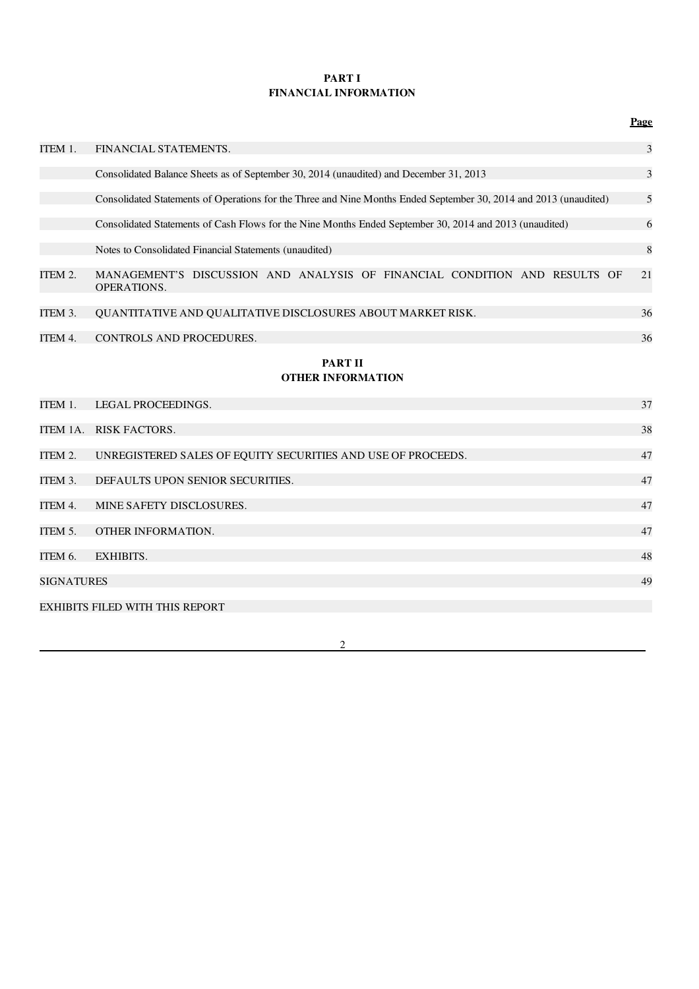## PART I FINANCIAL INFORMATION

|                                            |                                                                                                                   | Page |  |  |  |  |  |  |  |
|--------------------------------------------|-------------------------------------------------------------------------------------------------------------------|------|--|--|--|--|--|--|--|
| ITEM 1.                                    | FINANCIAL STATEMENTS.                                                                                             | 3    |  |  |  |  |  |  |  |
|                                            | Consolidated Balance Sheets as of September 30, 2014 (unaudited) and December 31, 2013                            | 3    |  |  |  |  |  |  |  |
|                                            | Consolidated Statements of Operations for the Three and Nine Months Ended September 30, 2014 and 2013 (unaudited) | 5    |  |  |  |  |  |  |  |
|                                            | Consolidated Statements of Cash Flows for the Nine Months Ended September 30, 2014 and 2013 (unaudited)           | 6    |  |  |  |  |  |  |  |
|                                            | Notes to Consolidated Financial Statements (unaudited)                                                            | 8    |  |  |  |  |  |  |  |
| ITEM 2.                                    | MANAGEMENT'S DISCUSSION AND ANALYSIS OF FINANCIAL CONDITION AND RESULTS OF<br>OPERATIONS.                         | 21   |  |  |  |  |  |  |  |
| ITEM 3.                                    | QUANTITATIVE AND QUALITATIVE DISCLOSURES ABOUT MARKET RISK.                                                       | 36   |  |  |  |  |  |  |  |
| ITEM 4.                                    | <b>CONTROLS AND PROCEDURES.</b>                                                                                   | 36   |  |  |  |  |  |  |  |
| <b>PART II</b><br><b>OTHER INFORMATION</b> |                                                                                                                   |      |  |  |  |  |  |  |  |
| ITEM 1.                                    | LEGAL PROCEEDINGS.                                                                                                | 37   |  |  |  |  |  |  |  |
| ITEM 1A.                                   | <b>RISK FACTORS.</b>                                                                                              | 38   |  |  |  |  |  |  |  |
| ITEM 2.                                    | UNREGISTERED SALES OF EQUITY SECURITIES AND USE OF PROCEEDS.                                                      | 47   |  |  |  |  |  |  |  |
| ITEM 3.                                    | DEFAULTS UPON SENIOR SECURITIES.                                                                                  | 47   |  |  |  |  |  |  |  |
| ITEM 4.                                    | MINE SAFETY DISCLOSURES.                                                                                          | 47   |  |  |  |  |  |  |  |
| ITEM 5.                                    | OTHER INFORMATION.                                                                                                | 47   |  |  |  |  |  |  |  |
| ITEM 6.                                    | <b>EXHIBITS.</b>                                                                                                  | 48   |  |  |  |  |  |  |  |
| <b>SIGNATURES</b>                          |                                                                                                                   | 49   |  |  |  |  |  |  |  |
|                                            | <b>EXHIBITS FILED WITH THIS REPORT</b>                                                                            |      |  |  |  |  |  |  |  |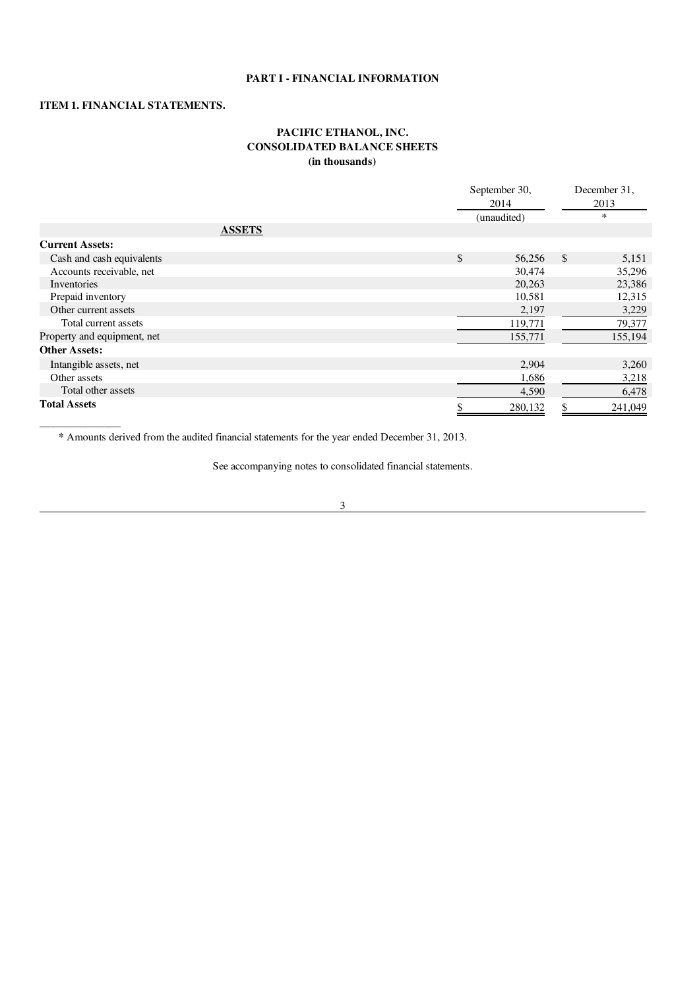## PART I - FINANCIAL INFORMATION

## ITEM 1. FINANCIAL STATEMENTS.

 $\overline{\phantom{a}}$  , we can also the contract of  $\overline{\phantom{a}}$ 

## PACIFIC ETHANOL, INC. CONSOLIDATED BALANCE SHEETS (in thousands)

|                             | September 30,<br>2014   | December 31,<br>2013   |
|-----------------------------|-------------------------|------------------------|
|                             | (unaudited)             | $\ast$                 |
| <b>ASSETS</b>               |                         |                        |
| <b>Current Assets:</b>      |                         |                        |
| Cash and cash equivalents   | $\mathcal{S}$<br>56,256 | 5,151<br>$\mathcal{S}$ |
| Accounts receivable, net    | 30,474                  | 35,296                 |
| Inventories                 | 20,263                  | 23,386                 |
| Prepaid inventory           | 10,581                  | 12,315                 |
| Other current assets        | 2,197                   | 3,229                  |
| Total current assets        | 119,771                 | 79,377                 |
| Property and equipment, net | 155,771                 | 155,194                |
| <b>Other Assets:</b>        |                         |                        |
| Intangible assets, net      | 2,904                   | 3,260                  |
| Other assets                | 1,686                   | 3,218                  |
| Total other assets          | 4,590                   | 6,478                  |
| <b>Total Assets</b>         | 280,132                 | 241,049                |

\* Amounts derived from the audited financial statements for the year ended December 31, 2013.

See accompanying notes to consolidated financial statements.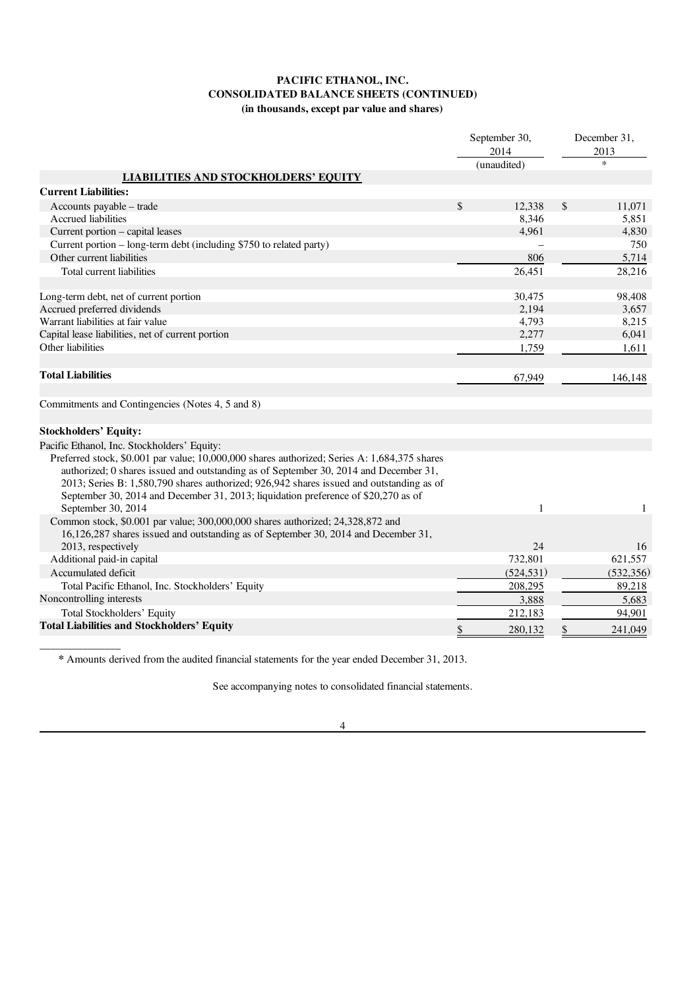## PACIFIC ETHANOL, INC. CONSOLIDATED BALANCE SHEETS (CONTINUED) (in thousands, except par value and shares)

|                                                                                                                                                                                                                                                                                                                                                                                               | September 30,<br>2014 | December 31,<br>2013 |
|-----------------------------------------------------------------------------------------------------------------------------------------------------------------------------------------------------------------------------------------------------------------------------------------------------------------------------------------------------------------------------------------------|-----------------------|----------------------|
|                                                                                                                                                                                                                                                                                                                                                                                               | (unaudited)           | $\ast$               |
| <b>LIABILITIES AND STOCKHOLDERS' EQUITY</b>                                                                                                                                                                                                                                                                                                                                                   |                       |                      |
| <b>Current Liabilities:</b>                                                                                                                                                                                                                                                                                                                                                                   |                       |                      |
| Accounts payable – trade                                                                                                                                                                                                                                                                                                                                                                      | \$<br>12,338          | \$<br>11,071         |
| Accrued liabilities                                                                                                                                                                                                                                                                                                                                                                           | 8,346                 | 5.851                |
| Current portion - capital leases                                                                                                                                                                                                                                                                                                                                                              | 4,961                 | 4,830                |
| Current portion - long-term debt (including \$750 to related party)                                                                                                                                                                                                                                                                                                                           |                       | 750                  |
| Other current liabilities                                                                                                                                                                                                                                                                                                                                                                     | 806                   | 5,714                |
| Total current liabilities                                                                                                                                                                                                                                                                                                                                                                     | 26,451                | 28,216               |
| Long-term debt, net of current portion                                                                                                                                                                                                                                                                                                                                                        | 30,475                | 98,408               |
| Accrued preferred dividends                                                                                                                                                                                                                                                                                                                                                                   | 2,194                 | 3,657                |
| Warrant liabilities at fair value                                                                                                                                                                                                                                                                                                                                                             | 4,793                 | 8,215                |
| Capital lease liabilities, net of current portion                                                                                                                                                                                                                                                                                                                                             | 2,277                 | 6,041                |
| Other liabilities                                                                                                                                                                                                                                                                                                                                                                             | 1,759                 | 1,611                |
| <b>Total Liabilities</b>                                                                                                                                                                                                                                                                                                                                                                      | 67,949                | 146,148              |
| Commitments and Contingencies (Notes 4, 5 and 8)                                                                                                                                                                                                                                                                                                                                              |                       |                      |
| <b>Stockholders' Equity:</b>                                                                                                                                                                                                                                                                                                                                                                  |                       |                      |
| Pacific Ethanol, Inc. Stockholders' Equity:                                                                                                                                                                                                                                                                                                                                                   |                       |                      |
| Preferred stock, \$0.001 par value; 10,000,000 shares authorized; Series A: 1,684,375 shares<br>authorized; 0 shares issued and outstanding as of September 30, 2014 and December 31,<br>2013; Series B: 1,580,790 shares authorized; 926,942 shares issued and outstanding as of<br>September 30, 2014 and December 31, 2013; liquidation preference of \$20,270 as of<br>September 30, 2014 | 1                     | 1                    |
| Common stock, \$0.001 par value; 300,000,000 shares authorized; 24,328,872 and<br>16,126,287 shares issued and outstanding as of September 30, 2014 and December 31,                                                                                                                                                                                                                          |                       |                      |
| 2013, respectively                                                                                                                                                                                                                                                                                                                                                                            | 24                    | 16                   |
| Additional paid-in capital                                                                                                                                                                                                                                                                                                                                                                    | 732,801               | 621,557              |
| Accumulated deficit                                                                                                                                                                                                                                                                                                                                                                           | (524, 531)            | (532, 356)           |
| Total Pacific Ethanol, Inc. Stockholders' Equity                                                                                                                                                                                                                                                                                                                                              | 208,295               | 89,218               |
| Noncontrolling interests                                                                                                                                                                                                                                                                                                                                                                      | 3,888                 | 5,683                |
| Total Stockholders' Equity                                                                                                                                                                                                                                                                                                                                                                    | 212,183               | 94,901               |
| <b>Total Liabilities and Stockholders' Equity</b>                                                                                                                                                                                                                                                                                                                                             | \$<br>280,132         | \$<br>241,049        |
|                                                                                                                                                                                                                                                                                                                                                                                               |                       |                      |

\* Amounts derived from the audited financial statements for the year ended December 31, 2013.

See accompanying notes to consolidated financial statements.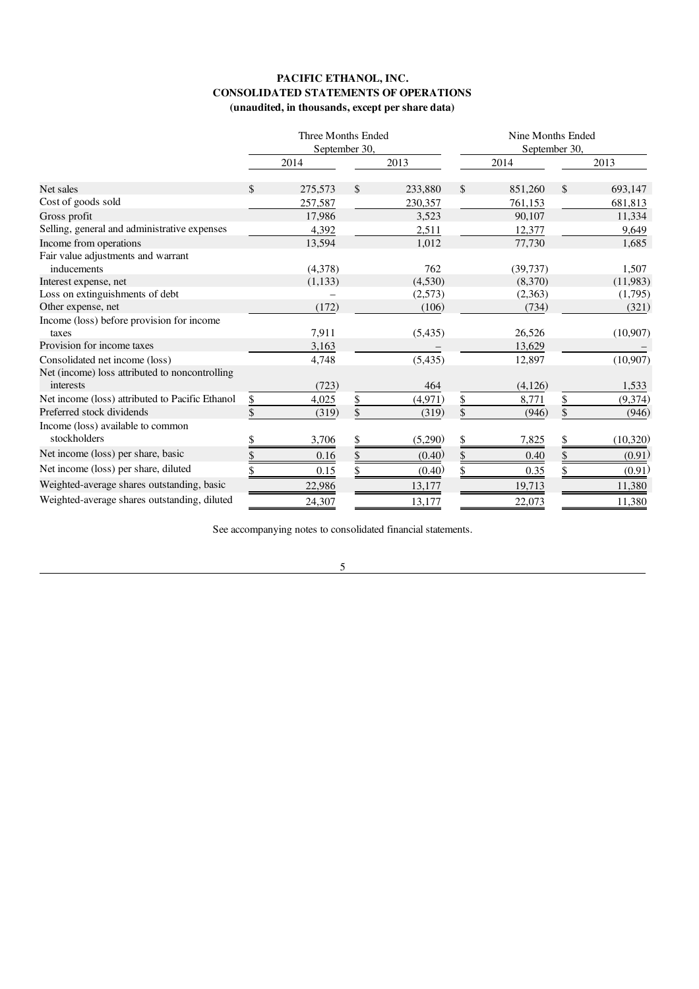## PACIFIC ETHANOL, INC. CONSOLIDATED STATEMENTS OF OPERATIONS (unaudited, in thousands, except per share data)

|                                                             | Three Months Ended<br>September 30, |          |    |          | Nine Months Ended<br>September 30, |           |    |           |
|-------------------------------------------------------------|-------------------------------------|----------|----|----------|------------------------------------|-----------|----|-----------|
|                                                             | 2014                                |          |    | 2013     | 2014                               |           |    | 2013      |
| Net sales                                                   | \$                                  | 275,573  | \$ | 233,880  | \$                                 | 851,260   | \$ | 693,147   |
| Cost of goods sold                                          |                                     | 257,587  |    | 230,357  |                                    | 761,153   |    | 681,813   |
| Gross profit                                                |                                     | 17,986   |    | 3,523    |                                    | 90,107    |    | 11,334    |
| Selling, general and administrative expenses                |                                     | 4,392    |    | 2,511    |                                    | 12,377    |    | 9,649     |
| Income from operations                                      |                                     | 13,594   |    | 1,012    |                                    | 77,730    |    | 1,685     |
| Fair value adjustments and warrant<br>inducements           |                                     | (4,378)  |    | 762      |                                    | (39, 737) |    | 1,507     |
| Interest expense, net                                       |                                     | (1, 133) |    | (4,530)  |                                    | (8,370)   |    | (11,983)  |
| Loss on extinguishments of debt                             |                                     |          |    | (2,573)  |                                    | (2,363)   |    | (1,795)   |
| Other expense, net                                          |                                     | (172)    |    | (106)    |                                    | (734)     |    | (321)     |
| Income (loss) before provision for income                   |                                     |          |    |          |                                    |           |    |           |
| taxes                                                       |                                     | 7,911    |    | (5,435)  |                                    | 26,526    |    | (10, 907) |
| Provision for income taxes                                  |                                     | 3,163    |    |          |                                    | 13,629    |    |           |
| Consolidated net income (loss)                              |                                     | 4,748    |    | (5, 435) |                                    | 12,897    |    | (10, 907) |
| Net (income) loss attributed to noncontrolling<br>interests |                                     | (723)    |    | 464      |                                    | (4,126)   |    | 1,533     |
| Net income (loss) attributed to Pacific Ethanol             | \$                                  | 4,025    | \$ | (4,971)  | \$                                 | 8,771     | \$ | (9,374)   |
| Preferred stock dividends                                   | \$                                  | (319)    | \$ | (319)    | \$                                 | (946)     | \$ | (946)     |
| Income (loss) available to common                           |                                     |          |    |          |                                    |           |    |           |
| stockholders                                                |                                     | 3,706    |    | (5,290)  | \$                                 | 7,825     | \$ | (10,320)  |
| Net income (loss) per share, basic                          | \$                                  | 0.16     | \$ | (0.40)   | \$                                 | 0.40      | \$ | (0.91)    |
| Net income (loss) per share, diluted                        |                                     | 0.15     |    | (0.40)   |                                    | 0.35      |    | (0.91)    |
| Weighted-average shares outstanding, basic                  |                                     | 22,986   |    | 13,177   |                                    | 19,713    |    | 11,380    |
| Weighted-average shares outstanding, diluted                |                                     | 24,307   |    | 13,177   |                                    | 22,073    |    | 11,380    |

See accompanying notes to consolidated financial statements.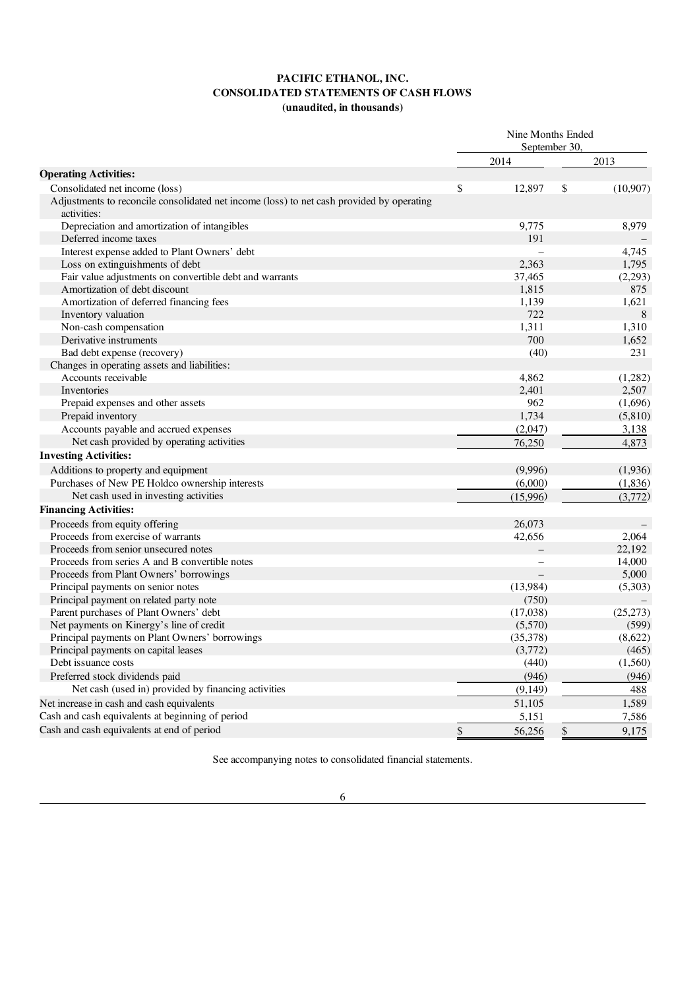## PACIFIC ETHANOL, INC. CONSOLIDATED STATEMENTS OF CASH FLOWS (unaudited, in thousands)

|                                                                                                          | Nine Months Ended<br>September 30, |                |
|----------------------------------------------------------------------------------------------------------|------------------------------------|----------------|
|                                                                                                          | 2014                               | 2013           |
| <b>Operating Activities:</b>                                                                             |                                    |                |
| Consolidated net income (loss)                                                                           | \$<br>12,897                       | \$<br>(10,907) |
| Adjustments to reconcile consolidated net income (loss) to net cash provided by operating<br>activities: |                                    |                |
| Depreciation and amortization of intangibles                                                             | 9,775                              | 8,979          |
| Deferred income taxes                                                                                    | 191                                |                |
| Interest expense added to Plant Owners' debt                                                             |                                    | 4,745          |
| Loss on extinguishments of debt                                                                          | 2,363                              | 1,795          |
| Fair value adjustments on convertible debt and warrants                                                  | 37,465                             | (2,293)        |
| Amortization of debt discount                                                                            | 1,815                              | 875            |
| Amortization of deferred financing fees                                                                  | 1,139                              | 1,621          |
| Inventory valuation                                                                                      | 722                                | 8              |
| Non-cash compensation                                                                                    | 1,311                              | 1,310          |
| Derivative instruments                                                                                   | 700                                | 1,652          |
| Bad debt expense (recovery)                                                                              | (40)                               | 231            |
| Changes in operating assets and liabilities:                                                             |                                    |                |
| Accounts receivable                                                                                      | 4,862                              | (1,282)        |
| Inventories                                                                                              | 2,401                              | 2,507          |
| Prepaid expenses and other assets                                                                        | 962                                | (1,696)        |
| Prepaid inventory                                                                                        | 1,734                              | (5, 810)       |
| Accounts payable and accrued expenses                                                                    | (2,047)                            | 3,138          |
| Net cash provided by operating activities                                                                | 76,250                             | 4,873          |
| <b>Investing Activities:</b>                                                                             |                                    |                |
| Additions to property and equipment                                                                      | (9,996)                            | (1,936)        |
| Purchases of New PE Holdco ownership interests                                                           | (6,000)                            | (1, 836)       |
| Net cash used in investing activities                                                                    | (15,996)                           | (3,772)        |
| <b>Financing Activities:</b>                                                                             |                                    |                |
| Proceeds from equity offering                                                                            | 26,073                             |                |
| Proceeds from exercise of warrants                                                                       | 42,656                             | 2,064          |
| Proceeds from senior unsecured notes                                                                     |                                    | 22,192         |
| Proceeds from series A and B convertible notes                                                           |                                    | 14,000         |
| Proceeds from Plant Owners' borrowings                                                                   |                                    | 5,000          |
| Principal payments on senior notes                                                                       | (13,984)                           | (5,303)        |
| Principal payment on related party note                                                                  | (750)                              |                |
| Parent purchases of Plant Owners' debt                                                                   | (17,038)                           | (25, 273)      |
| Net payments on Kinergy's line of credit                                                                 | (5,570)                            | (599)          |
| Principal payments on Plant Owners' borrowings                                                           | (35,378)                           | (8,622)        |
| Principal payments on capital leases                                                                     | (3,772)                            | (465)          |
| Debt issuance costs                                                                                      | (440)                              | (1,560)        |
| Preferred stock dividends paid                                                                           | (946)                              | (946)          |
| Net cash (used in) provided by financing activities                                                      | (9,149)                            | 488            |
| Net increase in cash and cash equivalents                                                                | 51,105                             | 1,589          |
| Cash and cash equivalents at beginning of period                                                         | 5,151                              | 7,586          |
| Cash and cash equivalents at end of period                                                               | \$<br>56,256                       | \$<br>9,175    |

See accompanying notes to consolidated financial statements.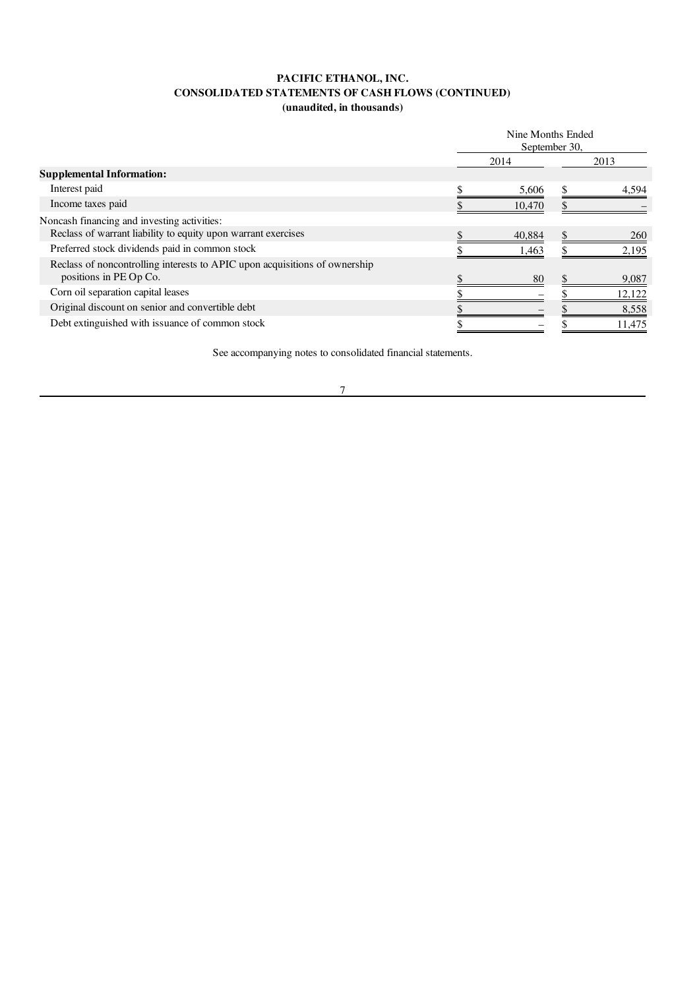## PACIFIC ETHANOL, INC. CONSOLIDATED STATEMENTS OF CASH FLOWS (CONTINUED) (unaudited, in thousands)

|                                                                            | Nine Months Ended<br>September 30, |        |  |        |  |
|----------------------------------------------------------------------------|------------------------------------|--------|--|--------|--|
|                                                                            | 2014                               |        |  | 2013   |  |
| <b>Supplemental Information:</b>                                           |                                    |        |  |        |  |
| Interest paid                                                              |                                    | 5,606  |  | 4.594  |  |
| Income taxes paid                                                          |                                    | 10.470 |  |        |  |
| Noncash financing and investing activities:                                |                                    |        |  |        |  |
| Reclass of warrant liability to equity upon warrant exercises              |                                    | 40,884 |  | 260    |  |
| Preferred stock dividends paid in common stock                             |                                    | .463   |  | 2.195  |  |
| Reclass of noncontrolling interests to APIC upon acquisitions of ownership |                                    |        |  |        |  |
| positions in PE Op Co.                                                     |                                    | 80     |  | 9,087  |  |
| Corn oil separation capital leases                                         |                                    |        |  | 12.122 |  |
| Original discount on senior and convertible debt                           |                                    |        |  | 8,558  |  |
| Debt extinguished with issuance of common stock                            |                                    |        |  | 11,475 |  |

See accompanying notes to consolidated financial statements.

7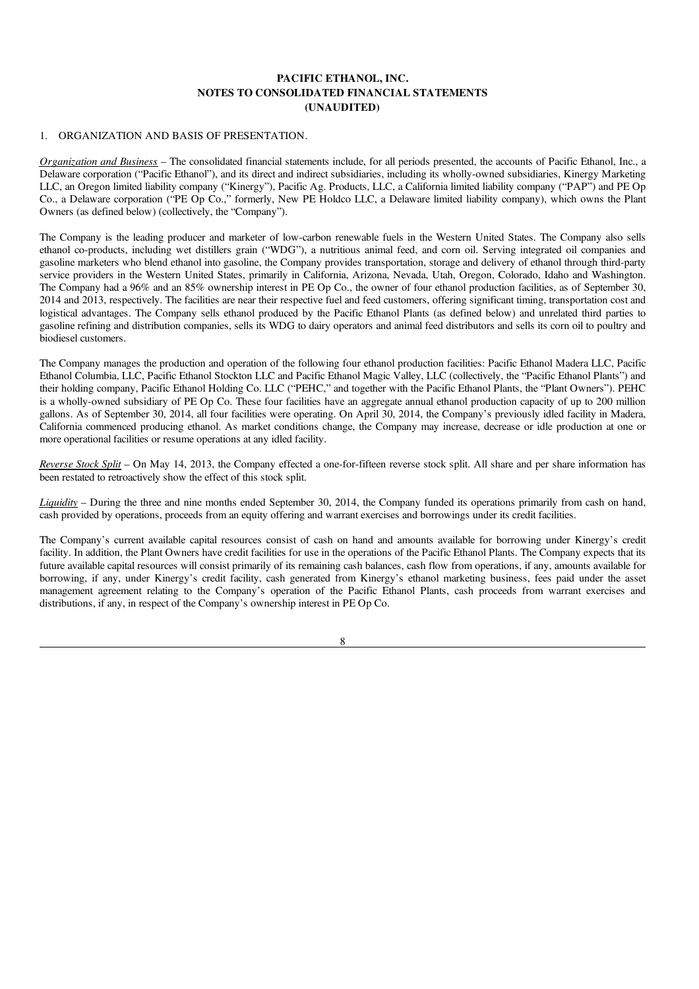## PACIFIC ETHANOL, INC. NOTES TO CONSOLIDATED FINANCIAL STATEMENTS (UNAUDITED)

## 1. ORGANIZATION AND BASIS OF PRESENTATION.

*Organization and Business* – The consolidated financial statements include, for all periods presented, the accounts of Pacific Ethanol, Inc., a Delaware corporation ("Pacific Ethanol"), and its direct and indirect subsidiaries, including its wholly-owned subsidiaries, Kinergy Marketing LLC, an Oregon limited liability company ("Kinergy"), Pacific Ag. Products, LLC, a California limited liability company ("PAP") and PE Op Co., a Delaware corporation ("PE Op Co.," formerly, New PE Holdco LLC, a Delaware limited liability company), which owns the Plant Owners (as defined below) (collectively, the "Company").

The Company is the leading producer and marketer of low-carbon renewable fuels in the Western United States. The Company also sells ethanol co-products, including wet distillers grain ("WDG"), a nutritious animal feed, and corn oil. Serving integrated oil companies and gasoline marketers who blend ethanol into gasoline, the Company provides transportation, storage and delivery of ethanol through third-party service providers in the Western United States, primarily in California, Arizona, Nevada, Utah, Oregon, Colorado, Idaho and Washington. The Company had a 96% and an 85% ownership interest in PE Op Co., the owner of four ethanol production facilities, as of September 30, 2014 and 2013, respectively. The facilities are near their respective fuel and feed customers, offering significant timing, transportation cost and logistical advantages. The Company sells ethanol produced by the Pacific Ethanol Plants (as defined below) and unrelated third parties to gasoline refining and distribution companies, sells its WDG to dairy operators and animal feed distributors and sells its corn oil to poultry and biodiesel customers.

The Company manages the production and operation of the following four ethanol production facilities: Pacific Ethanol Madera LLC, Pacific Ethanol Columbia, LLC, Pacific Ethanol Stockton LLC and Pacific Ethanol Magic Valley, LLC (collectively, the "Pacific Ethanol Plants") and their holding company, Pacific Ethanol Holding Co. LLC ("PEHC," and together with the Pacific Ethanol Plants, the "Plant Owners"). PEHC is a wholly-owned subsidiary of PE Op Co. These four facilities have an aggregate annual ethanol production capacity of up to 200 million gallons. As of September 30, 2014, all four facilities were operating. On April 30, 2014, the Company's previously idled facility in Madera, California commenced producing ethanol. As market conditions change, the Company may increase, decrease or idle production at one or more operational facilities or resume operations at any idled facility.

*Reverse Stock Split* – On May 14, 2013, the Company effected a one-for-fifteen reverse stock split. All share and per share information has been restated to retroactively show the effect of this stock split.

*Liquidity* – During the three and nine months ended September 30, 2014, the Company funded its operations primarily from cash on hand, cash provided by operations, proceeds from an equity offering and warrant exercises and borrowings under its credit facilities.

The Company's current available capital resources consist of cash on hand and amounts available for borrowing under Kinergy's credit facility. In addition, the Plant Owners have credit facilities for use in the operations of the Pacific Ethanol Plants. The Company expects that its future available capital resources will consist primarily of its remaining cash balances, cash flow from operations, if any, amounts available for borrowing, if any, under Kinergy's credit facility, cash generated from Kinergy's ethanol marketing business, fees paid under the asset management agreement relating to the Company's operation of the Pacific Ethanol Plants, cash proceeds from warrant exercises and distributions, if any, in respect of the Company's ownership interest in PE Op Co.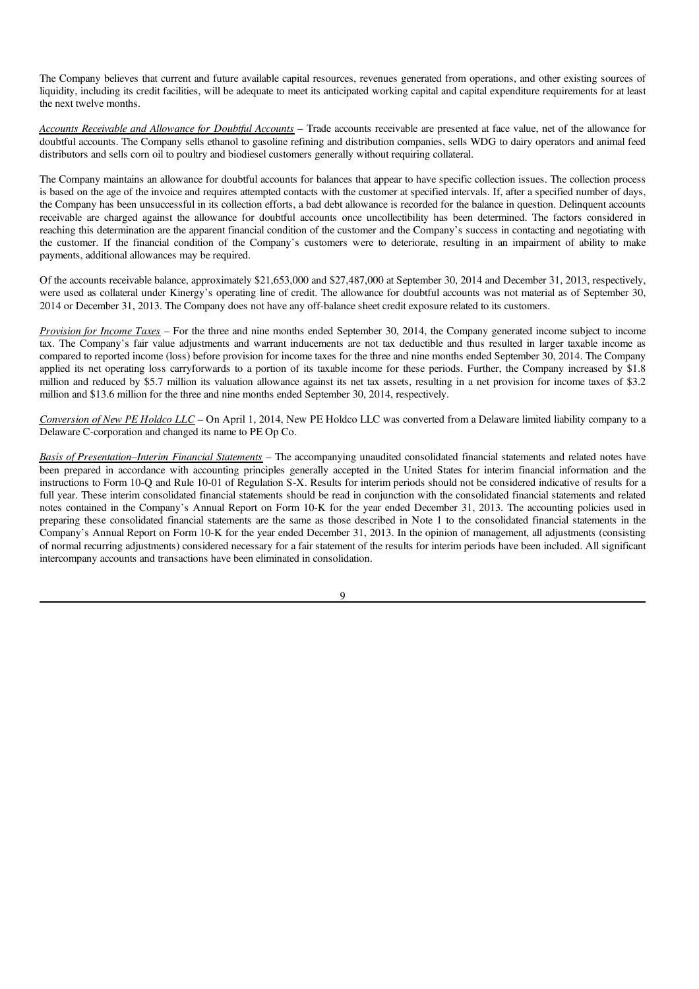The Company believes that current and future available capital resources, revenues generated from operations, and other existing sources of liquidity, including its credit facilities, will be adequate to meet its anticipated working capital and capital expenditure requirements for at least the next twelve months.

*Accounts Receivable and Allowance for Doubtful Accounts* – Trade accounts receivable are presented at face value, net of the allowance for doubtful accounts. The Company sells ethanol to gasoline refining and distribution companies, sells WDG to dairy operators and animal feed distributors and sells corn oil to poultry and biodiesel customers generally without requiring collateral.

The Company maintains an allowance for doubtful accounts for balances that appear to have specific collection issues. The collection process is based on the age of the invoice and requires attempted contacts with the customer at specified intervals. If, after a specified number of days, the Company has been unsuccessful in its collection efforts, a bad debt allowance is recorded for the balance in question. Delinquent accounts receivable are charged against the allowance for doubtful accounts once uncollectibility has been determined. The factors considered in reaching this determination are the apparent financial condition of the customer and the Company's success in contacting and negotiating with the customer. If the financial condition of the Company's customers were to deteriorate, resulting in an impairment of ability to make payments, additional allowances may be required.

Of the accounts receivable balance, approximately \$21,653,000 and \$27,487,000 at September 30, 2014 and December 31, 2013, respectively, were used as collateral under Kinergy's operating line of credit. The allowance for doubtful accounts was not material as of September 30, 2014 or December 31, 2013. The Company does not have any off-balance sheet credit exposure related to its customers.

*Provision for Income Taxes* – For the three and nine months ended September 30, 2014, the Company generated income subject to income tax. The Company's fair value adjustments and warrant inducements are not tax deductible and thus resulted in larger taxable income as compared to reported income (loss) before provision for income taxes for the three and nine months ended September 30, 2014. The Company applied its net operating loss carryforwards to a portion of its taxable income for these periods. Further, the Company increased by \$1.8 million and reduced by \$5.7 million its valuation allowance against its net tax assets, resulting in a net provision for income taxes of \$3.2 million and \$13.6 million for the three and nine months ended September 30, 2014, respectively.

*Conversion of New PE Holdco LLC* – On April 1, 2014, New PE Holdco LLC was converted from a Delaware limited liability company to a Delaware C-corporation and changed its name to PE Op Co.

*Basis of Presentation*–*Interim Financial Statements* – The accompanying unaudited consolidated financial statements and related notes have been prepared in accordance with accounting principles generally accepted in the United States for interim financial information and the instructions to Form 10-Q and Rule 10-01 of Regulation S-X. Results for interim periods should not be considered indicative of results for a full year. These interim consolidated financial statements should be read in conjunction with the consolidated financial statements and related notes contained in the Company's Annual Report on Form 10-K for the year ended December 31, 2013. The accounting policies used in preparing these consolidated financial statements are the same as those described in Note 1 to the consolidated financial statements in the Company's Annual Report on Form 10-K for the year ended December 31, 2013. In the opinion of management, all adjustments (consisting of normal recurring adjustments) considered necessary for a fair statement of the results for interim periods have been included. All significant intercompany accounts and transactions have been eliminated in consolidation.

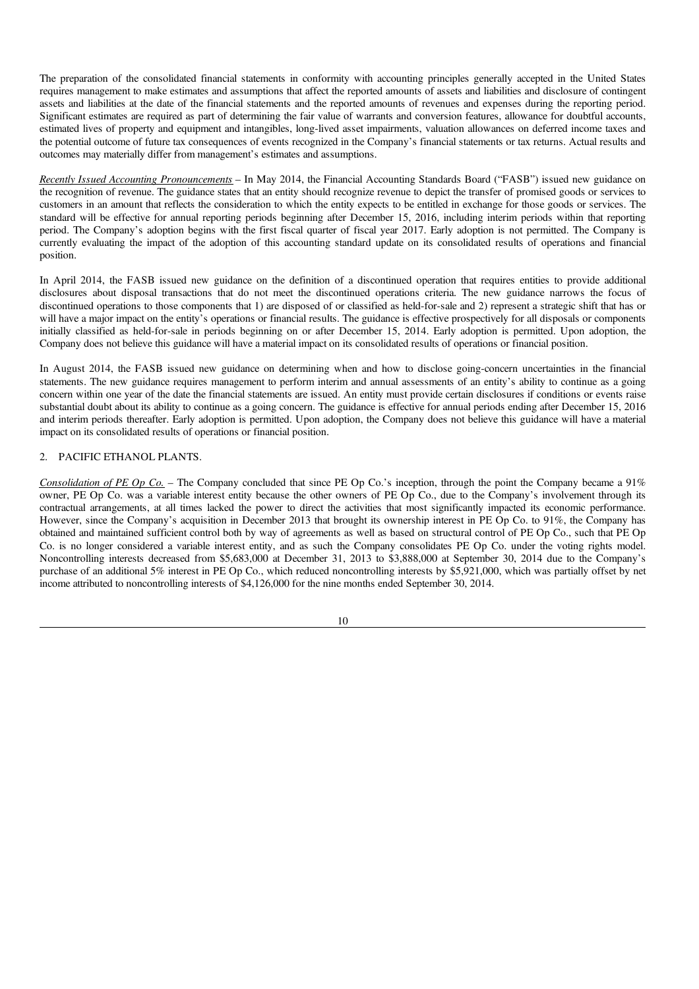The preparation of the consolidated financial statements in conformity with accounting principles generally accepted in the United States requires management to make estimates and assumptions that affect the reported amounts of assets and liabilities and disclosure of contingent assets and liabilities at the date of the financial statements and the reported amounts of revenues and expenses during the reporting period. Significant estimates are required as part of determining the fair value of warrants and conversion features, allowance for doubtful accounts, estimated lives of property and equipment and intangibles, long-lived asset impairments, valuation allowances on deferred income taxes and the potential outcome of future tax consequences of events recognized in the Company's financial statements or tax returns. Actual results and outcomes may materially differ from management's estimates and assumptions.

*Recently Issued Accounting Pronouncements* – In May 2014, the Financial Accounting Standards Board ("FASB") issued new guidance on the recognition of revenue. The guidance states that an entity should recognize revenue to depict the transfer of promised goods or services to customers in an amount that reflects the consideration to which the entity expects to be entitled in exchange for those goods or services. The standard will be effective for annual reporting periods beginning after December 15, 2016, including interim periods within that reporting period. The Company's adoption begins with the first fiscal quarter of fiscal year 2017. Early adoption is not permitted. The Company is currently evaluating the impact of the adoption of this accounting standard update on its consolidated results of operations and financial position.

In April 2014, the FASB issued new guidance on the definition of a discontinued operation that requires entities to provide additional disclosures about disposal transactions that do not meet the discontinued operations criteria. The new guidance narrows the focus of discontinued operations to those components that 1) are disposed of or classified as held-for-sale and 2) represent a strategic shift that has or will have a major impact on the entity's operations or financial results. The guidance is effective prospectively for all disposals or components initially classified as held-for-sale in periods beginning on or after December 15, 2014. Early adoption is permitted. Upon adoption, the Company does not believe this guidance will have a material impact on its consolidated results of operations or financial position.

In August 2014, the FASB issued new guidance on determining when and how to disclose going-concern uncertainties in the financial statements. The new guidance requires management to perform interim and annual assessments of an entity's ability to continue as a going concern within one year of the date the financial statements are issued. An entity must provide certain disclosures if conditions or events raise substantial doubt about its ability to continue as a going concern. The guidance is effective for annual periods ending after December 15, 2016 and interim periods thereafter. Early adoption is permitted. Upon adoption, the Company does not believe this guidance will have a material impact on its consolidated results of operations or financial position.

## 2. PACIFIC ETHANOL PLANTS.

*Consolidation of PE Op Co.* – The Company concluded that since PE Op Co.'s inception, through the point the Company became a 91% owner, PE Op Co. was a variable interest entity because the other owners of PE Op Co., due to the Company's involvement through its contractual arrangements, at all times lacked the power to direct the activities that most significantly impacted its economic performance. However, since the Company's acquisition in December 2013 that brought its ownership interest in PE Op Co. to 91%, the Company has obtained and maintained sufficient control both by way of agreements as well as based on structural control of PE Op Co., such that PE Op Co. is no longer considered a variable interest entity, and as such the Company consolidates PE Op Co. under the voting rights model. Noncontrolling interests decreased from \$5,683,000 at December 31, 2013 to \$3,888,000 at September 30, 2014 due to the Company's purchase of an additional 5% interest in PE Op Co., which reduced noncontrolling interests by \$5,921,000, which was partially offset by net income attributed to noncontrolling interests of \$4,126,000 for the nine months ended September 30, 2014.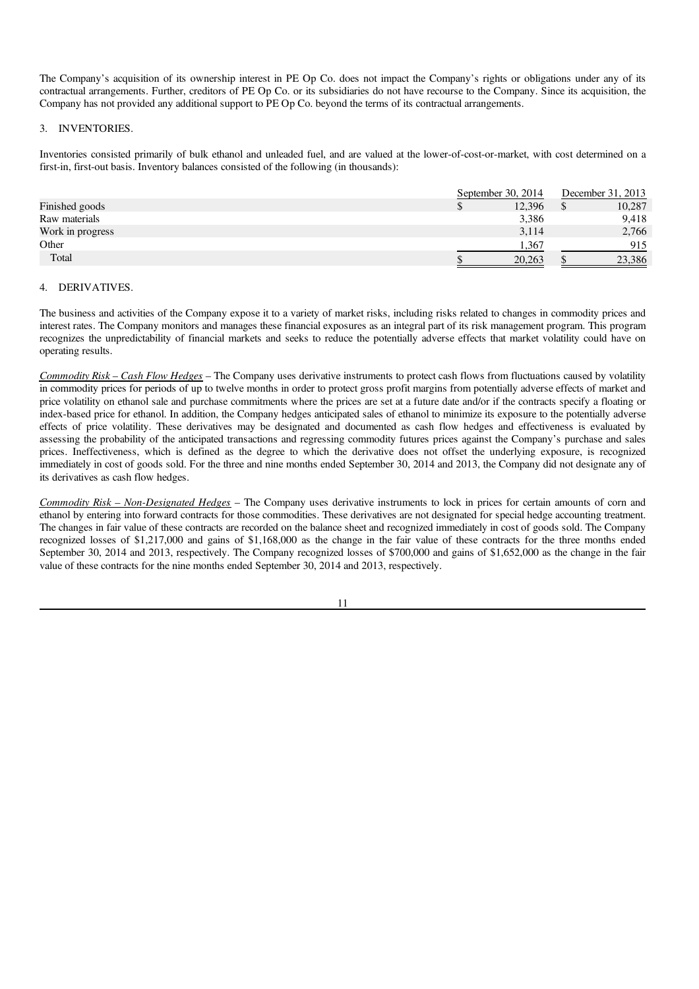The Company's acquisition of its ownership interest in PE Op Co. does not impact the Company's rights or obligations under any of its contractual arrangements. Further, creditors of PE Op Co. or its subsidiaries do not have recourse to the Company. Since its acquisition, the Company has not provided any additional support to PE Op Co. beyond the terms of its contractual arrangements.

#### 3. INVENTORIES.

Inventories consisted primarily of bulk ethanol and unleaded fuel, and are valued at the lower-of-cost-or-market, with cost determined on a first-in, first-out basis. Inventory balances consisted of the following (in thousands):

|                  | September 30, 2014 | December 31, 2013 |  |  |
|------------------|--------------------|-------------------|--|--|
| Finished goods   | 12,396             | 10,287<br>e       |  |  |
| Raw materials    | 3,386              | 9,418             |  |  |
| Work in progress | 3,114              | 2,766             |  |  |
| Other            | 1.367              | 915               |  |  |
| Total            | 20.263             | 23,386            |  |  |

#### 4. DERIVATIVES.

The business and activities of the Company expose it to a variety of market risks, including risks related to changes in commodity prices and interest rates. The Company monitors and manages these financial exposures as an integral part of its risk management program. This program recognizes the unpredictability of financial markets and seeks to reduce the potentially adverse effects that market volatility could have on operating results.

*Commodity Risk* – *Cash Flow Hedges* – The Company uses derivative instruments to protect cash flows from fluctuations caused by volatility in commodity prices for periods of up to twelve months in order to protect gross profit margins from potentially adverse effects of market and price volatility on ethanol sale and purchase commitments where the prices are set at a future date and/or if the contracts specify a floating or index-based price for ethanol. In addition, the Company hedges anticipated sales of ethanol to minimize its exposure to the potentially adverse effects of price volatility. These derivatives may be designated and documented as cash flow hedges and effectiveness is evaluated by assessing the probability of the anticipated transactions and regressing commodity futures prices against the Company's purchase and sales prices. Ineffectiveness, which is defined as the degree to which the derivative does not offset the underlying exposure, is recognized immediately in cost of goods sold. For the three and nine months ended September 30, 2014 and 2013, the Company did not designate any of its derivatives as cash flow hedges.

*Commodity Risk – Non-Designated Hedges* – The Company uses derivative instruments to lock in prices for certain amounts of corn and ethanol by entering into forward contracts for those commodities. These derivatives are not designated for special hedge accounting treatment. The changes in fair value of these contracts are recorded on the balance sheet and recognized immediately in cost of goods sold. The Company recognized losses of \$1,217,000 and gains of \$1,168,000 as the change in the fair value of these contracts for the three months ended September 30, 2014 and 2013, respectively. The Company recognized losses of \$700,000 and gains of \$1,652,000 as the change in the fair value of these contracts for the nine months ended September 30, 2014 and 2013, respectively.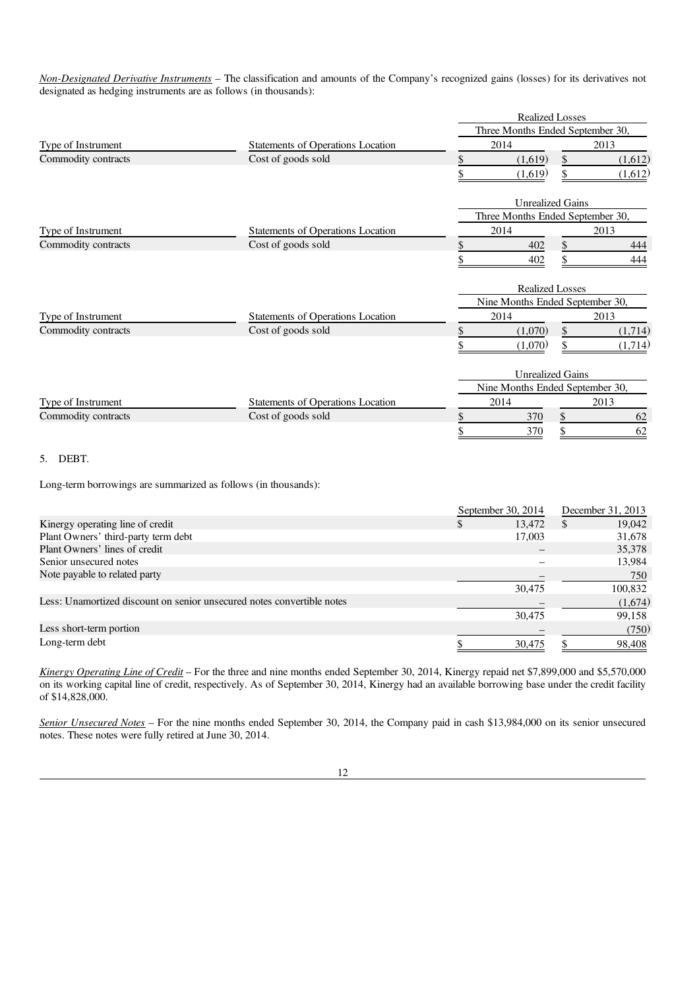*Non-Designated Derivative Instruments* – The classification and amounts of the Company's recognized gains (losses) for its derivatives not designated as hedging instruments are as follows (in thousands):

|                     |                                   |                                 | <b>Realized Losses</b>           |      |         |  |  |
|---------------------|-----------------------------------|---------------------------------|----------------------------------|------|---------|--|--|
|                     |                                   |                                 | Three Months Ended September 30, |      |         |  |  |
| Type of Instrument  | Statements of Operations Location |                                 | 2014                             | 2013 |         |  |  |
| Commodity contracts | Cost of goods sold                |                                 | (1,619)                          | \$   | (1,612) |  |  |
|                     |                                   |                                 | (1,619)                          | S    | (1,612) |  |  |
|                     |                                   |                                 | <b>Unrealized Gains</b>          |      |         |  |  |
|                     |                                   |                                 | Three Months Ended September 30, |      |         |  |  |
| Type of Instrument  | Statements of Operations Location |                                 | 2014                             |      | 2013    |  |  |
| Commodity contracts | Cost of goods sold                |                                 | 402                              | S    | 444     |  |  |
|                     |                                   |                                 | 402                              |      | 444     |  |  |
|                     |                                   |                                 | <b>Realized Losses</b>           |      |         |  |  |
|                     |                                   |                                 | Nine Months Ended September 30,  |      |         |  |  |
| Type of Instrument  | Statements of Operations Location |                                 | 2014                             |      | 2013    |  |  |
| Commodity contracts | Cost of goods sold                |                                 | (1,070)                          | \$   | (1,714) |  |  |
|                     |                                   |                                 | (1,070)                          |      | (1,714) |  |  |
|                     |                                   | <b>Unrealized Gains</b>         |                                  |      |         |  |  |
|                     |                                   | Nine Months Ended September 30, |                                  |      |         |  |  |
| Type of Instrument  | Statements of Operations Location |                                 | 2014                             |      | 2013    |  |  |
| Commodity contracts | Cost of goods sold                |                                 | 370                              | \$   | 62      |  |  |
|                     |                                   |                                 | 370                              | \$   | 62      |  |  |

## 5. DEBT.

Long-term borrowings are summarized as follows (in thousands):

|                                                                        | September 30, 2014 |        |    | December 31, 2013 |  |
|------------------------------------------------------------------------|--------------------|--------|----|-------------------|--|
| Kinergy operating line of credit                                       |                    | 13.472 | \$ | 19,042            |  |
| Plant Owners' third-party term debt                                    |                    | 17,003 |    | 31,678            |  |
| Plant Owners' lines of credit                                          |                    |        |    | 35,378            |  |
| Senior unsecured notes                                                 |                    |        |    | 13,984            |  |
| Note payable to related party                                          |                    |        |    | 750               |  |
|                                                                        |                    | 30,475 |    | 100,832           |  |
| Less: Unamortized discount on senior unsecured notes convertible notes |                    |        |    | (1,674)           |  |
|                                                                        |                    | 30,475 |    | 99,158            |  |
| Less short-term portion                                                |                    |        |    | (750)             |  |
| Long-term debt                                                         |                    | 30.475 |    | 98,408            |  |

*Kinergy Operating Line of Credit* – For the three and nine months ended September 30, 2014, Kinergy repaid net \$7,899,000 and \$5,570,000 on its working capital line of credit, respectively. As of September 30, 2014, Kinergy had an available borrowing base under the credit facility of \$14,828,000.

*Senior Unsecured Notes* – For the nine months ended September 30, 2014, the Company paid in cash \$13,984,000 on its senior unsecured notes. These notes were fully retired at June 30, 2014.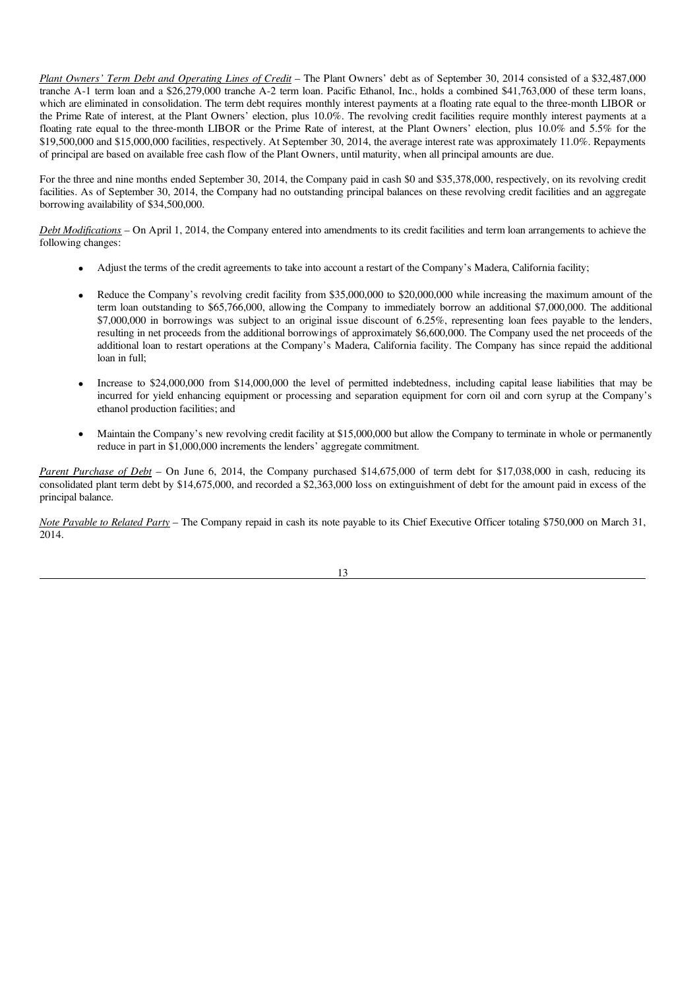*Plant Owners' Term Debt and Operating Lines of Credit* – The Plant Owners' debt as of September 30, 2014 consisted of a \$32,487,000 tranche A-1 term loan and a \$26,279,000 tranche A-2 term loan. Pacific Ethanol, Inc., holds a combined \$41,763,000 of these term loans, which are eliminated in consolidation. The term debt requires monthly interest payments at a floating rate equal to the three-month LIBOR or the Prime Rate of interest, at the Plant Owners' election, plus 10.0%. The revolving credit facilities require monthly interest payments at a floating rate equal to the three-month LIBOR or the Prime Rate of interest, at the Plant Owners' election, plus 10.0% and 5.5% for the \$19,500,000 and \$15,000,000 facilities, respectively. At September 30, 2014, the average interest rate was approximately 11.0%. Repayments of principal are based on available free cash flow of the Plant Owners, until maturity, when all principal amounts are due.

For the three and nine months ended September 30, 2014, the Company paid in cash \$0 and \$35,378,000, respectively, on its revolving credit facilities. As of September 30, 2014, the Company had no outstanding principal balances on these revolving credit facilities and an aggregate borrowing availability of \$34,500,000.

*Debt Modifications* – On April 1, 2014, the Company entered into amendments to its credit facilities and term loan arrangements to achieve the following changes:

- Adjust the terms of the credit agreements to take into account a restart of the Company's Madera, California facility;
- Reduce the Company's revolving credit facility from \$35,000,000 to \$20,000,000 while increasing the maximum amount of the term loan outstanding to \$65,766,000, allowing the Company to immediately borrow an additional \$7,000,000. The additional \$7,000,000 in borrowings was subject to an original issue discount of 6.25%, representing loan fees payable to the lenders, resulting in net proceeds from the additional borrowings of approximately \$6,600,000. The Company used the net proceeds of the additional loan to restart operations at the Company's Madera, California facility. The Company has since repaid the additional loan in full;
- Increase to \$24,000,000 from \$14,000,000 the level of permitted indebtedness, including capital lease liabilities that may be incurred for yield enhancing equipment or processing and separation equipment for corn oil and corn syrup at the Company's ethanol production facilities; and
- Maintain the Company's new revolving credit facility at \$15,000,000 but allow the Company to terminate in whole or permanently reduce in part in \$1,000,000 increments the lenders' aggregate commitment.

*Parent Purchase of Debt* – On June 6, 2014, the Company purchased \$14,675,000 of term debt for \$17,038,000 in cash, reducing its consolidated plant term debt by \$14,675,000, and recorded a \$2,363,000 loss on extinguishment of debt for the amount paid in excess of the principal balance.

*Note Payable to Related Party* – The Company repaid in cash its note payable to its Chief Executive Officer totaling \$750,000 on March 31, 2014.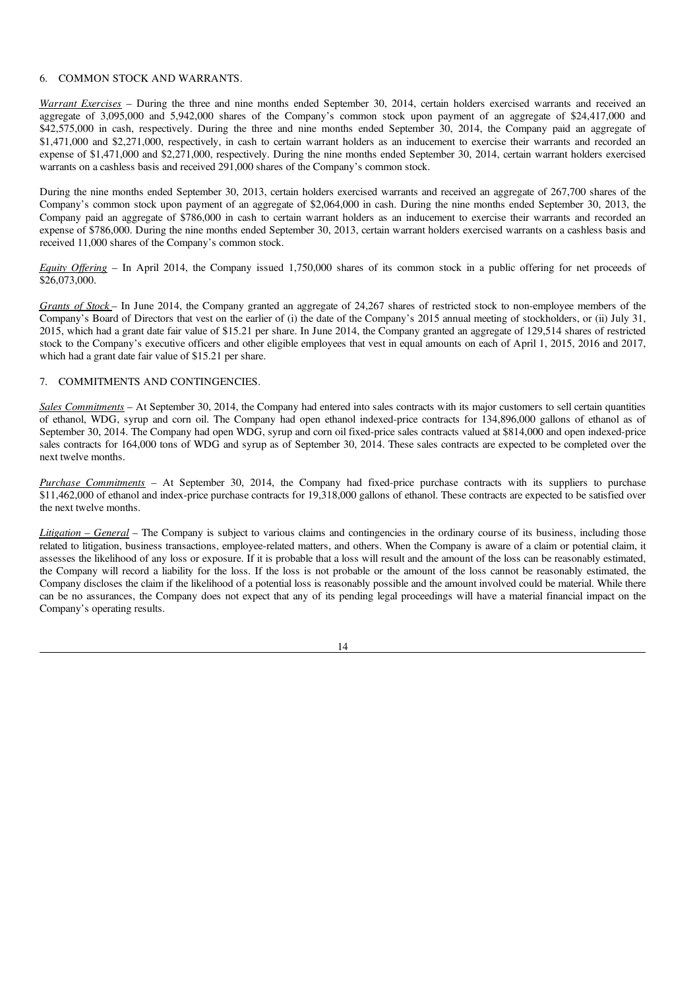## 6. COMMON STOCK AND WARRANTS.

*Warrant Exercises* – During the three and nine months ended September 30, 2014, certain holders exercised warrants and received an aggregate of 3,095,000 and 5,942,000 shares of the Company's common stock upon payment of an aggregate of \$24,417,000 and \$42,575,000 in cash, respectively. During the three and nine months ended September 30, 2014, the Company paid an aggregate of \$1,471,000 and \$2,271,000, respectively, in cash to certain warrant holders as an inducement to exercise their warrants and recorded an expense of \$1,471,000 and \$2,271,000, respectively. During the nine months ended September 30, 2014, certain warrant holders exercised warrants on a cashless basis and received 291,000 shares of the Company's common stock.

During the nine months ended September 30, 2013, certain holders exercised warrants and received an aggregate of 267,700 shares of the Company's common stock upon payment of an aggregate of \$2,064,000 in cash. During the nine months ended September 30, 2013, the Company paid an aggregate of \$786,000 in cash to certain warrant holders as an inducement to exercise their warrants and recorded an expense of \$786,000. During the nine months ended September 30, 2013, certain warrant holders exercised warrants on a cashless basis and received 11,000 shares of the Company's common stock.

*Equity Offering* – In April 2014, the Company issued 1,750,000 shares of its common stock in a public offering for net proceeds of \$26,073,000.

*Grants of Stock* – In June 2014, the Company granted an aggregate of 24,267 shares of restricted stock to non-employee members of the Company's Board of Directors that vest on the earlier of (i) the date of the Company's 2015 annual meeting of stockholders, or (ii) July 31, 2015, which had a grant date fair value of \$15.21 per share. In June 2014, the Company granted an aggregate of 129,514 shares of restricted stock to the Company's executive officers and other eligible employees that vest in equal amounts on each of April 1, 2015, 2016 and 2017, which had a grant date fair value of \$15.21 per share.

## 7. COMMITMENTS AND CONTINGENCIES.

*Sales Commitments* – At September 30, 2014, the Company had entered into sales contracts with its major customers to sell certain quantities of ethanol, WDG, syrup and corn oil. The Company had open ethanol indexed-price contracts for 134,896,000 gallons of ethanol as of September 30, 2014. The Company had open WDG, syrup and corn oil fixed-price sales contracts valued at \$814,000 and open indexed-price sales contracts for 164,000 tons of WDG and syrup as of September 30, 2014. These sales contracts are expected to be completed over the next twelve months.

*Purchase Commitments* – At September 30, 2014, the Company had fixed-price purchase contracts with its suppliers to purchase  $\overline{$11,462,000}$  of ethanol and index-price purchase contracts for 19,318,000 gallons of ethanol. These contracts are expected to be satisfied over the next twelve months.

*Litigation* – *General* – The Company is subject to various claims and contingencies in the ordinary course of its business, including those related to litigation, business transactions, employee-related matters, and others. When the Company is aware of a claim or potential claim, it assesses the likelihood of any loss or exposure. If it is probable that a loss will result and the amount of the loss can be reasonably estimated, the Company will record a liability for the loss. If the loss is not probable or the amount of the loss cannot be reasonably estimated, the Company discloses the claim if the likelihood of a potential loss is reasonably possible and the amount involved could be material. While there can be no assurances, the Company does not expect that any of its pending legal proceedings will have a material financial impact on the Company's operating results.

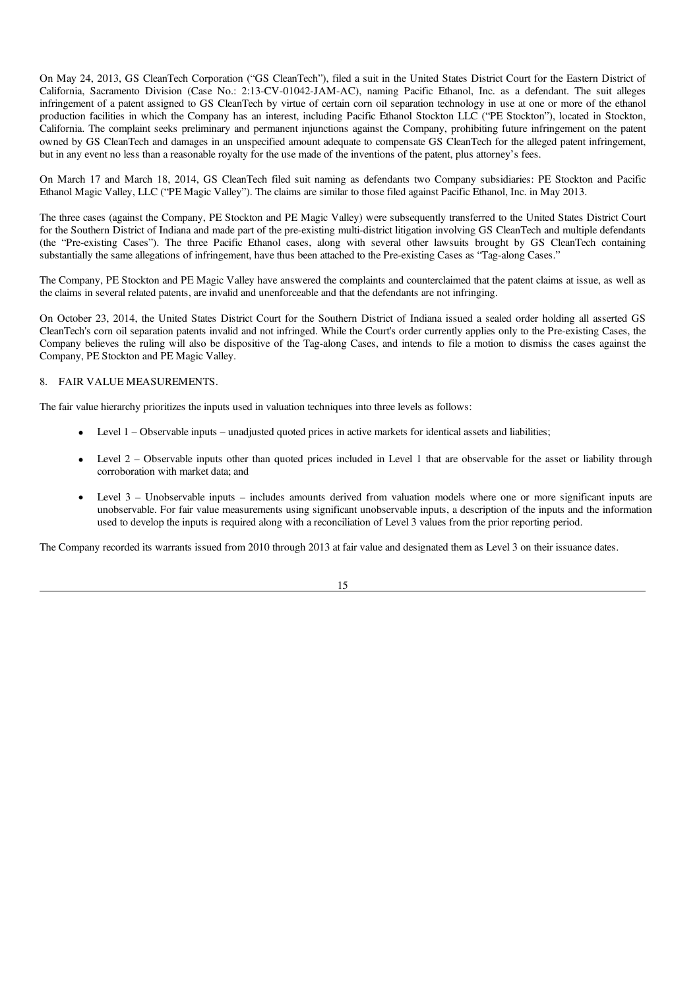On May 24, 2013, GS CleanTech Corporation ("GS CleanTech"), filed a suit in the United States District Court for the Eastern District of California, Sacramento Division (Case No.: 2:13-CV-01042-JAM-AC), naming Pacific Ethanol, Inc. as a defendant. The suit alleges infringement of a patent assigned to GS CleanTech by virtue of certain corn oil separation technology in use at one or more of the ethanol production facilities in which the Company has an interest, including Pacific Ethanol Stockton LLC ("PE Stockton"), located in Stockton, California. The complaint seeks preliminary and permanent injunctions against the Company, prohibiting future infringement on the patent owned by GS CleanTech and damages in an unspecified amount adequate to compensate GS CleanTech for the alleged patent infringement, but in any event no less than a reasonable royalty for the use made of the inventions of the patent, plus attorney's fees.

On March 17 and March 18, 2014, GS CleanTech filed suit naming as defendants two Company subsidiaries: PE Stockton and Pacific Ethanol Magic Valley, LLC ("PE Magic Valley"). The claims are similar to those filed against Pacific Ethanol, Inc. in May 2013.

The three cases (against the Company, PE Stockton and PE Magic Valley) were subsequently transferred to the United States District Court for the Southern District of Indiana and made part of the pre-existing multi-district litigation involving GS CleanTech and multiple defendants (the "Pre-existing Cases"). The three Pacific Ethanol cases, along with several other lawsuits brought by GS CleanTech containing substantially the same allegations of infringement, have thus been attached to the Pre-existing Cases as "Tag-along Cases."

The Company, PE Stockton and PE Magic Valley have answered the complaints and counterclaimed that the patent claims at issue, as well as the claims in several related patents, are invalid and unenforceable and that the defendants are not infringing.

On October 23, 2014, the United States District Court for the Southern District of Indiana issued a sealed order holding all asserted GS CleanTech's corn oil separation patents invalid and not infringed. While the Court's order currently applies only to the Pre-existing Cases, the Company believes the ruling will also be dispositive of the Tag-along Cases, and intends to file a motion to dismiss the cases against the Company, PE Stockton and PE Magic Valley.

## 8. FAIR VALUE MEASUREMENTS.

The fair value hierarchy prioritizes the inputs used in valuation techniques into three levels as follows:

- Level 1 Observable inputs unadjusted quoted prices in active markets for identical assets and liabilities;
- Level 2 Observable inputs other than quoted prices included in Level 1 that are observable for the asset or liability through corroboration with market data; and
- Level 3 Unobservable inputs includes amounts derived from valuation models where one or more significant inputs are unobservable. For fair value measurements using significant unobservable inputs, a description of the inputs and the information used to develop the inputs is required along with a reconciliation of Level 3 values from the prior reporting period.

The Company recorded its warrants issued from 2010 through 2013 at fair value and designated them as Level 3 on their issuance dates.

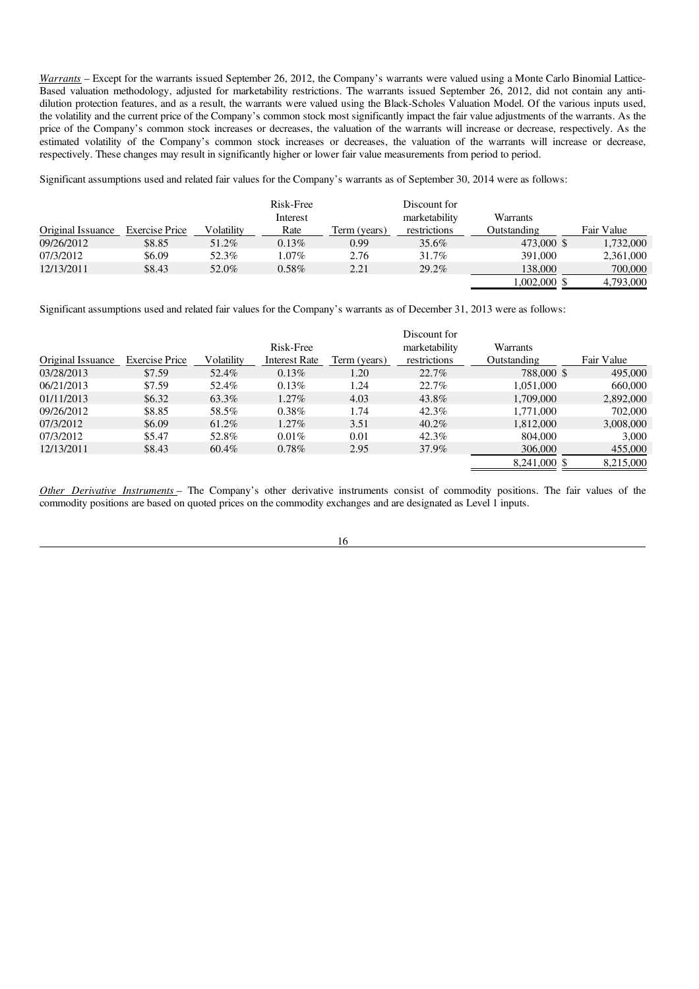*Warrants* – Except for the warrants issued September 26, 2012, the Company's warrants were valued using a Monte Carlo Binomial Lattice-Based valuation methodology, adjusted for marketability restrictions. The warrants issued September 26, 2012, did not contain any antidilution protection features, and as a result, the warrants were valued using the Black-Scholes Valuation Model. Of the various inputs used, the volatility and the current price of the Company's common stock most significantly impact the fair value adjustments of the warrants. As the price of the Company's common stock increases or decreases, the valuation of the warrants will increase or decrease, respectively. As the estimated volatility of the Company's common stock increases or decreases, the valuation of the warrants will increase or decrease, respectively. These changes may result in significantly higher or lower fair value measurements from period to period.

Significant assumptions used and related fair values for the Company's warrants as of September 30, 2014 were as follows:

|                   |                       |            | Risk-Free |              | Discount for  |              |            |
|-------------------|-----------------------|------------|-----------|--------------|---------------|--------------|------------|
|                   |                       |            | Interest  |              | marketability | Warrants     |            |
| Original Issuance | <b>Exercise Price</b> | Volatilitv | Rate      | Term (years) | restrictions  | Outstanding  | Fair Value |
| 09/26/2012        | \$8.85                | 51.2%      | 0.13%     | 0.99         | 35.6%         | 473,000 \$   | 1.732,000  |
| 07/3/2012         | \$6.09                | 52.3%      | $0.07\%$  | 2.76         | 31.7%         | 391,000      | 2,361,000  |
| 12/13/2011        | \$8.43                | 52.0%      | $0.58\%$  | 2.21         | 29.2%         | 138,000      | 700,000    |
|                   |                       |            |           |              |               | 1.002.000 \$ | 4,793,000  |

Significant assumptions used and related fair values for the Company's warrants as of December 31, 2013 were as follows:

|                   |                       |            |               |              | Discount for  |                    |            |
|-------------------|-----------------------|------------|---------------|--------------|---------------|--------------------|------------|
|                   |                       |            | Risk-Free     |              | marketability | Warrants           |            |
| Original Issuance | <b>Exercise Price</b> | Volatility | Interest Rate | Term (years) | restrictions  | <b>Outstanding</b> | Fair Value |
| 03/28/2013        | \$7.59                | 52.4%      | $0.13\%$      | 1.20         | 22.7%         | 788,000 \$         | 495,000    |
| 06/21/2013        | \$7.59                | 52.4%      | $0.13\%$      | 1.24         | 22.7%         | 1,051,000          | 660,000    |
| 01/11/2013        | \$6.32                | 63.3%      | $1.27\%$      | 4.03         | 43.8%         | 1,709,000          | 2,892,000  |
| 09/26/2012        | \$8.85                | 58.5%      | $0.38\%$      | 1.74         | 42.3%         | 1,771,000          | 702,000    |
| 07/3/2012         | \$6.09                | 61.2%      | $1.27\%$      | 3.51         | $40.2\%$      | 1.812.000          | 3,008,000  |
| 07/3/2012         | \$5.47                | 52.8%      | $0.01\%$      | 0.01         | 42.3%         | 804,000            | 3.000      |
| 12/13/2011        | \$8.43                | 60.4%      | $0.78\%$      | 2.95         | 37.9%         | 306,000            | 455,000    |
|                   |                       |            |               |              |               | 8.241,000 \$       | 8.215.000  |

*Other Derivative Instruments* – The Company's other derivative instruments consist of commodity positions. The fair values of the commodity positions are based on quoted prices on the commodity exchanges and are designated as Level 1 inputs.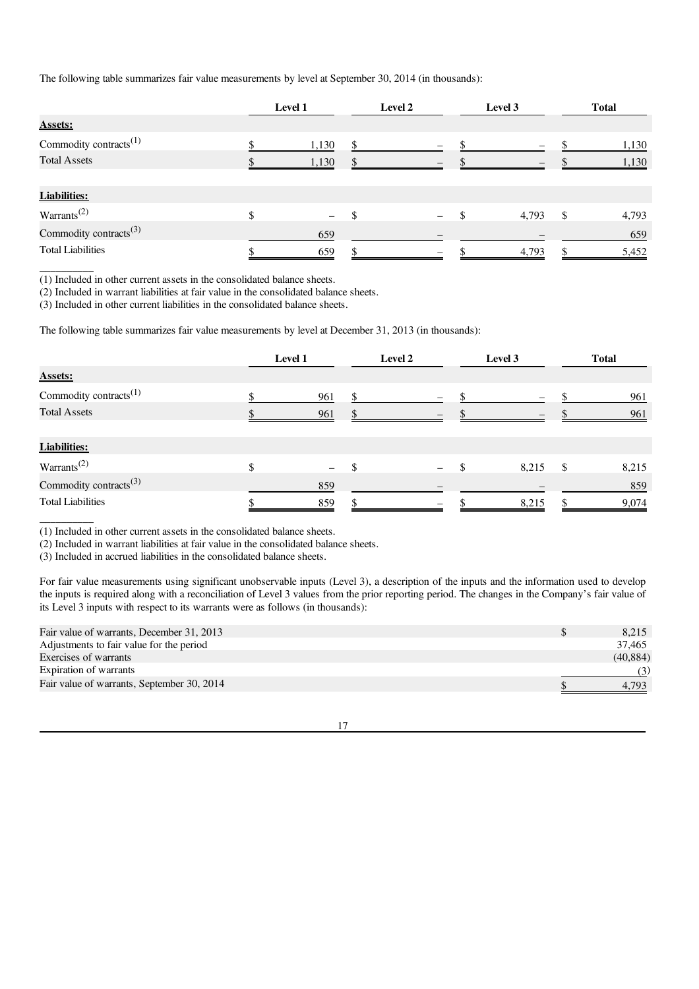The following table summarizes fair value measurements by level at September 30, 2014 (in thousands):

|                                    | Level 1 | Level 2<br>Level 3 |  | <b>Total</b> |    |       |
|------------------------------------|---------|--------------------|--|--------------|----|-------|
| Assets:                            |         |                    |  |              |    |       |
| Commodity contracts <sup>(1)</sup> | 1,130   |                    |  |              |    | 1,130 |
| <b>Total Assets</b>                | 1,130   |                    |  |              |    | 1,130 |
|                                    |         |                    |  |              |    |       |
| <b>Liabilities:</b>                |         |                    |  |              |    |       |
| Warrants <sup>(2)</sup>            |         |                    |  | 4,793        | \$ | 4,793 |
| Commodity contracts <sup>(3)</sup> | 659     |                    |  |              |    | 659   |
| <b>Total Liabilities</b>           | 659     |                    |  | 4,793        |    | 5,452 |

(1) Included in other current assets in the consolidated balance sheets.

 $\overline{\phantom{a}}$  , where  $\overline{\phantom{a}}$ 

\_\_\_\_\_\_\_\_\_\_

(2) Included in warrant liabilities at fair value in the consolidated balance sheets.

(3) Included in other current liabilities in the consolidated balance sheets.

The following table summarizes fair value measurements by level at December 31, 2013 (in thousands):

|                                    | <b>Level 1</b> | Level 2 |  | Level 3 | <b>Total</b> |       |  |
|------------------------------------|----------------|---------|--|---------|--------------|-------|--|
| Assets:                            |                |         |  |         |              |       |  |
| Commodity contracts <sup>(1)</sup> | 961            |         |  |         |              | 961   |  |
| <b>Total Assets</b>                | 961            |         |  |         |              | 961   |  |
|                                    |                |         |  |         |              |       |  |
| <b>Liabilities:</b>                |                |         |  |         |              |       |  |
| Warrants <sup>(2)</sup>            | -              |         |  | 8,215   | \$           | 8,215 |  |
| Commodity contracts <sup>(3)</sup> | 859            |         |  |         |              | 859   |  |
| <b>Total Liabilities</b>           | 859            |         |  | 8,215   |              | 9,074 |  |

(1) Included in other current assets in the consolidated balance sheets.

(2) Included in warrant liabilities at fair value in the consolidated balance sheets.

(3) Included in accrued liabilities in the consolidated balance sheets.

For fair value measurements using significant unobservable inputs (Level 3), a description of the inputs and the information used to develop the inputs is required along with a reconciliation of Level 3 values from the prior reporting period. The changes in the Company's fair value of its Level 3 inputs with respect to its warrants were as follows (in thousands):

| Fair value of warrants, December 31, 2013  | 8.215     |
|--------------------------------------------|-----------|
| Adjustments to fair value for the period   | 37.465    |
| Exercises of warrants                      | (40, 884) |
| Expiration of warrants                     |           |
| Fair value of warrants, September 30, 2014 | 4.793     |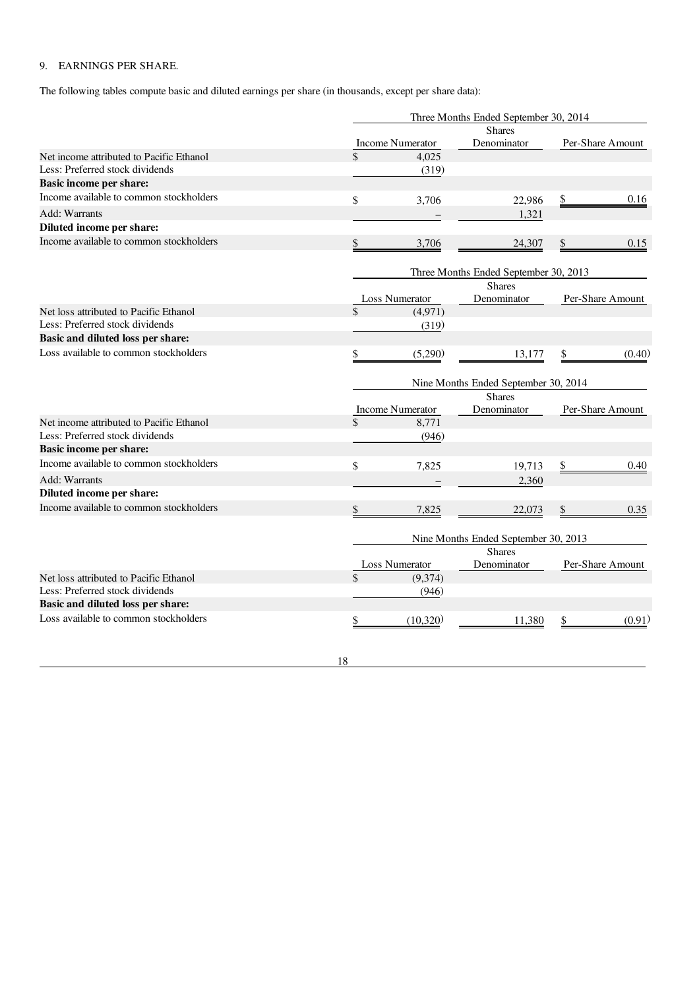## 9. EARNINGS PER SHARE.

The following tables compute basic and diluted earnings per share (in thousands, except per share data):

|                                          | Three Months Ended September 30, 2014 |                         |                                       |               |                  |  |  |  |  |  |
|------------------------------------------|---------------------------------------|-------------------------|---------------------------------------|---------------|------------------|--|--|--|--|--|
|                                          |                                       |                         | <b>Shares</b>                         |               |                  |  |  |  |  |  |
|                                          |                                       | <b>Income Numerator</b> | Denominator                           |               | Per-Share Amount |  |  |  |  |  |
| Net income attributed to Pacific Ethanol | \$                                    | 4,025                   |                                       |               |                  |  |  |  |  |  |
| Less: Preferred stock dividends          |                                       | (319)                   |                                       |               |                  |  |  |  |  |  |
| Basic income per share:                  |                                       |                         |                                       |               |                  |  |  |  |  |  |
| Income available to common stockholders  | \$                                    | 3,706                   | 22,986                                | <u>\$</u>     | 0.16             |  |  |  |  |  |
| <b>Add: Warrants</b>                     |                                       |                         | 1,321                                 |               |                  |  |  |  |  |  |
| Diluted income per share:                |                                       |                         |                                       |               |                  |  |  |  |  |  |
| Income available to common stockholders  | \$                                    | 3,706                   | 24,307                                | $\frac{1}{2}$ | 0.15             |  |  |  |  |  |
|                                          |                                       |                         | Three Months Ended September 30, 2013 |               |                  |  |  |  |  |  |
|                                          |                                       |                         | <b>Shares</b>                         |               |                  |  |  |  |  |  |
|                                          |                                       | Loss Numerator          | Denominator                           |               | Per-Share Amount |  |  |  |  |  |
| Net loss attributed to Pacific Ethanol   | $\mathcal{S}$                         | (4,971)                 |                                       |               |                  |  |  |  |  |  |
| Less: Preferred stock dividends          |                                       | (319)                   |                                       |               |                  |  |  |  |  |  |
| Basic and diluted loss per share:        |                                       |                         |                                       |               |                  |  |  |  |  |  |
| Loss available to common stockholders    | S                                     | (5,290)                 | 13,177                                | \$            | (0.40)           |  |  |  |  |  |
|                                          |                                       |                         | Nine Months Ended September 30, 2014  |               |                  |  |  |  |  |  |
|                                          |                                       |                         | <b>Shares</b>                         |               |                  |  |  |  |  |  |
|                                          |                                       | Income Numerator        | Denominator                           |               | Per-Share Amount |  |  |  |  |  |
| Net income attributed to Pacific Ethanol | $\hat{\mathbf{r}}$                    | 8,771                   |                                       |               |                  |  |  |  |  |  |
| Less: Preferred stock dividends          |                                       | (946)                   |                                       |               |                  |  |  |  |  |  |
| Basic income per share:                  |                                       |                         |                                       |               |                  |  |  |  |  |  |
| Income available to common stockholders  | \$                                    | 7,825                   | 19,713                                | \$            | 0.40             |  |  |  |  |  |
| <b>Add: Warrants</b>                     |                                       |                         | 2,360                                 |               |                  |  |  |  |  |  |
| Diluted income per share:                |                                       |                         |                                       |               |                  |  |  |  |  |  |
| Income available to common stockholders  | \$                                    | 7,825                   | 22,073                                | \$            | 0.35             |  |  |  |  |  |
|                                          |                                       |                         | Nine Months Ended September 30, 2013  |               |                  |  |  |  |  |  |
|                                          |                                       |                         | <b>Shares</b>                         |               |                  |  |  |  |  |  |
|                                          |                                       | Loss Numerator          | Denominator                           |               | Per-Share Amount |  |  |  |  |  |
| Net loss attributed to Pacific Ethanol   | $\mathcal{S}$                         | (9,374)                 |                                       |               |                  |  |  |  |  |  |
| Less: Preferred stock dividends          |                                       | (946)                   |                                       |               |                  |  |  |  |  |  |
| Basic and diluted loss per share:        |                                       |                         |                                       |               |                  |  |  |  |  |  |
| Loss available to common stockholders    | \$                                    | (10,320)                | 11,380                                | \$            | (0.91)           |  |  |  |  |  |
|                                          |                                       |                         |                                       |               |                  |  |  |  |  |  |
|                                          |                                       |                         |                                       |               |                  |  |  |  |  |  |

18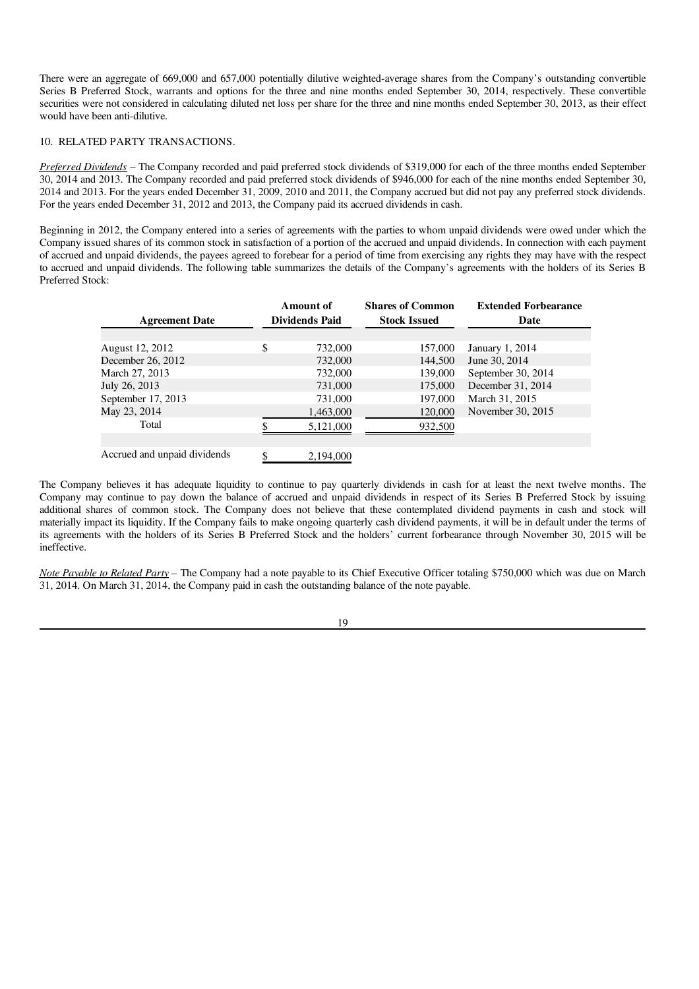There were an aggregate of 669,000 and 657,000 potentially dilutive weighted-average shares from the Company's outstanding convertible Series B Preferred Stock, warrants and options for the three and nine months ended September 30, 2014, respectively. These convertible securities were not considered in calculating diluted net loss per share for the three and nine months ended September 30, 2013, as their effect would have been anti-dilutive.

#### 10. RELATED PARTY TRANSACTIONS.

*Preferred Dividends* – The Company recorded and paid preferred stock dividends of \$319,000 for each of the three months ended September 30, 2014 and 2013. The Company recorded and paid preferred stock dividends of \$946,000 for each of the nine months ended September 30, 2014 and 2013. For the years ended December 31, 2009, 2010 and 2011, the Company accrued but did not pay any preferred stock dividends. For the years ended December 31, 2012 and 2013, the Company paid its accrued dividends in cash.

Beginning in 2012, the Company entered into a series of agreements with the parties to whom unpaid dividends were owed under which the Company issued shares of its common stock in satisfaction of a portion of the accrued and unpaid dividends. In connection with each payment of accrued and unpaid dividends, the payees agreed to forebear for a period of time from exercising any rights they may have with the respect to accrued and unpaid dividends. The following table summarizes the details of the Company's agreements with the holders of its Series B Preferred Stock:

| <b>Agreement Date</b>        | <b>Amount</b> of<br><b>Dividends Paid</b> | <b>Shares of Common</b><br><b>Stock Issued</b> | <b>Extended Forbearance</b><br>Date |
|------------------------------|-------------------------------------------|------------------------------------------------|-------------------------------------|
|                              |                                           |                                                |                                     |
| August 12, 2012              | \$<br>732,000                             | 157,000                                        | January 1, 2014                     |
| December 26, 2012            | 732,000                                   | 144,500                                        | June 30, 2014                       |
| March 27, 2013               | 732,000                                   | 139,000                                        | September 30, 2014                  |
| July 26, 2013                | 731,000                                   | 175,000                                        | December 31, 2014                   |
| September 17, 2013           | 731,000                                   | 197,000                                        | March 31, 2015                      |
| May 23, 2014                 | 1,463,000                                 | 120,000                                        | November 30, 2015                   |
| Total                        | 5,121,000                                 | 932,500                                        |                                     |
|                              |                                           |                                                |                                     |
| Accrued and unpaid dividends | 2,194,000                                 |                                                |                                     |

The Company believes it has adequate liquidity to continue to pay quarterly dividends in cash for at least the next twelve months. The Company may continue to pay down the balance of accrued and unpaid dividends in respect of its Series B Preferred Stock by issuing additional shares of common stock. The Company does not believe that these contemplated dividend payments in cash and stock will materially impact its liquidity. If the Company fails to make ongoing quarterly cash dividend payments, it will be in default under the terms of its agreements with the holders of its Series B Preferred Stock and the holders' current forbearance through November 30, 2015 will be ineffective.

*Note Payable to Related Party* – The Company had a note payable to its Chief Executive Officer totaling \$750,000 which was due on March 31, 2014. On March 31, 2014, the Company paid in cash the outstanding balance of the note payable.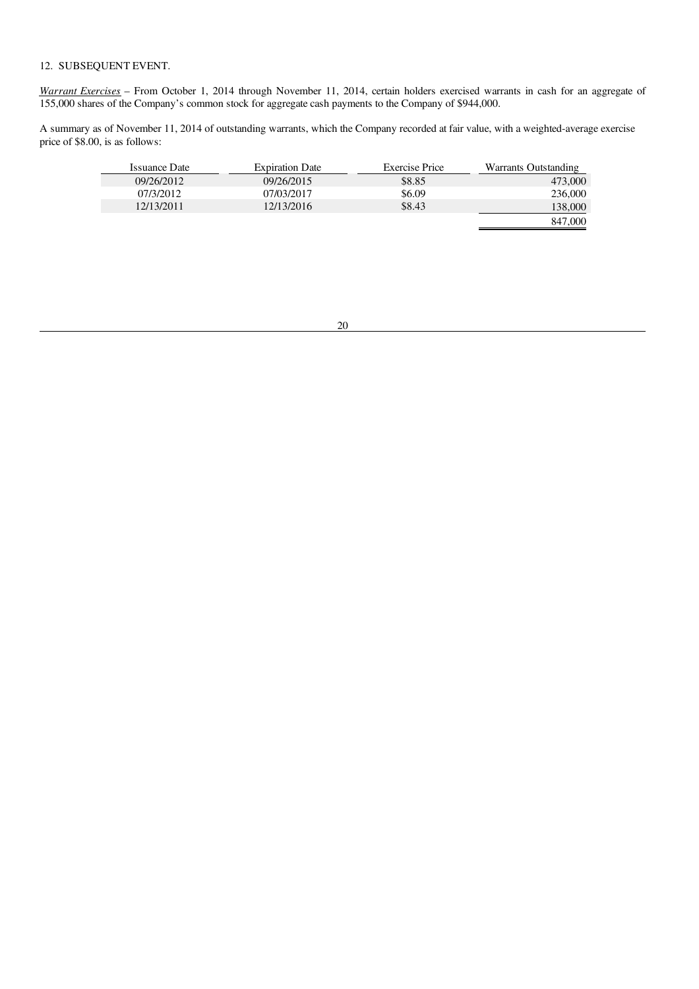## 12. SUBSEQUENT EVENT.

*Warrant Exercises* – From October 1, 2014 through November 11, 2014, certain holders exercised warrants in cash for an aggregate of 155,000 shares of the Company's common stock for aggregate cash payments to the Company of \$944,000.

A summary as of November 11, 2014 of outstanding warrants, which the Company recorded at fair value, with a weighted-average exercise price of \$8.00, is as follows:

| Issuance Date | <b>Expiration Date</b> | Exercise Price | Warrants Outstanding |
|---------------|------------------------|----------------|----------------------|
| 09/26/2012    | 09/26/2015             | \$8.85         | 473,000              |
| 07/3/2012     | 07/03/2017             | \$6.09         | 236,000              |
| 12/13/2011    | 12/13/2016             | \$8.43         | 138,000              |
|               |                        |                | 847,000              |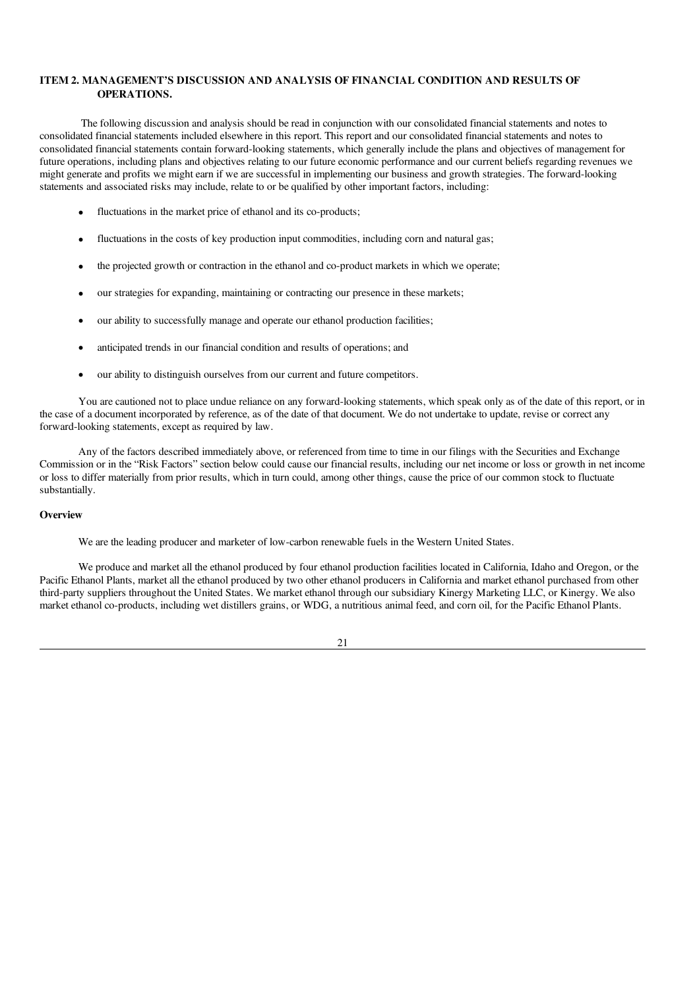## ITEM 2. MANAGEMENT'S DISCUSSION AND ANALYSIS OF FINANCIAL CONDITION AND RESULTS OF OPERATIONS.

The following discussion and analysis should be read in conjunction with our consolidated financial statements and notes to consolidated financial statements included elsewhere in this report. This report and our consolidated financial statements and notes to consolidated financial statements contain forward-looking statements, which generally include the plans and objectives of management for future operations, including plans and objectives relating to our future economic performance and our current beliefs regarding revenues we might generate and profits we might earn if we are successful in implementing our business and growth strategies. The forward-looking statements and associated risks may include, relate to or be qualified by other important factors, including:

- · fluctuations in the market price of ethanol and its co-products;
- fluctuations in the costs of key production input commodities, including corn and natural gas;
- · the projected growth or contraction in the ethanol and co-product markets in which we operate;
- our strategies for expanding, maintaining or contracting our presence in these markets;
- our ability to successfully manage and operate our ethanol production facilities;
- anticipated trends in our financial condition and results of operations; and
- · our ability to distinguish ourselves from our current and future competitors.

You are cautioned not to place undue reliance on any forward-looking statements, which speak only as of the date of this report, or in the case of a document incorporated by reference, as of the date of that document. We do not undertake to update, revise or correct any forward-looking statements, except as required by law.

Any of the factors described immediately above, or referenced from time to time in our filings with the Securities and Exchange Commission or in the "Risk Factors" section below could cause our financial results, including our net income or loss or growth in net income or loss to differ materially from prior results, which in turn could, among other things, cause the price of our common stock to fluctuate substantially.

### **Overview**

We are the leading producer and marketer of low-carbon renewable fuels in the Western United States.

We produce and market all the ethanol produced by four ethanol production facilities located in California, Idaho and Oregon, or the Pacific Ethanol Plants, market all the ethanol produced by two other ethanol producers in California and market ethanol purchased from other third-party suppliers throughout the United States. We market ethanol through our subsidiary Kinergy Marketing LLC, or Kinergy. We also market ethanol co-products, including wet distillers grains, or WDG, a nutritious animal feed, and corn oil, for the Pacific Ethanol Plants.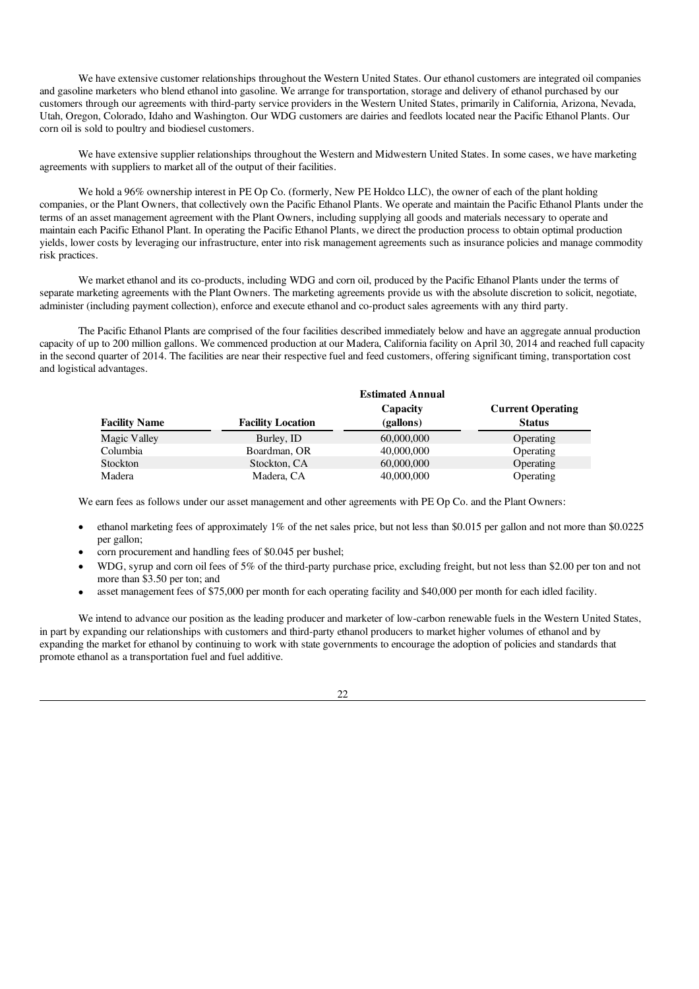We have extensive customer relationships throughout the Western United States. Our ethanol customers are integrated oil companies and gasoline marketers who blend ethanol into gasoline. We arrange for transportation, storage and delivery of ethanol purchased by our customers through our agreements with third-party service providers in the Western United States, primarily in California, Arizona, Nevada, Utah, Oregon, Colorado, Idaho and Washington. Our WDG customers are dairies and feedlots located near the Pacific Ethanol Plants. Our corn oil is sold to poultry and biodiesel customers.

We have extensive supplier relationships throughout the Western and Midwestern United States. In some cases, we have marketing agreements with suppliers to market all of the output of their facilities.

We hold a 96% ownership interest in PE Op Co. (formerly, New PE Holdco LLC), the owner of each of the plant holding companies, or the Plant Owners, that collectively own the Pacific Ethanol Plants. We operate and maintain the Pacific Ethanol Plants under the terms of an asset management agreement with the Plant Owners, including supplying all goods and materials necessary to operate and maintain each Pacific Ethanol Plant. In operating the Pacific Ethanol Plants, we direct the production process to obtain optimal production yields, lower costs by leveraging our infrastructure, enter into risk management agreements such as insurance policies and manage commodity risk practices.

We market ethanol and its co-products, including WDG and corn oil, produced by the Pacific Ethanol Plants under the terms of separate marketing agreements with the Plant Owners. The marketing agreements provide us with the absolute discretion to solicit, negotiate, administer (including payment collection), enforce and execute ethanol and co-product sales agreements with any third party.

The Pacific Ethanol Plants are comprised of the four facilities described immediately below and have an aggregate annual production capacity of up to 200 million gallons. We commenced production at our Madera, California facility on April 30, 2014 and reached full capacity in the second quarter of 2014. The facilities are near their respective fuel and feed customers, offering significant timing, transportation cost and logistical advantages.

|                      |                          | <b>Estimated Annual</b> |                          |
|----------------------|--------------------------|-------------------------|--------------------------|
|                      |                          | Capacity                | <b>Current Operating</b> |
| <b>Facility Name</b> | <b>Facility Location</b> | (gallons)               | <b>Status</b>            |
| Magic Valley         | Burley, ID               | 60,000,000              | Operating                |
| Columbia             | Boardman, OR             | 40,000,000              | Operating                |
| Stockton             | Stockton, CA             | 60,000,000              | Operating                |
| Madera               | Madera, CA               | 40,000,000              | Operating                |

We earn fees as follows under our asset management and other agreements with PE Op Co. and the Plant Owners:

- · ethanol marketing fees of approximately 1% of the net sales price, but not less than \$0.015 per gallon and not more than \$0.0225 per gallon;
- corn procurement and handling fees of \$0.045 per bushel;
- WDG, syrup and corn oil fees of 5% of the third-party purchase price, excluding freight, but not less than \$2.00 per ton and not more than \$3.50 per ton; and
- asset management fees of \$75,000 per month for each operating facility and \$40,000 per month for each idled facility.

We intend to advance our position as the leading producer and marketer of low-carbon renewable fuels in the Western United States, in part by expanding our relationships with customers and third-party ethanol producers to market higher volumes of ethanol and by expanding the market for ethanol by continuing to work with state governments to encourage the adoption of policies and standards that promote ethanol as a transportation fuel and fuel additive.

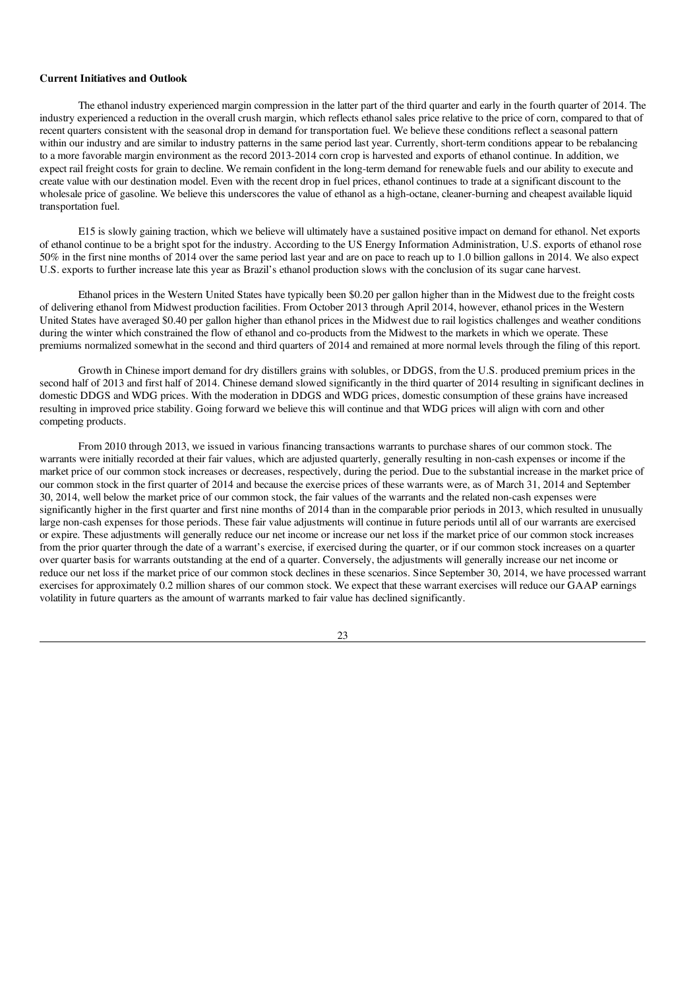#### Current Initiatives and Outlook

The ethanol industry experienced margin compression in the latter part of the third quarter and early in the fourth quarter of 2014. The industry experienced a reduction in the overall crush margin, which reflects ethanol sales price relative to the price of corn, compared to that of recent quarters consistent with the seasonal drop in demand for transportation fuel. We believe these conditions reflect a seasonal pattern within our industry and are similar to industry patterns in the same period last year. Currently, short-term conditions appear to be rebalancing to a more favorable margin environment as the record 2013-2014 corn crop is harvested and exports of ethanol continue. In addition, we expect rail freight costs for grain to decline. We remain confident in the long-term demand for renewable fuels and our ability to execute and create value with our destination model. Even with the recent drop in fuel prices, ethanol continues to trade at a significant discount to the wholesale price of gasoline. We believe this underscores the value of ethanol as a high-octane, cleaner-burning and cheapest available liquid transportation fuel.

E15 is slowly gaining traction, which we believe will ultimately have a sustained positive impact on demand for ethanol. Net exports of ethanol continue to be a bright spot for the industry. According to the US Energy Information Administration, U.S. exports of ethanol rose 50% in the first nine months of 2014 over the same period last year and are on pace to reach up to 1.0 billion gallons in 2014. We also expect U.S. exports to further increase late this year as Brazil's ethanol production slows with the conclusion of its sugar cane harvest.

Ethanol prices in the Western United States have typically been \$0.20 per gallon higher than in the Midwest due to the freight costs of delivering ethanol from Midwest production facilities. From October 2013 through April 2014, however, ethanol prices in the Western United States have averaged \$0.40 per gallon higher than ethanol prices in the Midwest due to rail logistics challenges and weather conditions during the winter which constrained the flow of ethanol and co-products from the Midwest to the markets in which we operate. These premiums normalized somewhat in the second and third quarters of 2014 and remained at more normal levels through the filing of this report.

Growth in Chinese import demand for dry distillers grains with solubles, or DDGS, from the U.S. produced premium prices in the second half of 2013 and first half of 2014. Chinese demand slowed significantly in the third quarter of 2014 resulting in significant declines in domestic DDGS and WDG prices. With the moderation in DDGS and WDG prices, domestic consumption of these grains have increased resulting in improved price stability. Going forward we believe this will continue and that WDG prices will align with corn and other competing products.

From 2010 through 2013, we issued in various financing transactions warrants to purchase shares of our common stock. The warrants were initially recorded at their fair values, which are adjusted quarterly, generally resulting in non-cash expenses or income if the market price of our common stock increases or decreases, respectively, during the period. Due to the substantial increase in the market price of our common stock in the first quarter of 2014 and because the exercise prices of these warrants were, as of March 31, 2014 and September 30, 2014, well below the market price of our common stock, the fair values of the warrants and the related non-cash expenses were significantly higher in the first quarter and first nine months of 2014 than in the comparable prior periods in 2013, which resulted in unusually large non-cash expenses for those periods. These fair value adjustments will continue in future periods until all of our warrants are exercised or expire. These adjustments will generally reduce our net income or increase our net loss if the market price of our common stock increases from the prior quarter through the date of a warrant's exercise, if exercised during the quarter, or if our common stock increases on a quarter over quarter basis for warrants outstanding at the end of a quarter. Conversely, the adjustments will generally increase our net income or reduce our net loss if the market price of our common stock declines in these scenarios. Since September 30, 2014, we have processed warrant exercises for approximately 0.2 million shares of our common stock. We expect that these warrant exercises will reduce our GAAP earnings volatility in future quarters as the amount of warrants marked to fair value has declined significantly.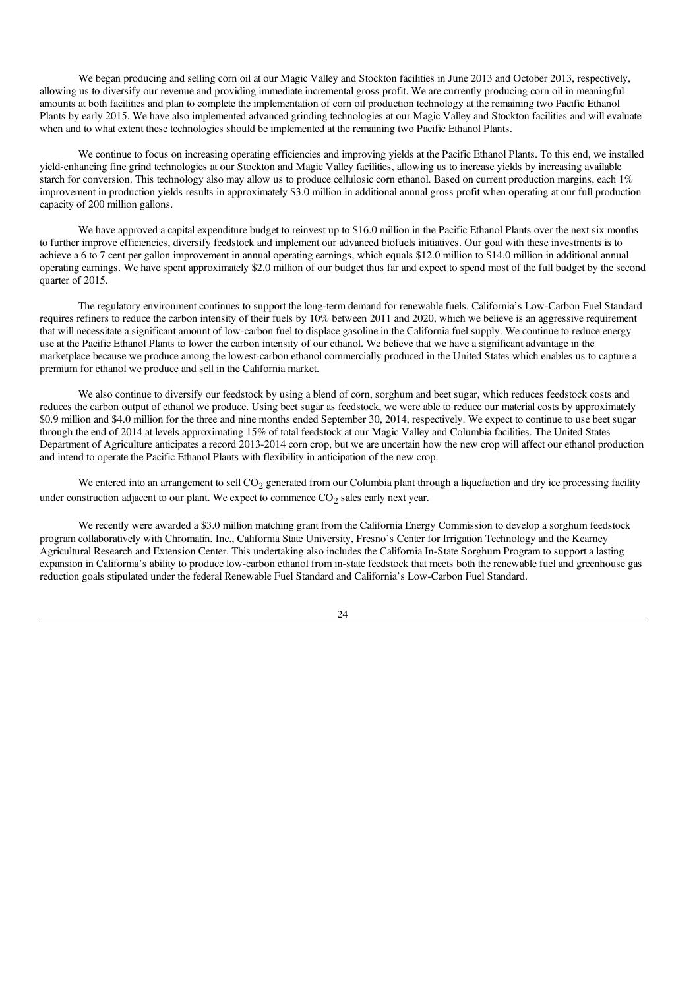We began producing and selling corn oil at our Magic Valley and Stockton facilities in June 2013 and October 2013, respectively, allowing us to diversify our revenue and providing immediate incremental gross profit. We are currently producing corn oil in meaningful amounts at both facilities and plan to complete the implementation of corn oil production technology at the remaining two Pacific Ethanol Plants by early 2015. We have also implemented advanced grinding technologies at our Magic Valley and Stockton facilities and will evaluate when and to what extent these technologies should be implemented at the remaining two Pacific Ethanol Plants.

We continue to focus on increasing operating efficiencies and improving yields at the Pacific Ethanol Plants. To this end, we installed yield-enhancing fine grind technologies at our Stockton and Magic Valley facilities, allowing us to increase yields by increasing available starch for conversion. This technology also may allow us to produce cellulosic corn ethanol. Based on current production margins, each 1% improvement in production yields results in approximately \$3.0 million in additional annual gross profit when operating at our full production capacity of 200 million gallons.

We have approved a capital expenditure budget to reinvest up to \$16.0 million in the Pacific Ethanol Plants over the next six months to further improve efficiencies, diversify feedstock and implement our advanced biofuels initiatives. Our goal with these investments is to achieve a 6 to 7 cent per gallon improvement in annual operating earnings, which equals \$12.0 million to \$14.0 million in additional annual operating earnings. We have spent approximately \$2.0 million of our budget thus far and expect to spend most of the full budget by the second quarter of 2015.

The regulatory environment continues to support the long-term demand for renewable fuels. California's Low-Carbon Fuel Standard requires refiners to reduce the carbon intensity of their fuels by 10% between 2011 and 2020, which we believe is an aggressive requirement that will necessitate a significant amount of low-carbon fuel to displace gasoline in the California fuel supply. We continue to reduce energy use at the Pacific Ethanol Plants to lower the carbon intensity of our ethanol. We believe that we have a significant advantage in the marketplace because we produce among the lowest-carbon ethanol commercially produced in the United States which enables us to capture a premium for ethanol we produce and sell in the California market.

We also continue to diversify our feedstock by using a blend of corn, sorghum and beet sugar, which reduces feedstock costs and reduces the carbon output of ethanol we produce. Using beet sugar as feedstock, we were able to reduce our material costs by approximately \$0.9 million and \$4.0 million for the three and nine months ended September 30, 2014, respectively. We expect to continue to use beet sugar through the end of 2014 at levels approximating 15% of total feedstock at our Magic Valley and Columbia facilities. The United States Department of Agriculture anticipates a record 2013-2014 corn crop, but we are uncertain how the new crop will affect our ethanol production and intend to operate the Pacific Ethanol Plants with flexibility in anticipation of the new crop.

We entered into an arrangement to sell CO<sub>2</sub> generated from our Columbia plant through a liquefaction and dry ice processing facility under construction adjacent to our plant. We expect to commence  $CO<sub>2</sub>$  sales early next year.

We recently were awarded a \$3.0 million matching grant from the California Energy Commission to develop a sorghum feedstock program collaboratively with Chromatin, Inc., California State University, Fresno's Center for Irrigation Technology and the Kearney Agricultural Research and Extension Center. This undertaking also includes the California In-State Sorghum Program to support a lasting expansion in California's ability to produce low-carbon ethanol from in-state feedstock that meets both the renewable fuel and greenhouse gas reduction goals stipulated under the federal Renewable Fuel Standard and California's Low-Carbon Fuel Standard.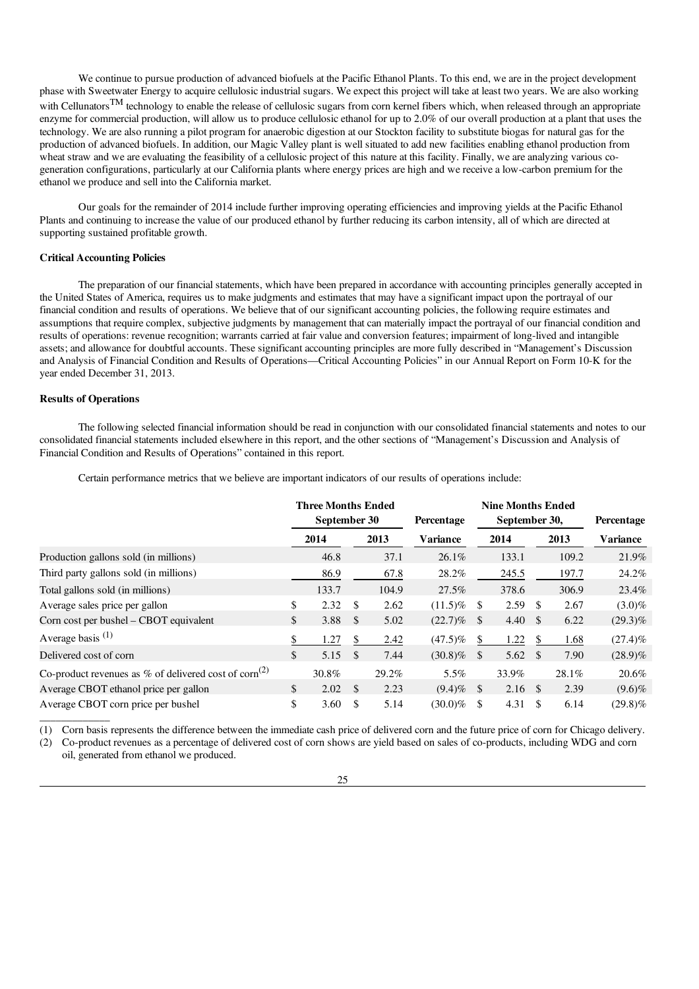We continue to pursue production of advanced biofuels at the Pacific Ethanol Plants. To this end, we are in the project development phase with Sweetwater Energy to acquire cellulosic industrial sugars. We expect this project will take at least two years. We are also working with Cellunators<sup>TM</sup> technology to enable the release of cellulosic sugars from corn kernel fibers which, when released through an appropriate enzyme for commercial production, will allow us to produce cellulosic ethanol for up to 2.0% of our overall production at a plant that uses the technology. We are also running a pilot program for anaerobic digestion at our Stockton facility to substitute biogas for natural gas for the production of advanced biofuels. In addition, our Magic Valley plant is well situated to add new facilities enabling ethanol production from wheat straw and we are evaluating the feasibility of a cellulosic project of this nature at this facility. Finally, we are analyzing various cogeneration configurations, particularly at our California plants where energy prices are high and we receive a low-carbon premium for the ethanol we produce and sell into the California market.

Our goals for the remainder of 2014 include further improving operating efficiencies and improving yields at the Pacific Ethanol Plants and continuing to increase the value of our produced ethanol by further reducing its carbon intensity, all of which are directed at supporting sustained profitable growth.

#### Critical Accounting Policies

The preparation of our financial statements, which have been prepared in accordance with accounting principles generally accepted in the United States of America, requires us to make judgments and estimates that may have a significant impact upon the portrayal of our financial condition and results of operations. We believe that of our significant accounting policies, the following require estimates and assumptions that require complex, subjective judgments by management that can materially impact the portrayal of our financial condition and results of operations: revenue recognition; warrants carried at fair value and conversion features; impairment of long-lived and intangible assets; and allowance for doubtful accounts. These significant accounting principles are more fully described in "Management's Discussion and Analysis of Financial Condition and Results of Operations—Critical Accounting Policies" in our Annual Report on Form 10-K for the year ended December 31, 2013.

#### Results of Operations

The following selected financial information should be read in conjunction with our consolidated financial statements and notes to our consolidated financial statements included elsewhere in this report, and the other sections of "Management's Discussion and Analysis of Financial Condition and Results of Operations" contained in this report.

Certain performance metrics that we believe are important indicators of our results of operations include:

|                                                                   | <b>Three Months Ended</b><br>September 30 |              |               |       | Percentage      |              | <b>Nine Months Ended</b><br>September 30, | Percentage |       |            |
|-------------------------------------------------------------------|-------------------------------------------|--------------|---------------|-------|-----------------|--------------|-------------------------------------------|------------|-------|------------|
|                                                                   |                                           | 2014         |               | 2013  | <b>Variance</b> |              | 2014                                      |            | 2013  | Variance   |
| Production gallons sold (in millions)                             |                                           | 46.8         |               | 37.1  | 26.1%           |              | 133.1                                     |            | 109.2 | 21.9%      |
| Third party gallons sold (in millions)                            |                                           | 86.9         |               | 67.8  | 28.2%           |              | 245.5                                     |            | 197.7 | 24.2%      |
| Total gallons sold (in millions)                                  |                                           | 133.7        |               | 104.9 | 27.5%           |              | 378.6                                     |            | 306.9 | 23.4%      |
| Average sales price per gallon                                    | \$                                        | 2.32         | -\$           | 2.62  | $(11.5)\%$      | <sup>S</sup> | $2.59$ \$                                 |            | 2.67  | $(3.0)\%$  |
| Corn cost per bushel – CBOT equivalent                            | \$                                        | 3.88         | \$            | 5.02  | $(22.7)\%$      | \$           | 4.40                                      | - \$       | 6.22  | $(29.3)\%$ |
| Average basis $(1)$                                               |                                           | 1.27         | \$.           | 2.42  | $(47.5)\%$      | \$           | 1.22                                      | \$.        | 1.68  | $(27.4)\%$ |
| Delivered cost of corn                                            | \$                                        | 5.15         | <sup>\$</sup> | 7.44  | $(30.8)\%$      | S.           | 5.62                                      |            | 7.90  | $(28.9)\%$ |
| Co-product revenues as % of delivered cost of corn <sup>(2)</sup> |                                           | 30.8%        |               | 29.2% | 5.5%            |              | 33.9%                                     |            | 28.1% | 20.6%      |
| Average CBOT ethanol price per gallon                             | \$                                        | $2.02 \quad$ |               | 2.23  | $(9.4)\%$ \$    |              | $2.16$ \$                                 |            | 2.39  | $(9.6)\%$  |
| Average CBOT corn price per bushel                                | \$                                        | 3.60         | \$            | 5.14  | $(30.0)\%$      | \$           | 4.31                                      | S          | 6.14  | $(29.8)\%$ |

(1) Corn basis represents the difference between the immediate cash price of delivered corn and the future price of corn for Chicago delivery.

(2) Co-product revenues as a percentage of delivered cost of corn shows are yield based on sales of co-products, including WDG and corn oil, generated from ethanol we produced.

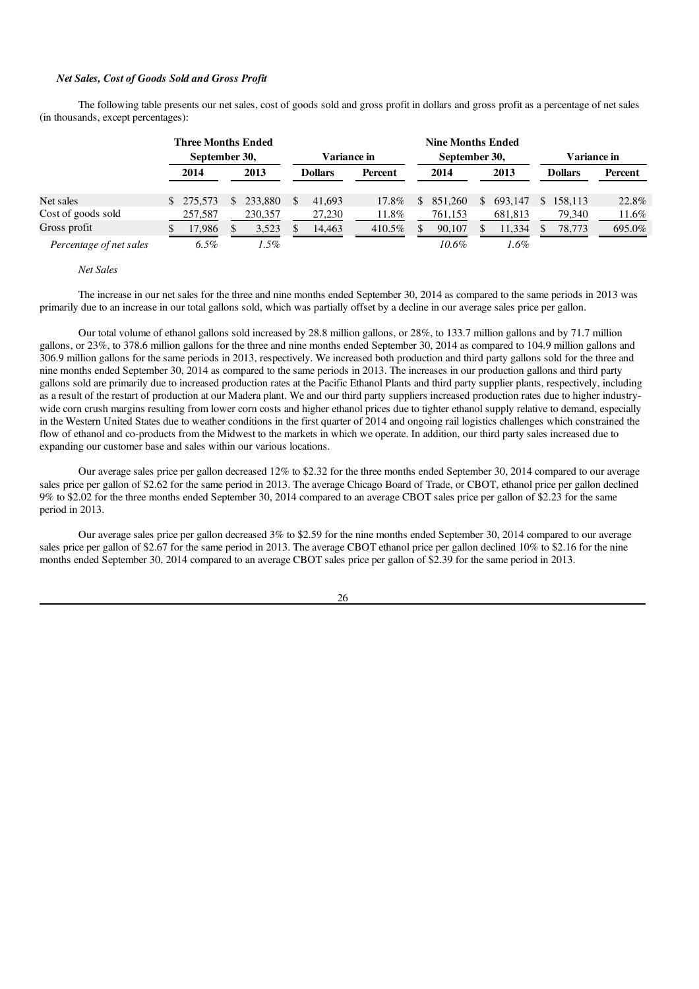#### *Net Sales, Cost of Goods Sold and Gross Profit*

The following table presents our net sales, cost of goods sold and gross profit in dollars and gross profit as a percentage of net sales (in thousands, except percentages):

|                         |      | <b>Three Months Ended</b><br>September 30, |      |         | Variance in |         |         |        |  | <b>Nine Months Ended</b><br>September 30, |      |         | <b>Variance in</b> |         |         |  |
|-------------------------|------|--------------------------------------------|------|---------|-------------|---------|---------|--------|--|-------------------------------------------|------|---------|--------------------|---------|---------|--|
|                         | 2014 |                                            | 2013 |         |             | Dollars | Percent |        |  | 2014                                      | 2013 |         | <b>Dollars</b>     |         | Percent |  |
| Net sales               |      | \$275,573                                  |      | 233,880 |             | 41,693  |         | 17.8%  |  | 851,260                                   |      | 693.147 |                    | 158,113 | 22.8%   |  |
| Cost of goods sold      |      | 257,587                                    |      | 230,357 |             | 27,230  |         | 11.8%  |  | 761,153                                   |      | 681,813 |                    | 79,340  | 11.6%   |  |
| Gross profit            |      | 17,986                                     |      | 3,523   |             | 14,463  |         | 410.5% |  | 90,107                                    |      | 11,334  |                    | 78,773  | 695.0%  |  |
| Percentage of net sales |      | 6.5%                                       |      | 1.5%    |             |         |         |        |  | $10.6\%$                                  |      | 1.6%    |                    |         |         |  |

*Net Sales*

The increase in our net sales for the three and nine months ended September 30, 2014 as compared to the same periods in 2013 was primarily due to an increase in our total gallons sold, which was partially offset by a decline in our average sales price per gallon.

Our total volume of ethanol gallons sold increased by 28.8 million gallons, or 28%, to 133.7 million gallons and by 71.7 million gallons, or 23%, to 378.6 million gallons for the three and nine months ended September 30, 2014 as compared to 104.9 million gallons and 306.9 million gallons for the same periods in 2013, respectively. We increased both production and third party gallons sold for the three and nine months ended September 30, 2014 as compared to the same periods in 2013. The increases in our production gallons and third party gallons sold are primarily due to increased production rates at the Pacific Ethanol Plants and third party supplier plants, respectively, including as a result of the restart of production at our Madera plant. We and our third party suppliers increased production rates due to higher industrywide corn crush margins resulting from lower corn costs and higher ethanol prices due to tighter ethanol supply relative to demand, especially in the Western United States due to weather conditions in the first quarter of 2014 and ongoing rail logistics challenges which constrained the flow of ethanol and co-products from the Midwest to the markets in which we operate. In addition, our third party sales increased due to expanding our customer base and sales within our various locations.

Our average sales price per gallon decreased 12% to \$2.32 for the three months ended September 30, 2014 compared to our average sales price per gallon of \$2.62 for the same period in 2013. The average Chicago Board of Trade, or CBOT, ethanol price per gallon declined 9% to \$2.02 for the three months ended September 30, 2014 compared to an average CBOT sales price per gallon of \$2.23 for the same period in 2013.

Our average sales price per gallon decreased 3% to \$2.59 for the nine months ended September 30, 2014 compared to our average sales price per gallon of \$2.67 for the same period in 2013. The average CBOT ethanol price per gallon declined 10% to \$2.16 for the nine months ended September 30, 2014 compared to an average CBOT sales price per gallon of \$2.39 for the same period in 2013.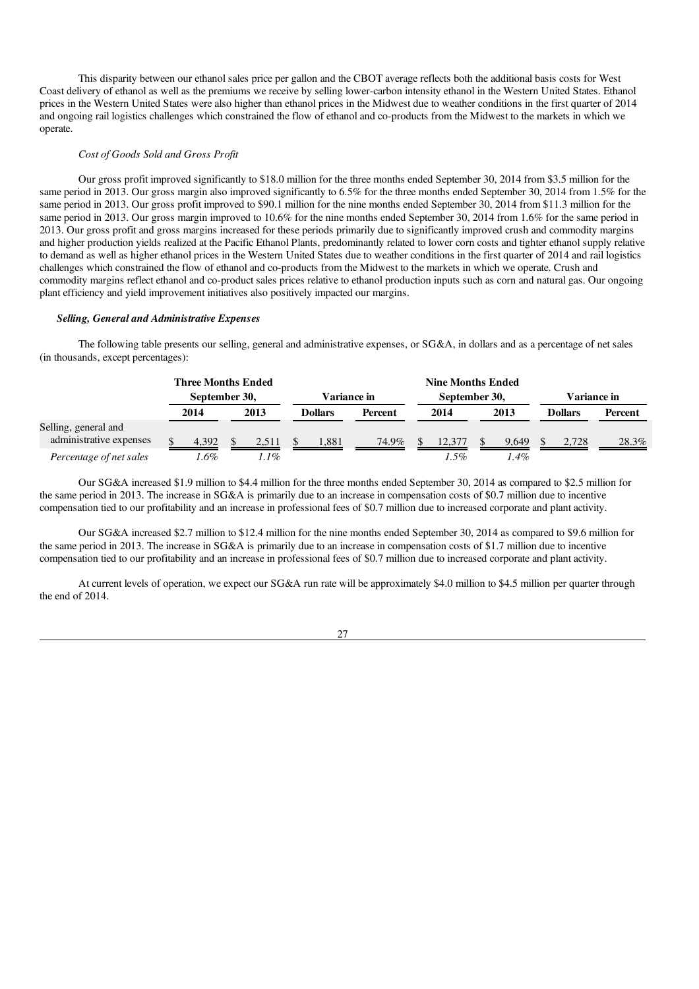This disparity between our ethanol sales price per gallon and the CBOT average reflects both the additional basis costs for West Coast delivery of ethanol as well as the premiums we receive by selling lower-carbon intensity ethanol in the Western United States. Ethanol prices in the Western United States were also higher than ethanol prices in the Midwest due to weather conditions in the first quarter of 2014 and ongoing rail logistics challenges which constrained the flow of ethanol and co-products from the Midwest to the markets in which we operate.

#### *Cost of Goods Sold and Gross Profit*

Our gross profit improved significantly to \$18.0 million for the three months ended September 30, 2014 from \$3.5 million for the same period in 2013. Our gross margin also improved significantly to 6.5% for the three months ended September 30, 2014 from 1.5% for the same period in 2013. Our gross profit improved to \$90.1 million for the nine months ended September 30, 2014 from \$11.3 million for the same period in 2013. Our gross margin improved to 10.6% for the nine months ended September 30, 2014 from 1.6% for the same period in 2013. Our gross profit and gross margins increased for these periods primarily due to significantly improved crush and commodity margins and higher production yields realized at the Pacific Ethanol Plants, predominantly related to lower corn costs and tighter ethanol supply relative to demand as well as higher ethanol prices in the Western United States due to weather conditions in the first quarter of 2014 and rail logistics challenges which constrained the flow of ethanol and co-products from the Midwest to the markets in which we operate. Crush and commodity margins reflect ethanol and co-product sales prices relative to ethanol production inputs such as corn and natural gas. Our ongoing plant efficiency and yield improvement initiatives also positively impacted our margins.

#### *Selling, General and Administrative Expenses*

The following table presents our selling, general and administrative expenses, or SG&A, in dollars and as a percentage of net sales (in thousands, except percentages):

|                                                 |      | <b>Three Months Ended</b><br>September 30, |      |       |         |       | Variance in |      | <b>Nine Months Ended</b><br>September 30, |       |        | Variance in    |       |         |  |
|-------------------------------------------------|------|--------------------------------------------|------|-------|---------|-------|-------------|------|-------------------------------------------|-------|--------|----------------|-------|---------|--|
|                                                 | 2014 |                                            | 2013 |       | Dollars |       | Percent     | 2014 |                                           | 2013  |        | <b>Dollars</b> |       | Percent |  |
| Selling, general and<br>administrative expenses |      | 4,392                                      |      | 2,511 |         | 1,881 | 74.9%       |      | 12,377                                    | 9.649 |        |                | 2,728 | 28.3%   |  |
| Percentage of net sales                         |      | .6%                                        |      | 1.1%  |         |       |             |      | 1.5%                                      |       | $.4\%$ |                |       |         |  |

Our SG&A increased \$1.9 million to \$4.4 million for the three months ended September 30, 2014 as compared to \$2.5 million for the same period in 2013. The increase in SG&A is primarily due to an increase in compensation costs of \$0.7 million due to incentive compensation tied to our profitability and an increase in professional fees of \$0.7 million due to increased corporate and plant activity.

Our SG&A increased \$2.7 million to \$12.4 million for the nine months ended September 30, 2014 as compared to \$9.6 million for the same period in 2013. The increase in SG&A is primarily due to an increase in compensation costs of \$1.7 million due to incentive compensation tied to our profitability and an increase in professional fees of \$0.7 million due to increased corporate and plant activity.

At current levels of operation, we expect our SG&A run rate will be approximately \$4.0 million to \$4.5 million per quarter through the end of 2014.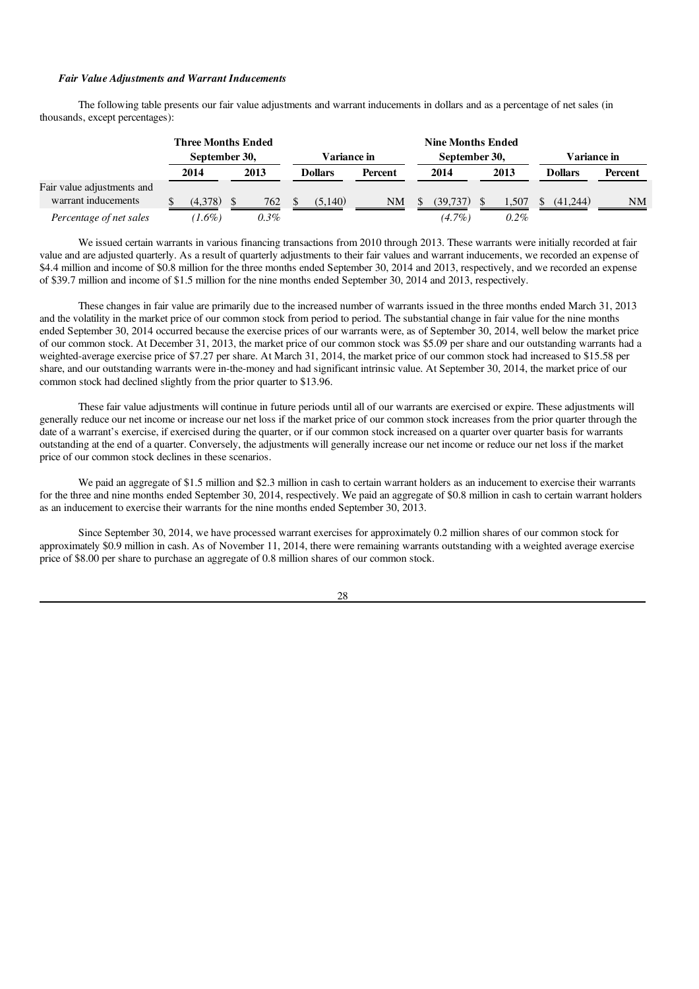#### *Fair Value Adjustments and Warrant Inducements*

The following table presents our fair value adjustments and warrant inducements in dollars and as a percentage of net sales (in thousands, except percentages):

|                                                   | <b>Three Months Ended</b><br>September 30, |           |  |         |  | Variance in    |                | <b>Nine Months Ended</b><br>September 30, |           |      |         |         | Variance in |         |  |
|---------------------------------------------------|--------------------------------------------|-----------|--|---------|--|----------------|----------------|-------------------------------------------|-----------|------|---------|---------|-------------|---------|--|
|                                                   | 2014                                       |           |  | 2013    |  | <b>Dollars</b> | <b>Percent</b> | 2014                                      |           | 2013 |         | Dollars |             | Percent |  |
| Fair value adjustments and<br>warrant inducements |                                            | (4.378)   |  | 762     |  | (5.140)        | NΜ             |                                           | (39.737)  |      | 1,507   |         | (41,244)    | NΜ      |  |
| Percentage of net sales                           |                                            | $(1.6\%)$ |  | $0.3\%$ |  |                |                |                                           | $(4.7\%)$ |      | $0.2\%$ |         |             |         |  |

We issued certain warrants in various financing transactions from 2010 through 2013. These warrants were initially recorded at fair value and are adjusted quarterly. As a result of quarterly adjustments to their fair values and warrant inducements, we recorded an expense of \$4.4 million and income of \$0.8 million for the three months ended September 30, 2014 and 2013, respectively, and we recorded an expense of \$39.7 million and income of \$1.5 million for the nine months ended September 30, 2014 and 2013, respectively.

These changes in fair value are primarily due to the increased number of warrants issued in the three months ended March 31, 2013 and the volatility in the market price of our common stock from period to period. The substantial change in fair value for the nine months ended September 30, 2014 occurred because the exercise prices of our warrants were, as of September 30, 2014, well below the market price of our common stock. At December 31, 2013, the market price of our common stock was \$5.09 per share and our outstanding warrants had a weighted-average exercise price of \$7.27 per share. At March 31, 2014, the market price of our common stock had increased to \$15.58 per share, and our outstanding warrants were in-the-money and had significant intrinsic value. At September 30, 2014, the market price of our common stock had declined slightly from the prior quarter to \$13.96.

These fair value adjustments will continue in future periods until all of our warrants are exercised or expire. These adjustments will generally reduce our net income or increase our net loss if the market price of our common stock increases from the prior quarter through the date of a warrant's exercise, if exercised during the quarter, or if our common stock increased on a quarter over quarter basis for warrants outstanding at the end of a quarter. Conversely, the adjustments will generally increase our net income or reduce our net loss if the market price of our common stock declines in these scenarios.

We paid an aggregate of \$1.5 million and \$2.3 million in cash to certain warrant holders as an inducement to exercise their warrants for the three and nine months ended September 30, 2014, respectively. We paid an aggregate of \$0.8 million in cash to certain warrant holders as an inducement to exercise their warrants for the nine months ended September 30, 2013.

Since September 30, 2014, we have processed warrant exercises for approximately 0.2 million shares of our common stock for approximately \$0.9 million in cash. As of November 11, 2014, there were remaining warrants outstanding with a weighted average exercise price of \$8.00 per share to purchase an aggregate of 0.8 million shares of our common stock.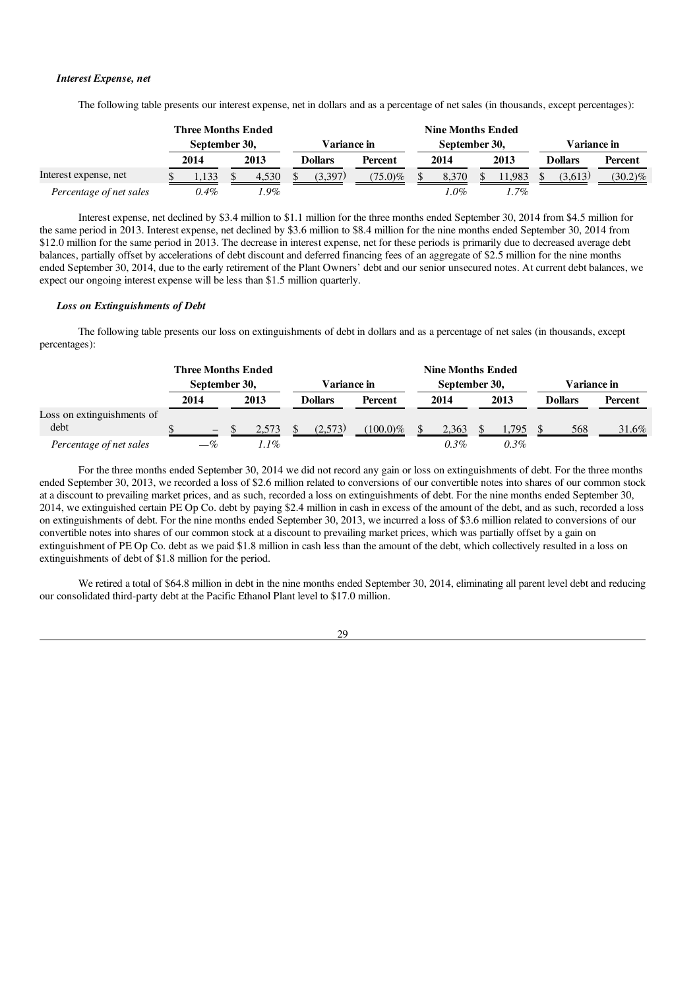#### *Interest Expense, net*

The following table presents our interest expense, net in dollars and as a percentage of net sales (in thousands, except percentages):

|                         |      | <b>Three Months Ended</b> |      |       |             | <b>Nine Months Ended</b> |            |      |               |      |        |             |         |            |  |
|-------------------------|------|---------------------------|------|-------|-------------|--------------------------|------------|------|---------------|------|--------|-------------|---------|------------|--|
|                         |      | September 30,             |      |       | Variance in |                          |            |      | September 30, |      |        | Variance in |         |            |  |
|                         | 2014 |                           | 2013 |       | Dollars     |                          | Percent    | 2014 |               | 2013 |        | Dollars     |         | Percent    |  |
| Interest expense, net   |      | 1,133                     |      | 4.530 |             | (3.397)                  | $(75.0)\%$ |      | 8,370         |      | 11,983 |             | (3.613) | $(30.2)\%$ |  |
| Percentage of net sales |      | 0.4%                      |      | .9%   |             |                          |            |      | $.0\%$        |      | $.7\%$ |             |         |            |  |

Interest expense, net declined by \$3.4 million to \$1.1 million for the three months ended September 30, 2014 from \$4.5 million for the same period in 2013. Interest expense, net declined by \$3.6 million to \$8.4 million for the nine months ended September 30, 2014 from \$12.0 million for the same period in 2013. The decrease in interest expense, net for these periods is primarily due to decreased average debt balances, partially offset by accelerations of debt discount and deferred financing fees of an aggregate of \$2.5 million for the nine months ended September 30, 2014, due to the early retirement of the Plant Owners' debt and our senior unsecured notes. At current debt balances, we expect our ongoing interest expense will be less than \$1.5 million quarterly.

#### *Loss on Extinguishments of Debt*

The following table presents our loss on extinguishments of debt in dollars and as a percentage of net sales (in thousands, except percentages):

|                            | <b>Three Months Ended</b> |  |       |             | <b>Nine Months Ended</b> |             |  |               |  |         |         |             |         |  |
|----------------------------|---------------------------|--|-------|-------------|--------------------------|-------------|--|---------------|--|---------|---------|-------------|---------|--|
|                            | September 30,             |  |       | Variance in |                          |             |  | September 30, |  |         |         | Variance in |         |  |
|                            | 2014                      |  | 2013  |             | Dollars                  | Percent     |  | 2014          |  | 2013    | Dollars |             | Percent |  |
| Loss on extinguishments of |                           |  |       |             |                          |             |  |               |  |         |         |             |         |  |
| debt                       | $\qquad \qquad -$         |  | 2.573 |             | (2,573)                  | $(100.0)\%$ |  | 2,363         |  | 1,795   |         | 568         | 31.6%   |  |
| Percentage of net sales    | $-\%$                     |  | '.1%  |             |                          |             |  | $0.3\%$       |  | $0.3\%$ |         |             |         |  |

For the three months ended September 30, 2014 we did not record any gain or loss on extinguishments of debt. For the three months ended September 30, 2013, we recorded a loss of \$2.6 million related to conversions of our convertible notes into shares of our common stock at a discount to prevailing market prices, and as such, recorded a loss on extinguishments of debt. For the nine months ended September 30, 2014, we extinguished certain PE Op Co. debt by paying \$2.4 million in cash in excess of the amount of the debt, and as such, recorded a loss on extinguishments of debt. For the nine months ended September 30, 2013, we incurred a loss of \$3.6 million related to conversions of our convertible notes into shares of our common stock at a discount to prevailing market prices, which was partially offset by a gain on extinguishment of PE Op Co. debt as we paid \$1.8 million in cash less than the amount of the debt, which collectively resulted in a loss on extinguishments of debt of \$1.8 million for the period.

We retired a total of \$64.8 million in debt in the nine months ended September 30, 2014, eliminating all parent level debt and reducing our consolidated third-party debt at the Pacific Ethanol Plant level to \$17.0 million.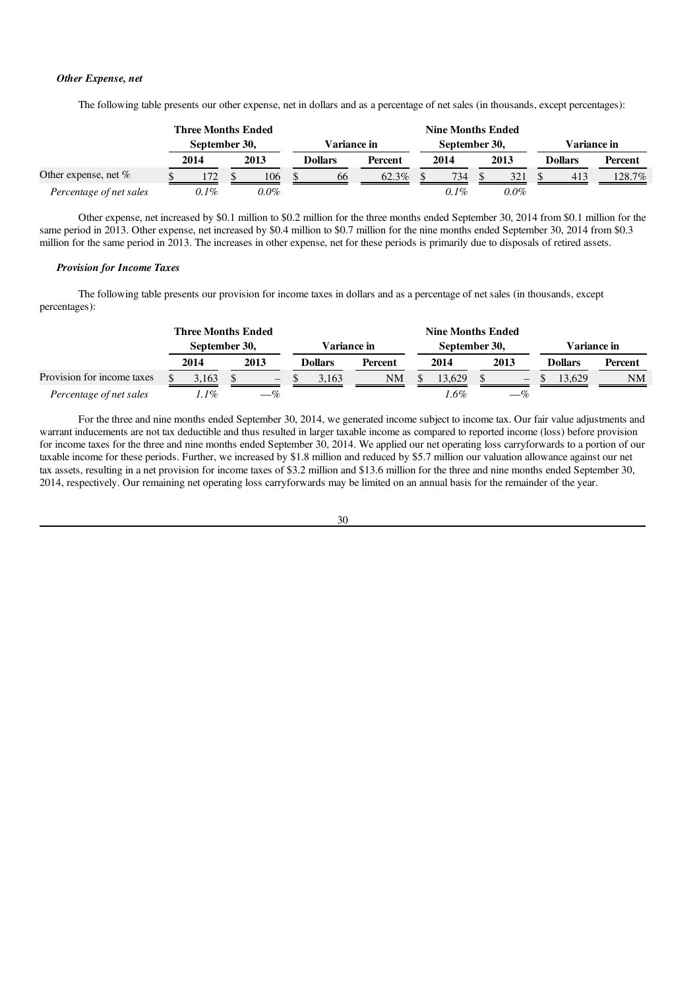#### *Other Expense, net*

The following table presents our other expense, net in dollars and as a percentage of net sales (in thousands, except percentages):

|                         | <b>Three Months Ended</b> |      |  |         |             | <b>Nine Months Ended</b> |               |  |      |             |         |  |         |         |  |
|-------------------------|---------------------------|------|--|---------|-------------|--------------------------|---------------|--|------|-------------|---------|--|---------|---------|--|
|                         | September 30,             |      |  |         | Variance in |                          | September 30, |  |      | Variance in |         |  |         |         |  |
|                         |                           | 2014 |  | 2013    |             | Dollars                  | Percent       |  | 2014 |             | 2013    |  | Dollars | Percent |  |
| Other expense, net $\%$ |                           |      |  | 106     |             | 66                       | 62.3%         |  | 734  |             | 321     |  | 413     | 128.7%  |  |
| Percentage of net sales |                           | 0.1% |  | $0.0\%$ |             |                          |               |  | 0.1% |             | $0.0\%$ |  |         |         |  |

Other expense, net increased by \$0.1 million to \$0.2 million for the three months ended September 30, 2014 from \$0.1 million for the same period in 2013. Other expense, net increased by \$0.4 million to \$0.7 million for the nine months ended September 30, 2014 from \$0.3 million for the same period in 2013. The increases in other expense, net for these periods is primarily due to disposals of retired assets.

## *Provision for Income Taxes*

The following table presents our provision for income taxes in dollars and as a percentage of net sales (in thousands, except percentages):

|                            | <b>Three Months Ended</b> |       |      |                          |         |       |         |               |        |      |                          |             |        |         |
|----------------------------|---------------------------|-------|------|--------------------------|---------|-------|---------|---------------|--------|------|--------------------------|-------------|--------|---------|
|                            | September 30,             |       |      | <b>Variance in</b>       |         |       |         | September 30, |        |      |                          | Variance in |        |         |
|                            | 2014                      |       | 2013 |                          | Dollars |       | Percent | 2014          |        | 2013 |                          | Dollars     |        | Percent |
| Provision for income taxes |                           | 3.163 |      | $\overline{\phantom{m}}$ |         | 3.163 | NΜ      |               | 13.629 |      | $\overline{\phantom{m}}$ |             | 13.629 | NΜ      |
| Percentage of net sales    |                           | .1%   |      |                          |         |       |         |               | '.6%   |      | $-\%$                    |             |        |         |

For the three and nine months ended September 30, 2014, we generated income subject to income tax. Our fair value adjustments and warrant inducements are not tax deductible and thus resulted in larger taxable income as compared to reported income (loss) before provision for income taxes for the three and nine months ended September 30, 2014. We applied our net operating loss carryforwards to a portion of our taxable income for these periods. Further, we increased by \$1.8 million and reduced by \$5.7 million our valuation allowance against our net tax assets, resulting in a net provision for income taxes of \$3.2 million and \$13.6 million for the three and nine months ended September 30, 2014, respectively. Our remaining net operating loss carryforwards may be limited on an annual basis for the remainder of the year.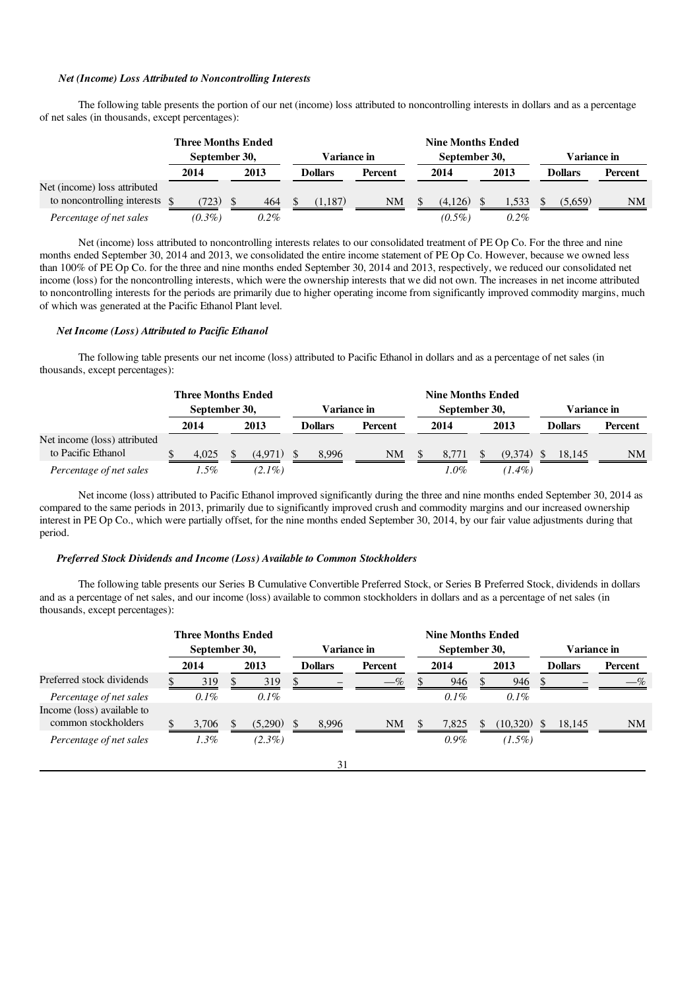#### *Net (Income) Loss Attributed to Noncontrolling Interests*

The following table presents the portion of our net (income) loss attributed to noncontrolling interests in dollars and as a percentage of net sales (in thousands, except percentages):

|                                                                | <b>Three Months Ended</b><br>September 30, |           |  |         | Variance in |         |                |  | <b>Nine Months Ended</b><br>September 30, |  |         |  | Variance in    |         |  |  |
|----------------------------------------------------------------|--------------------------------------------|-----------|--|---------|-------------|---------|----------------|--|-------------------------------------------|--|---------|--|----------------|---------|--|--|
|                                                                | 2014                                       |           |  | 2013    |             | Dollars | <b>Percent</b> |  | 2014                                      |  | 2013    |  | <b>Dollars</b> | Percent |  |  |
| Net (income) loss attributed<br>to noncontrolling interests \, |                                            | (723)     |  | 464     |             | 1,187)  | NM             |  | (4,126)                                   |  | 1,533   |  | (5,659)        | NΜ      |  |  |
| Percentage of net sales                                        |                                            | $(0.3\%)$ |  | $0.2\%$ |             |         |                |  | $(0.5\%)$                                 |  | $0.2\%$ |  |                |         |  |  |

Net (income) loss attributed to noncontrolling interests relates to our consolidated treatment of PE Op Co. For the three and nine months ended September 30, 2014 and 2013, we consolidated the entire income statement of PE Op Co. However, because we owned less than 100% of PE Op Co. for the three and nine months ended September 30, 2014 and 2013, respectively, we reduced our consolidated net income (loss) for the noncontrolling interests, which were the ownership interests that we did not own. The increases in net income attributed to noncontrolling interests for the periods are primarily due to higher operating income from significantly improved commodity margins, much of which was generated at the Pacific Ethanol Plant level.

#### *Net Income (Loss) Attributed to Pacific Ethanol*

The following table presents our net income (loss) attributed to Pacific Ethanol in dollars and as a percentage of net sales (in thousands, except percentages):

|                                                    | <b>Three Months Ended</b> |  |           |             |         |                |               |       |  |           |             |                |         |
|----------------------------------------------------|---------------------------|--|-----------|-------------|---------|----------------|---------------|-------|--|-----------|-------------|----------------|---------|
|                                                    | September 30,             |  |           | Variance in |         |                | September 30, |       |  |           | Variance in |                |         |
|                                                    | 2014                      |  | 2013      |             | Dollars | <b>Percent</b> |               | 2014  |  | 2013      |             | <b>Dollars</b> | Percent |
| Net income (loss) attributed<br>to Pacific Ethanol | 4.025                     |  | (4.971)   |             | 8.996   | NΜ             |               | 8.771 |  | (9.374)   |             | 18.145         | NΜ      |
| Percentage of net sales                            | $.5\%$                    |  | $(2.1\%)$ |             |         |                |               | 1.0%  |  | $(1.4\%)$ |             |                |         |

Net income (loss) attributed to Pacific Ethanol improved significantly during the three and nine months ended September 30, 2014 as compared to the same periods in 2013, primarily due to significantly improved crush and commodity margins and our increased ownership interest in PE Op Co., which were partially offset, for the nine months ended September 30, 2014, by our fair value adjustments during that period.

### *Preferred Stock Dividends and Income (Loss) Available to Common Stockholders*

The following table presents our Series B Cumulative Convertible Preferred Stock, or Series B Preferred Stock, dividends in dollars and as a percentage of net sales, and our income (loss) available to common stockholders in dollars and as a percentage of net sales (in thousands, except percentages):

|                                                                              | <b>Three Months Ended</b><br>September 30, |               |  |                    |  |                | <b>Variance in</b> | <b>Nine Months Ended</b><br>September 30, |               |  |                      |  | Variance in    |         |  |
|------------------------------------------------------------------------------|--------------------------------------------|---------------|--|--------------------|--|----------------|--------------------|-------------------------------------------|---------------|--|----------------------|--|----------------|---------|--|
|                                                                              |                                            | 2014          |  | 2013               |  | <b>Dollars</b> | Percent            |                                           | 2014          |  | 2013                 |  | <b>Dollars</b> | Percent |  |
| Preferred stock dividends                                                    |                                            | 319           |  | 319                |  |                | $-\%$              |                                           | 946           |  | 946                  |  |                |         |  |
| Percentage of net sales<br>Income (loss) available to<br>common stockholders |                                            | 0.1%<br>3,706 |  | $0.1\%$<br>(5,290) |  | 8.996          | NM                 |                                           | 0.1%<br>7,825 |  | $0.1\%$<br>(10, 320) |  | 18,145         | NM      |  |
| Percentage of net sales                                                      |                                            | $1.3\%$       |  | $(2.3\%)$          |  |                |                    |                                           | $0.9\%$       |  | $(1.5\%)$            |  |                |         |  |
|                                                                              |                                            |               |  |                    |  | 31             |                    |                                           |               |  |                      |  |                |         |  |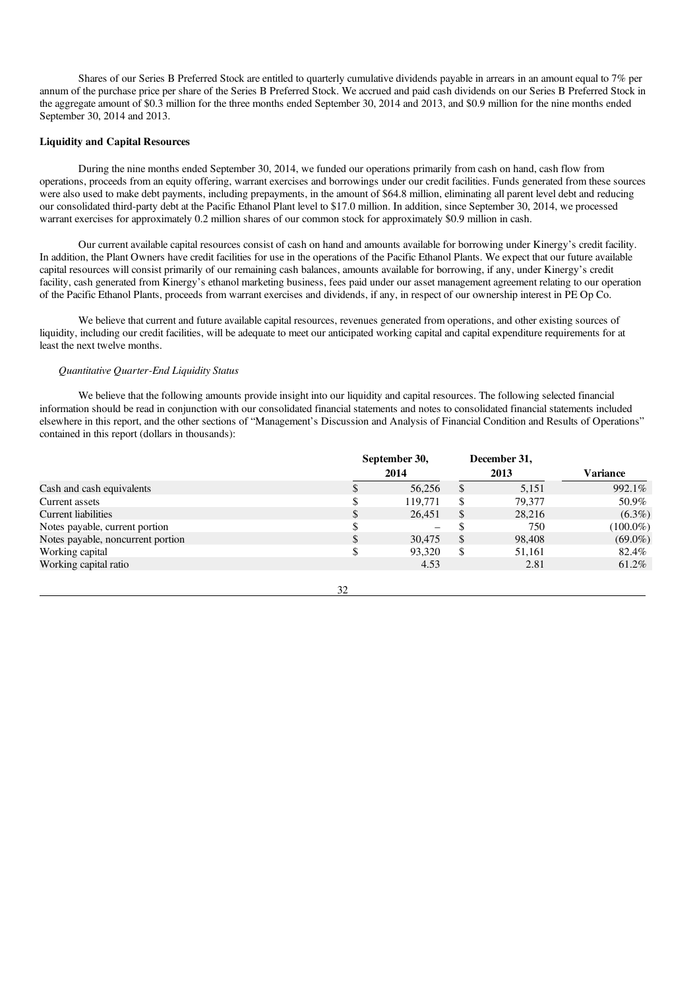Shares of our Series B Preferred Stock are entitled to quarterly cumulative dividends payable in arrears in an amount equal to 7% per annum of the purchase price per share of the Series B Preferred Stock. We accrued and paid cash dividends on our Series B Preferred Stock in the aggregate amount of \$0.3 million for the three months ended September 30, 2014 and 2013, and \$0.9 million for the nine months ended September 30, 2014 and 2013.

#### Liquidity and Capital Resources

During the nine months ended September 30, 2014, we funded our operations primarily from cash on hand, cash flow from operations, proceeds from an equity offering, warrant exercises and borrowings under our credit facilities. Funds generated from these sources were also used to make debt payments, including prepayments, in the amount of \$64.8 million, eliminating all parent level debt and reducing our consolidated third-party debt at the Pacific Ethanol Plant level to \$17.0 million. In addition, since September 30, 2014, we processed warrant exercises for approximately 0.2 million shares of our common stock for approximately \$0.9 million in cash.

Our current available capital resources consist of cash on hand and amounts available for borrowing under Kinergy's credit facility. In addition, the Plant Owners have credit facilities for use in the operations of the Pacific Ethanol Plants. We expect that our future available capital resources will consist primarily of our remaining cash balances, amounts available for borrowing, if any, under Kinergy's credit facility, cash generated from Kinergy's ethanol marketing business, fees paid under our asset management agreement relating to our operation of the Pacific Ethanol Plants, proceeds from warrant exercises and dividends, if any, in respect of our ownership interest in PE Op Co.

We believe that current and future available capital resources, revenues generated from operations, and other existing sources of liquidity, including our credit facilities, will be adequate to meet our anticipated working capital and capital expenditure requirements for at least the next twelve months.

#### *Quantitative Quarter-End Liquidity Status*

We believe that the following amounts provide insight into our liquidity and capital resources. The following selected financial information should be read in conjunction with our consolidated financial statements and notes to consolidated financial statements included elsewhere in this report, and the other sections of "Management's Discussion and Analysis of Financial Condition and Results of Operations" contained in this report (dollars in thousands):

|                                   |    | September 30, |     |        |             |
|-----------------------------------|----|---------------|-----|--------|-------------|
|                                   |    | 2014          |     | 2013   | Variance    |
| Cash and cash equivalents         |    | 56.256        |     | 5.151  | 992.1%      |
| Current assets                    | S  | 119,771       |     | 79.377 | 50.9%       |
| Current liabilities               | \$ | 26.451        | \$. | 28.216 | $(6.3\%)$   |
| Notes payable, current portion    |    |               |     | 750    | $(100.0\%)$ |
| Notes payable, noncurrent portion | \$ | 30,475        |     | 98,408 | $(69.0\%)$  |
| Working capital                   | \$ | 93,320        | \$  | 51,161 | 82.4%       |
| Working capital ratio             |    | 4.53          |     | 2.81   | 61.2%       |
|                                   |    |               |     |        |             |

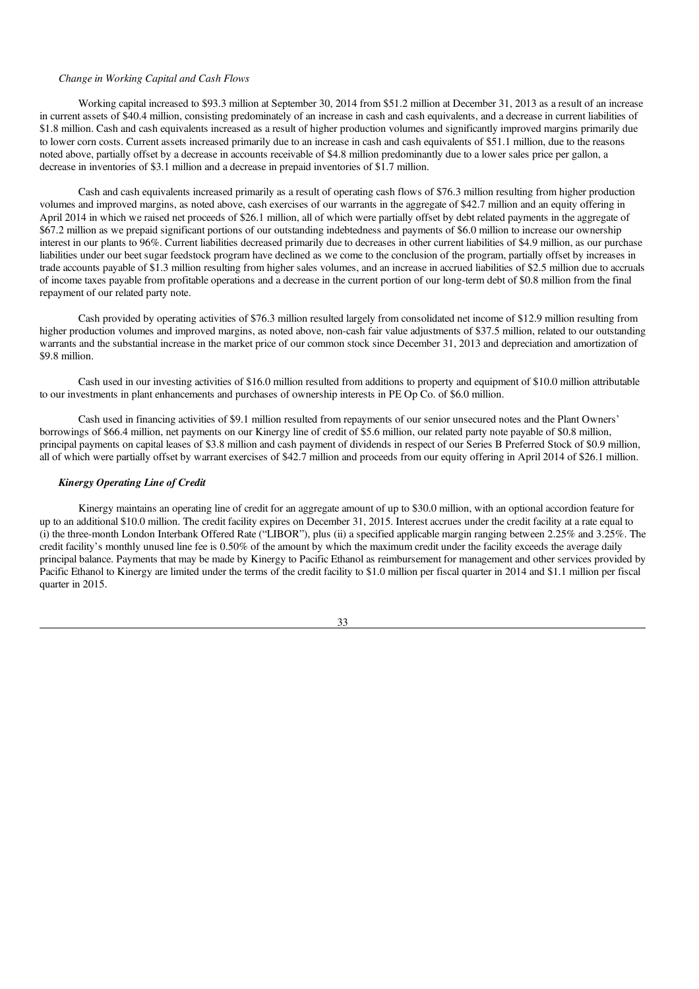#### *Change in Working Capital and Cash Flows*

Working capital increased to \$93.3 million at September 30, 2014 from \$51.2 million at December 31, 2013 as a result of an increase in current assets of \$40.4 million, consisting predominately of an increase in cash and cash equivalents, and a decrease in current liabilities of \$1.8 million. Cash and cash equivalents increased as a result of higher production volumes and significantly improved margins primarily due to lower corn costs. Current assets increased primarily due to an increase in cash and cash equivalents of \$51.1 million, due to the reasons noted above, partially offset by a decrease in accounts receivable of \$4.8 million predominantly due to a lower sales price per gallon, a decrease in inventories of \$3.1 million and a decrease in prepaid inventories of \$1.7 million.

Cash and cash equivalents increased primarily as a result of operating cash flows of \$76.3 million resulting from higher production volumes and improved margins, as noted above, cash exercises of our warrants in the aggregate of \$42.7 million and an equity offering in April 2014 in which we raised net proceeds of \$26.1 million, all of which were partially offset by debt related payments in the aggregate of \$67.2 million as we prepaid significant portions of our outstanding indebtedness and payments of \$6.0 million to increase our ownership interest in our plants to 96%. Current liabilities decreased primarily due to decreases in other current liabilities of \$4.9 million, as our purchase liabilities under our beet sugar feedstock program have declined as we come to the conclusion of the program, partially offset by increases in trade accounts payable of \$1.3 million resulting from higher sales volumes, and an increase in accrued liabilities of \$2.5 million due to accruals of income taxes payable from profitable operations and a decrease in the current portion of our long-term debt of \$0.8 million from the final repayment of our related party note.

Cash provided by operating activities of \$76.3 million resulted largely from consolidated net income of \$12.9 million resulting from higher production volumes and improved margins, as noted above, non-cash fair value adjustments of \$37.5 million, related to our outstanding warrants and the substantial increase in the market price of our common stock since December 31, 2013 and depreciation and amortization of \$9.8 million.

Cash used in our investing activities of \$16.0 million resulted from additions to property and equipment of \$10.0 million attributable to our investments in plant enhancements and purchases of ownership interests in PE Op Co. of \$6.0 million.

Cash used in financing activities of \$9.1 million resulted from repayments of our senior unsecured notes and the Plant Owners' borrowings of \$66.4 million, net payments on our Kinergy line of credit of \$5.6 million, our related party note payable of \$0.8 million, principal payments on capital leases of \$3.8 million and cash payment of dividends in respect of our Series B Preferred Stock of \$0.9 million, all of which were partially offset by warrant exercises of \$42.7 million and proceeds from our equity offering in April 2014 of \$26.1 million.

### *Kinergy Operating Line of Credit*

Kinergy maintains an operating line of credit for an aggregate amount of up to \$30.0 million, with an optional accordion feature for up to an additional \$10.0 million. The credit facility expires on December 31, 2015. Interest accrues under the credit facility at a rate equal to (i) the three-month London Interbank Offered Rate ("LIBOR"), plus (ii) a specified applicable margin ranging between 2.25% and 3.25%. The credit facility's monthly unused line fee is 0.50% of the amount by which the maximum credit under the facility exceeds the average daily principal balance. Payments that may be made by Kinergy to Pacific Ethanol as reimbursement for management and other services provided by Pacific Ethanol to Kinergy are limited under the terms of the credit facility to \$1.0 million per fiscal quarter in 2014 and \$1.1 million per fiscal quarter in 2015.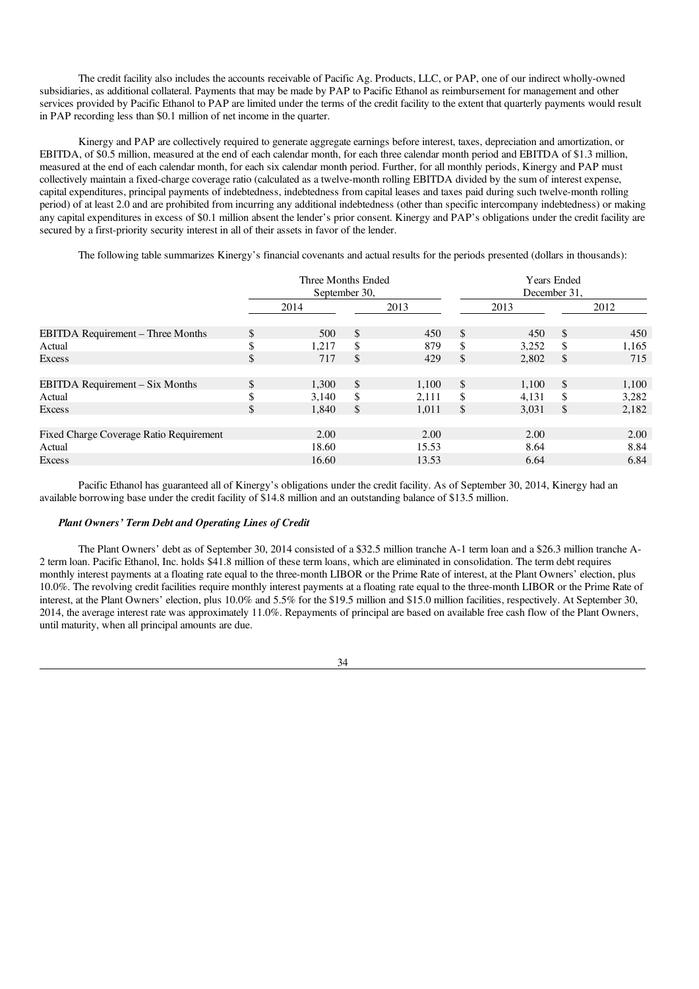The credit facility also includes the accounts receivable of Pacific Ag. Products, LLC, or PAP, one of our indirect wholly-owned subsidiaries, as additional collateral. Payments that may be made by PAP to Pacific Ethanol as reimbursement for management and other services provided by Pacific Ethanol to PAP are limited under the terms of the credit facility to the extent that quarterly payments would result in PAP recording less than \$0.1 million of net income in the quarter.

Kinergy and PAP are collectively required to generate aggregate earnings before interest, taxes, depreciation and amortization, or EBITDA, of \$0.5 million, measured at the end of each calendar month, for each three calendar month period and EBITDA of \$1.3 million, measured at the end of each calendar month, for each six calendar month period. Further, for all monthly periods, Kinergy and PAP must collectively maintain a fixed-charge coverage ratio (calculated as a twelve-month rolling EBITDA divided by the sum of interest expense, capital expenditures, principal payments of indebtedness, indebtedness from capital leases and taxes paid during such twelve-month rolling period) of at least 2.0 and are prohibited from incurring any additional indebtedness (other than specific intercompany indebtedness) or making any capital expenditures in excess of \$0.1 million absent the lender's prior consent. Kinergy and PAP's obligations under the credit facility are secured by a first-priority security interest in all of their assets in favor of the lender.

The following table summarizes Kinergy's financial covenants and actual results for the periods presented (dollars in thousands):

|                                          |    | Three Months Ended<br>September 30. |    |       |              | <b>Years Ended</b><br>December 31. |    |       |  |  |  |
|------------------------------------------|----|-------------------------------------|----|-------|--------------|------------------------------------|----|-------|--|--|--|
|                                          |    | 2014                                |    | 2013  |              | 2013                               |    | 2012  |  |  |  |
| <b>EBITDA Requirement – Three Months</b> | \$ | 500                                 | \$ | 450   | \$           | 450                                | \$ | 450   |  |  |  |
| Actual                                   | \$ | 1.217                               | S  | 879   | \$           | 3,252                              | \$ | 1,165 |  |  |  |
| Excess                                   | \$ | 717                                 | \$ | 429   | \$           | 2,802                              | \$ | 715   |  |  |  |
| EBITDA Requirement - Six Months          | \$ | 1.300                               | \$ | 1.100 | $\mathbb{S}$ | 1.100                              | \$ | 1,100 |  |  |  |
| Actual                                   | Φ  | 3,140                               | \$ | 2,111 | \$           | 4,131                              | \$ | 3,282 |  |  |  |
| Excess                                   | \$ | 1,840                               | \$ | 1,011 | \$           | 3,031                              | \$ | 2,182 |  |  |  |
| Fixed Charge Coverage Ratio Requirement  |    | 2.00                                |    | 2.00  |              | 2.00                               |    | 2.00  |  |  |  |
| Actual                                   |    | 18.60                               |    | 15.53 |              | 8.64                               |    | 8.84  |  |  |  |
| Excess                                   |    | 16.60                               |    | 13.53 |              | 6.64                               |    | 6.84  |  |  |  |

Pacific Ethanol has guaranteed all of Kinergy's obligations under the credit facility. As of September 30, 2014, Kinergy had an available borrowing base under the credit facility of \$14.8 million and an outstanding balance of \$13.5 million.

### *Plant Owners' Term Debt and Operating Lines of Credit*

The Plant Owners' debt as of September 30, 2014 consisted of a \$32.5 million tranche A-1 term loan and a \$26.3 million tranche A-2 term loan. Pacific Ethanol, Inc. holds \$41.8 million of these term loans, which are eliminated in consolidation. The term debt requires monthly interest payments at a floating rate equal to the three-month LIBOR or the Prime Rate of interest, at the Plant Owners' election, plus 10.0%. The revolving credit facilities require monthly interest payments at a floating rate equal to the three-month LIBOR or the Prime Rate of interest, at the Plant Owners' election, plus 10.0% and 5.5% for the \$19.5 million and \$15.0 million facilities, respectively. At September 30, 2014, the average interest rate was approximately 11.0%. Repayments of principal are based on available free cash flow of the Plant Owners, until maturity, when all principal amounts are due.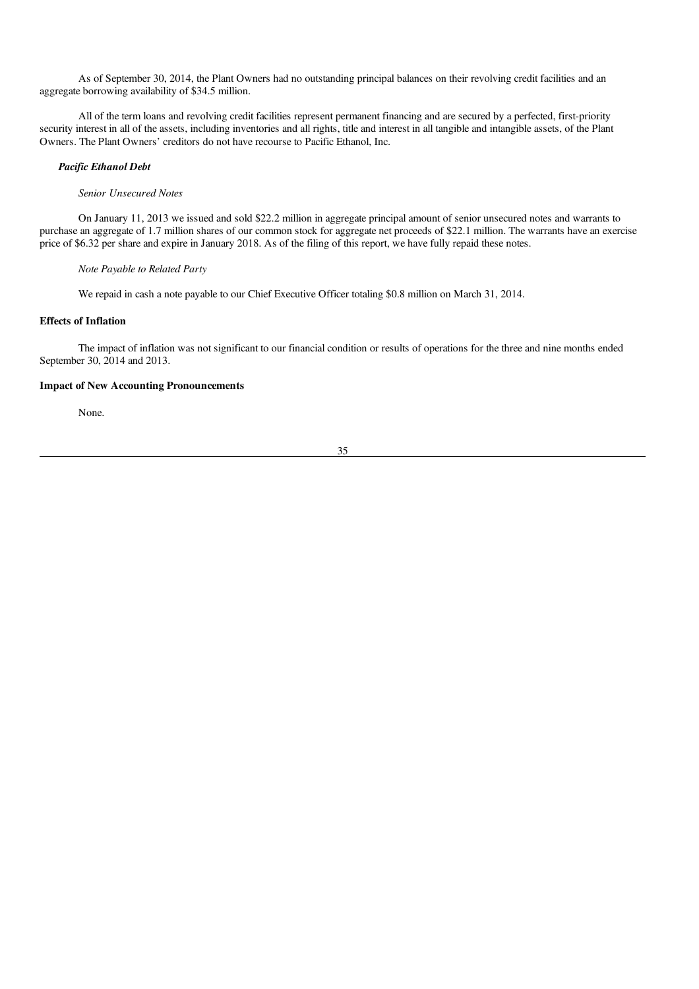As of September 30, 2014, the Plant Owners had no outstanding principal balances on their revolving credit facilities and an aggregate borrowing availability of \$34.5 million.

All of the term loans and revolving credit facilities represent permanent financing and are secured by a perfected, first-priority security interest in all of the assets, including inventories and all rights, title and interest in all tangible and intangible assets, of the Plant Owners. The Plant Owners' creditors do not have recourse to Pacific Ethanol, Inc.

### *Pacific Ethanol Debt*

#### *Senior Unsecured Notes*

On January 11, 2013 we issued and sold \$22.2 million in aggregate principal amount of senior unsecured notes and warrants to purchase an aggregate of 1.7 million shares of our common stock for aggregate net proceeds of \$22.1 million. The warrants have an exercise price of \$6.32 per share and expire in January 2018. As of the filing of this report, we have fully repaid these notes.

#### *Note Payable to Related Party*

We repaid in cash a note payable to our Chief Executive Officer totaling \$0.8 million on March 31, 2014.

### Effects of Inflation

The impact of inflation was not significant to our financial condition or results of operations for the three and nine months ended September 30, 2014 and 2013.

### Impact of New Accounting Pronouncements

None.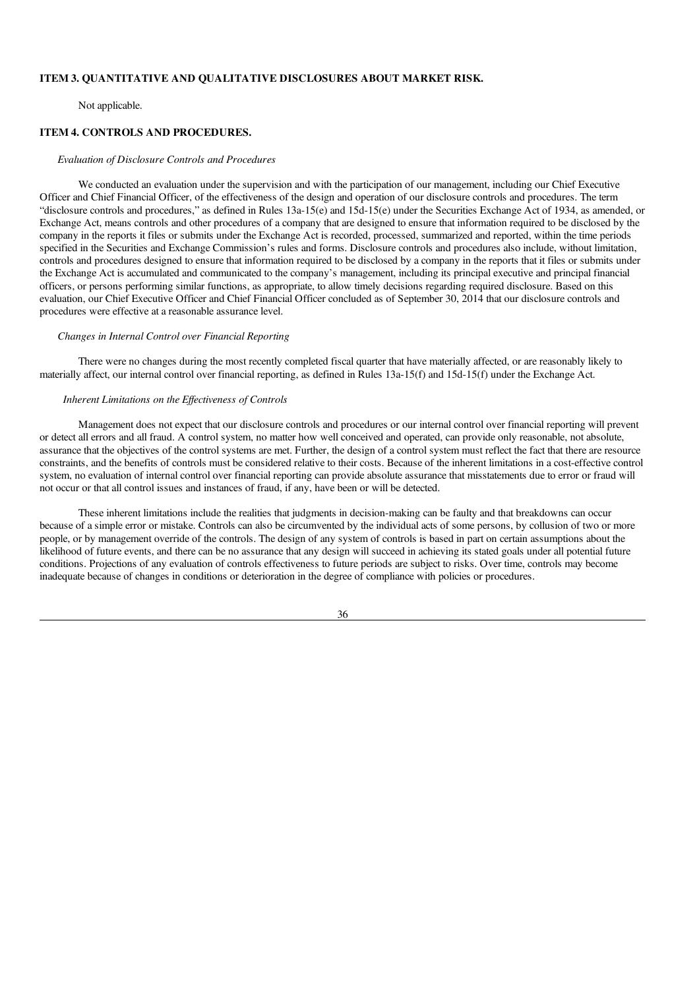#### ITEM 3. QUANTITATIVE AND QUALITATIVE DISCLOSURES ABOUT MARKET RISK.

Not applicable.

#### ITEM 4. CONTROLS AND PROCEDURES.

## *Evaluation of Disclosure Controls and Procedures*

We conducted an evaluation under the supervision and with the participation of our management, including our Chief Executive Officer and Chief Financial Officer, of the effectiveness of the design and operation of our disclosure controls and procedures. The term "disclosure controls and procedures," as defined in Rules 13a-15(e) and 15d-15(e) under the Securities Exchange Act of 1934, as amended, or Exchange Act, means controls and other procedures of a company that are designed to ensure that information required to be disclosed by the company in the reports it files or submits under the Exchange Act is recorded, processed, summarized and reported, within the time periods specified in the Securities and Exchange Commission's rules and forms. Disclosure controls and procedures also include, without limitation, controls and procedures designed to ensure that information required to be disclosed by a company in the reports that it files or submits under the Exchange Act is accumulated and communicated to the company's management, including its principal executive and principal financial officers, or persons performing similar functions, as appropriate, to allow timely decisions regarding required disclosure. Based on this evaluation, our Chief Executive Officer and Chief Financial Officer concluded as of September 30, 2014 that our disclosure controls and procedures were effective at a reasonable assurance level.

#### *Changes in Internal Control over Financial Reporting*

There were no changes during the most recently completed fiscal quarter that have materially affected, or are reasonably likely to materially affect, our internal control over financial reporting, as defined in Rules 13a-15(f) and 15d-15(f) under the Exchange Act.

#### *Inherent Limitations on the Ef ectiveness of Controls*

Management does not expect that our disclosure controls and procedures or our internal control over financial reporting will prevent or detect all errors and all fraud. A control system, no matter how well conceived and operated, can provide only reasonable, not absolute, assurance that the objectives of the control systems are met. Further, the design of a control system must reflect the fact that there are resource constraints, and the benefits of controls must be considered relative to their costs. Because of the inherent limitations in a cost-effective control system, no evaluation of internal control over financial reporting can provide absolute assurance that misstatements due to error or fraud will not occur or that all control issues and instances of fraud, if any, have been or will be detected.

These inherent limitations include the realities that judgments in decision-making can be faulty and that breakdowns can occur because of a simple error or mistake. Controls can also be circumvented by the individual acts of some persons, by collusion of two or more people, or by management override of the controls. The design of any system of controls is based in part on certain assumptions about the likelihood of future events, and there can be no assurance that any design will succeed in achieving its stated goals under all potential future conditions. Projections of any evaluation of controls effectiveness to future periods are subject to risks. Over time, controls may become inadequate because of changes in conditions or deterioration in the degree of compliance with policies or procedures.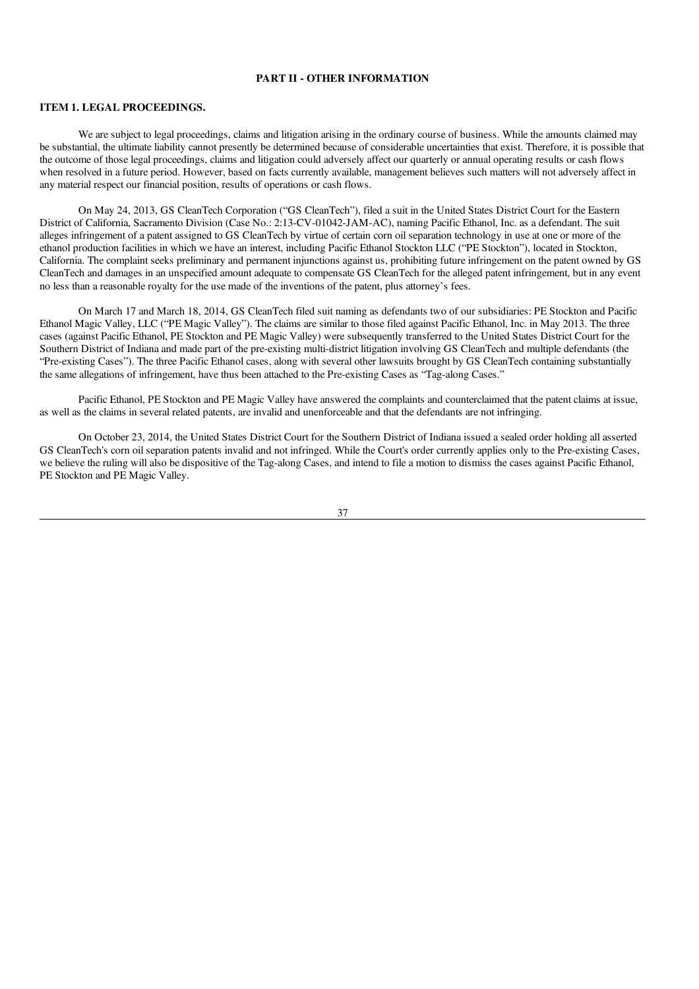## PART II - OTHER INFORMATION

### ITEM 1. LEGAL PROCEEDINGS.

We are subject to legal proceedings, claims and litigation arising in the ordinary course of business. While the amounts claimed may be substantial, the ultimate liability cannot presently be determined because of considerable uncertainties that exist. Therefore, it is possible that the outcome of those legal proceedings, claims and litigation could adversely affect our quarterly or annual operating results or cash flows when resolved in a future period. However, based on facts currently available, management believes such matters will not adversely affect in any material respect our financial position, results of operations or cash flows.

On May 24, 2013, GS CleanTech Corporation ("GS CleanTech"), filed a suit in the United States District Court for the Eastern District of California, Sacramento Division (Case No.: 2:13-CV-01042-JAM-AC), naming Pacific Ethanol, Inc. as a defendant. The suit alleges infringement of a patent assigned to GS CleanTech by virtue of certain corn oil separation technology in use at one or more of the ethanol production facilities in which we have an interest, including Pacific Ethanol Stockton LLC ("PE Stockton"), located in Stockton, California. The complaint seeks preliminary and permanent injunctions against us, prohibiting future infringement on the patent owned by GS CleanTech and damages in an unspecified amount adequate to compensate GS CleanTech for the alleged patent infringement, but in any event no less than a reasonable royalty for the use made of the inventions of the patent, plus attorney's fees.

On March 17 and March 18, 2014, GS CleanTech filed suit naming as defendants two of our subsidiaries: PE Stockton and Pacific Ethanol Magic Valley, LLC ("PE Magic Valley"). The claims are similar to those filed against Pacific Ethanol, Inc. in May 2013. The three cases (against Pacific Ethanol, PE Stockton and PE Magic Valley) were subsequently transferred to the United States District Court for the Southern District of Indiana and made part of the pre-existing multi-district litigation involving GS CleanTech and multiple defendants (the "Pre-existing Cases"). The three Pacific Ethanol cases, along with several other lawsuits brought by GS CleanTech containing substantially the same allegations of infringement, have thus been attached to the Pre-existing Cases as "Tag-along Cases."

Pacific Ethanol, PE Stockton and PE Magic Valley have answered the complaints and counterclaimed that the patent claims at issue, as well as the claims in several related patents, are invalid and unenforceable and that the defendants are not infringing.

On October 23, 2014, the United States District Court for the Southern District of Indiana issued a sealed order holding all asserted GS CleanTech's corn oil separation patents invalid and not infringed. While the Court's order currently applies only to the Pre-existing Cases, we believe the ruling will also be dispositive of the Tag-along Cases, and intend to file a motion to dismiss the cases against Pacific Ethanol, PE Stockton and PE Magic Valley.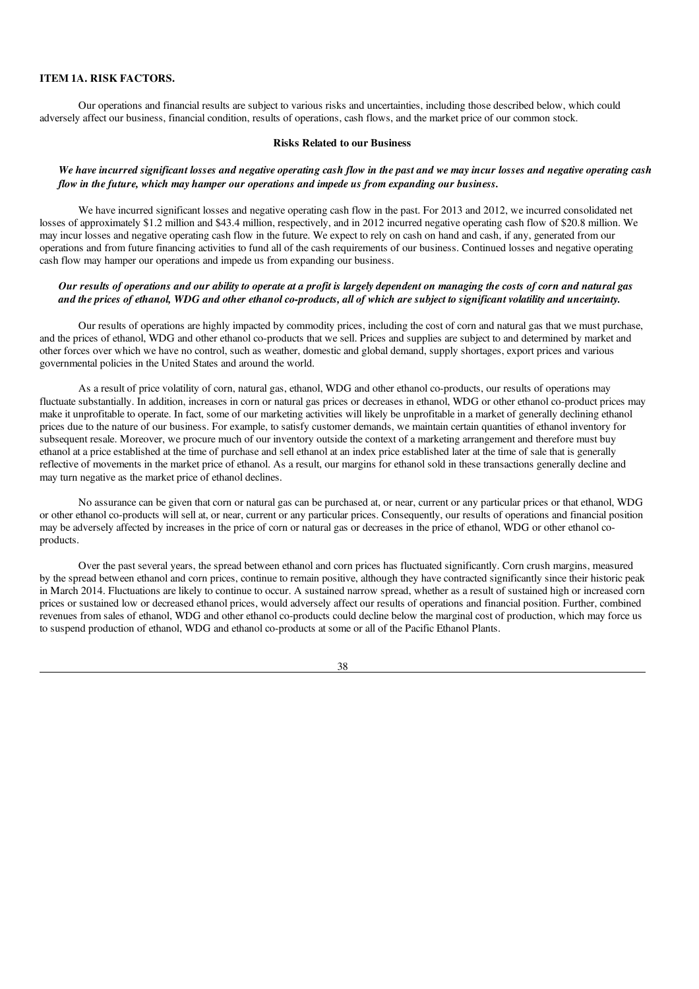#### ITEM 1A. RISK FACTORS.

Our operations and financial results are subject to various risks and uncertainties, including those described below, which could adversely affect our business, financial condition, results of operations, cash flows, and the market price of our common stock.

#### Risks Related to our Business

#### We have incurred significant losses and negative operating cash flow in the past and we may incur losses and negative operating cash *flow in the future, which may hamper our operations and impede us from expanding our business.*

We have incurred significant losses and negative operating cash flow in the past. For 2013 and 2012, we incurred consolidated net losses of approximately \$1.2 million and \$43.4 million, respectively, and in 2012 incurred negative operating cash flow of \$20.8 million. We may incur losses and negative operating cash flow in the future. We expect to rely on cash on hand and cash, if any, generated from our operations and from future financing activities to fund all of the cash requirements of our business. Continued losses and negative operating cash flow may hamper our operations and impede us from expanding our business.

#### Our results of operations and our ability to operate at a profit is largely dependent on managing the costs of corn and natural gas and the prices of ethanol, WDG and other ethanol co-products, all of which are subject to significant volatility and uncertainty.

Our results of operations are highly impacted by commodity prices, including the cost of corn and natural gas that we must purchase, and the prices of ethanol, WDG and other ethanol co-products that we sell. Prices and supplies are subject to and determined by market and other forces over which we have no control, such as weather, domestic and global demand, supply shortages, export prices and various governmental policies in the United States and around the world.

As a result of price volatility of corn, natural gas, ethanol, WDG and other ethanol co-products, our results of operations may fluctuate substantially. In addition, increases in corn or natural gas prices or decreases in ethanol, WDG or other ethanol co-product prices may make it unprofitable to operate. In fact, some of our marketing activities will likely be unprofitable in a market of generally declining ethanol prices due to the nature of our business. For example, to satisfy customer demands, we maintain certain quantities of ethanol inventory for subsequent resale. Moreover, we procure much of our inventory outside the context of a marketing arrangement and therefore must buy ethanol at a price established at the time of purchase and sell ethanol at an index price established later at the time of sale that is generally reflective of movements in the market price of ethanol. As a result, our margins for ethanol sold in these transactions generally decline and may turn negative as the market price of ethanol declines.

No assurance can be given that corn or natural gas can be purchased at, or near, current or any particular prices or that ethanol, WDG or other ethanol co-products will sell at, or near, current or any particular prices. Consequently, our results of operations and financial position may be adversely affected by increases in the price of corn or natural gas or decreases in the price of ethanol, WDG or other ethanol coproducts.

Over the past several years, the spread between ethanol and corn prices has fluctuated significantly. Corn crush margins, measured by the spread between ethanol and corn prices, continue to remain positive, although they have contracted significantly since their historic peak in March 2014. Fluctuations are likely to continue to occur. A sustained narrow spread, whether as a result of sustained high or increased corn prices or sustained low or decreased ethanol prices, would adversely affect our results of operations and financial position. Further, combined revenues from sales of ethanol, WDG and other ethanol co-products could decline below the marginal cost of production, which may force us to suspend production of ethanol, WDG and ethanol co-products at some or all of the Pacific Ethanol Plants.

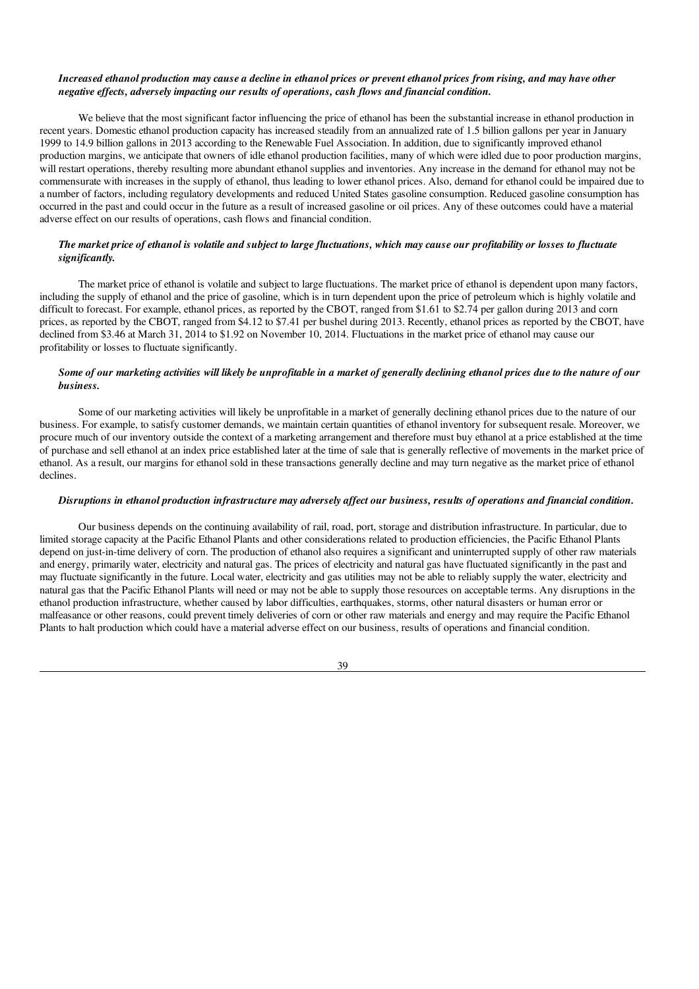#### Increased ethanol production may cause a decline in ethanol prices or prevent ethanol prices from rising, and may have other *negative effects, adversely impacting our results of operations, cash flows and financial condition.*

We believe that the most significant factor influencing the price of ethanol has been the substantial increase in ethanol production in recent years. Domestic ethanol production capacity has increased steadily from an annualized rate of 1.5 billion gallons per year in January 1999 to 14.9 billion gallons in 2013 according to the Renewable Fuel Association. In addition, due to significantly improved ethanol production margins, we anticipate that owners of idle ethanol production facilities, many of which were idled due to poor production margins, will restart operations, thereby resulting more abundant ethanol supplies and inventories. Any increase in the demand for ethanol may not be commensurate with increases in the supply of ethanol, thus leading to lower ethanol prices. Also, demand for ethanol could be impaired due to a number of factors, including regulatory developments and reduced United States gasoline consumption. Reduced gasoline consumption has occurred in the past and could occur in the future as a result of increased gasoline or oil prices. Any of these outcomes could have a material adverse effect on our results of operations, cash flows and financial condition.

# The market price of ethanol is volatile and subject to large fluctuations, which may cause our profitability or losses to fluctuate *significantly.*

The market price of ethanol is volatile and subject to large fluctuations. The market price of ethanol is dependent upon many factors, including the supply of ethanol and the price of gasoline, which is in turn dependent upon the price of petroleum which is highly volatile and difficult to forecast. For example, ethanol prices, as reported by the CBOT, ranged from \$1.61 to \$2.74 per gallon during 2013 and corn prices, as reported by the CBOT, ranged from \$4.12 to \$7.41 per bushel during 2013. Recently, ethanol prices as reported by the CBOT, have declined from \$3.46 at March 31, 2014 to \$1.92 on November 10, 2014. Fluctuations in the market price of ethanol may cause our profitability or losses to fluctuate significantly.

#### Some of our marketing activities will likely be unprofitable in a market of generally declining ethanol prices due to the nature of our *business.*

Some of our marketing activities will likely be unprofitable in a market of generally declining ethanol prices due to the nature of our business. For example, to satisfy customer demands, we maintain certain quantities of ethanol inventory for subsequent resale. Moreover, we procure much of our inventory outside the context of a marketing arrangement and therefore must buy ethanol at a price established at the time of purchase and sell ethanol at an index price established later at the time of sale that is generally reflective of movements in the market price of ethanol. As a result, our margins for ethanol sold in these transactions generally decline and may turn negative as the market price of ethanol declines.

#### Disruptions in ethanol production infrastructure may adversely affect our business, results of operations and financial condition.

Our business depends on the continuing availability of rail, road, port, storage and distribution infrastructure. In particular, due to limited storage capacity at the Pacific Ethanol Plants and other considerations related to production efficiencies, the Pacific Ethanol Plants depend on just-in-time delivery of corn. The production of ethanol also requires a significant and uninterrupted supply of other raw materials and energy, primarily water, electricity and natural gas. The prices of electricity and natural gas have fluctuated significantly in the past and may fluctuate significantly in the future. Local water, electricity and gas utilities may not be able to reliably supply the water, electricity and natural gas that the Pacific Ethanol Plants will need or may not be able to supply those resources on acceptable terms. Any disruptions in the ethanol production infrastructure, whether caused by labor difficulties, earthquakes, storms, other natural disasters or human error or malfeasance or other reasons, could prevent timely deliveries of corn or other raw materials and energy and may require the Pacific Ethanol Plants to halt production which could have a material adverse effect on our business, results of operations and financial condition.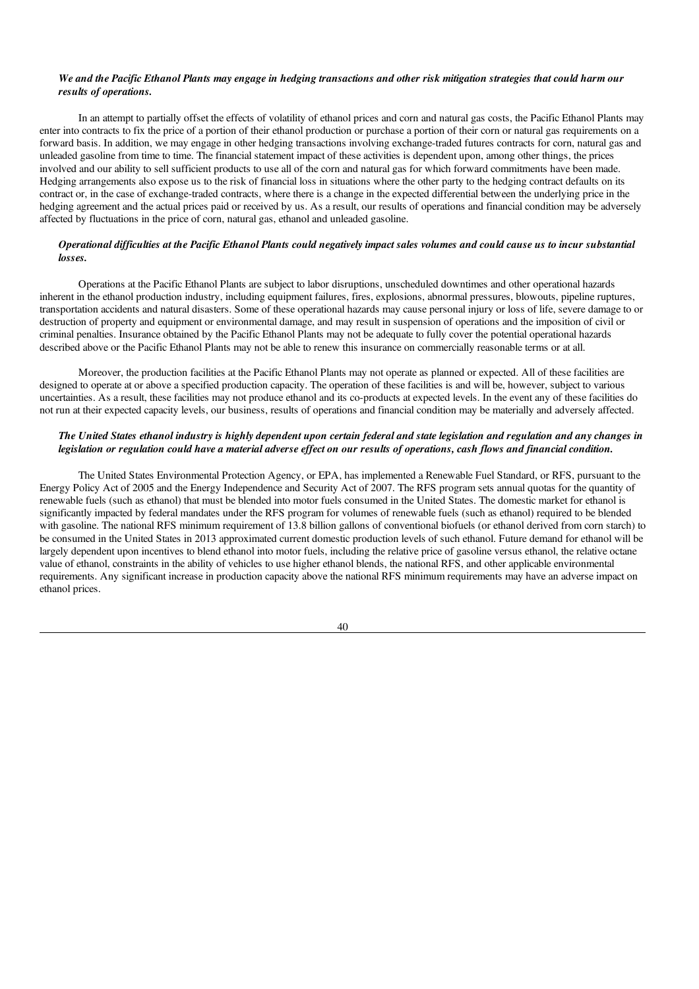#### We and the Pacific Ethanol Plants may engage in hedging transactions and other risk mitigation strategies that could harm our *results of operations.*

In an attempt to partially offset the effects of volatility of ethanol prices and corn and natural gas costs, the Pacific Ethanol Plants may enter into contracts to fix the price of a portion of their ethanol production or purchase a portion of their corn or natural gas requirements on a forward basis. In addition, we may engage in other hedging transactions involving exchange-traded futures contracts for corn, natural gas and unleaded gasoline from time to time. The financial statement impact of these activities is dependent upon, among other things, the prices involved and our ability to sell sufficient products to use all of the corn and natural gas for which forward commitments have been made. Hedging arrangements also expose us to the risk of financial loss in situations where the other party to the hedging contract defaults on its contract or, in the case of exchange-traded contracts, where there is a change in the expected differential between the underlying price in the hedging agreement and the actual prices paid or received by us. As a result, our results of operations and financial condition may be adversely affected by fluctuations in the price of corn, natural gas, ethanol and unleaded gasoline.

# Operational difficulties at the Pacific Ethanol Plants could negatively impact sales volumes and could cause us to incur substantial *losses.*

Operations at the Pacific Ethanol Plants are subject to labor disruptions, unscheduled downtimes and other operational hazards inherent in the ethanol production industry, including equipment failures, fires, explosions, abnormal pressures, blowouts, pipeline ruptures, transportation accidents and natural disasters. Some of these operational hazards may cause personal injury or loss of life, severe damage to or destruction of property and equipment or environmental damage, and may result in suspension of operations and the imposition of civil or criminal penalties. Insurance obtained by the Pacific Ethanol Plants may not be adequate to fully cover the potential operational hazards described above or the Pacific Ethanol Plants may not be able to renew this insurance on commercially reasonable terms or at all.

Moreover, the production facilities at the Pacific Ethanol Plants may not operate as planned or expected. All of these facilities are designed to operate at or above a specified production capacity. The operation of these facilities is and will be, however, subject to various uncertainties. As a result, these facilities may not produce ethanol and its co-products at expected levels. In the event any of these facilities do not run at their expected capacity levels, our business, results of operations and financial condition may be materially and adversely affected.

## The United States ethanol industry is highly dependent upon certain federal and state legislation and regulation and any changes in legislation or regulation could have a material adverse effect on our results of operations, cash flows and financial condition.

The United States Environmental Protection Agency, or EPA, has implemented a Renewable Fuel Standard, or RFS, pursuant to the Energy Policy Act of 2005 and the Energy Independence and Security Act of 2007. The RFS program sets annual quotas for the quantity of renewable fuels (such as ethanol) that must be blended into motor fuels consumed in the United States. The domestic market for ethanol is significantly impacted by federal mandates under the RFS program for volumes of renewable fuels (such as ethanol) required to be blended with gasoline. The national RFS minimum requirement of 13.8 billion gallons of conventional biofuels (or ethanol derived from corn starch) to be consumed in the United States in 2013 approximated current domestic production levels of such ethanol. Future demand for ethanol will be largely dependent upon incentives to blend ethanol into motor fuels, including the relative price of gasoline versus ethanol, the relative octane value of ethanol, constraints in the ability of vehicles to use higher ethanol blends, the national RFS, and other applicable environmental requirements. Any significant increase in production capacity above the national RFS minimum requirements may have an adverse impact on ethanol prices.

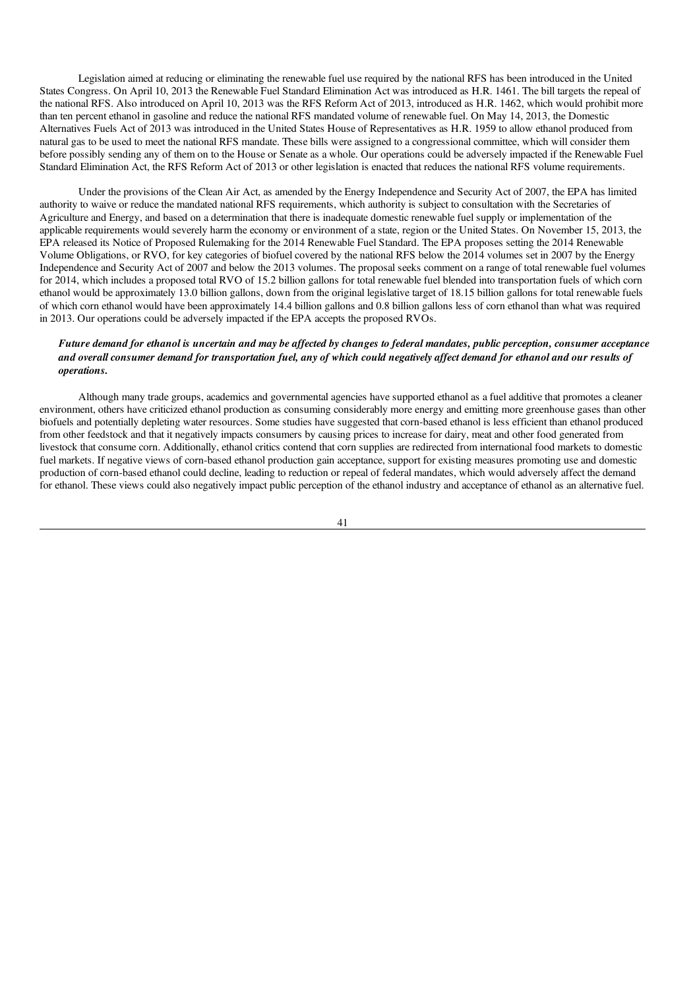Legislation aimed at reducing or eliminating the renewable fuel use required by the national RFS has been introduced in the United States Congress. On April 10, 2013 the Renewable Fuel Standard Elimination Act was introduced as H.R. 1461. The bill targets the repeal of the national RFS. Also introduced on April 10, 2013 was the RFS Reform Act of 2013, introduced as H.R. 1462, which would prohibit more than ten percent ethanol in gasoline and reduce the national RFS mandated volume of renewable fuel. On May 14, 2013, the Domestic Alternatives Fuels Act of 2013 was introduced in the United States House of Representatives as H.R. 1959 to allow ethanol produced from natural gas to be used to meet the national RFS mandate. These bills were assigned to a congressional committee, which will consider them before possibly sending any of them on to the House or Senate as a whole. Our operations could be adversely impacted if the Renewable Fuel Standard Elimination Act, the RFS Reform Act of 2013 or other legislation is enacted that reduces the national RFS volume requirements.

Under the provisions of the Clean Air Act, as amended by the Energy Independence and Security Act of 2007, the EPA has limited authority to waive or reduce the mandated national RFS requirements, which authority is subject to consultation with the Secretaries of Agriculture and Energy, and based on a determination that there is inadequate domestic renewable fuel supply or implementation of the applicable requirements would severely harm the economy or environment of a state, region or the United States. On November 15, 2013, the EPA released its Notice of Proposed Rulemaking for the 2014 Renewable Fuel Standard. The EPA proposes setting the 2014 Renewable Volume Obligations, or RVO, for key categories of biofuel covered by the national RFS below the 2014 volumes set in 2007 by the Energy Independence and Security Act of 2007 and below the 2013 volumes. The proposal seeks comment on a range of total renewable fuel volumes for 2014, which includes a proposed total RVO of 15.2 billion gallons for total renewable fuel blended into transportation fuels of which corn ethanol would be approximately 13.0 billion gallons, down from the original legislative target of 18.15 billion gallons for total renewable fuels of which corn ethanol would have been approximately 14.4 billion gallons and 0.8 billion gallons less of corn ethanol than what was required in 2013. Our operations could be adversely impacted if the EPA accepts the proposed RVOs.

# Future demand for ethanol is uncertain and may be affected by changes to federal mandates, public perception, consumer acceptance and overall consumer demand for transportation fuel, any of which could negatively affect demand for ethanol and our results of *operations.*

Although many trade groups, academics and governmental agencies have supported ethanol as a fuel additive that promotes a cleaner environment, others have criticized ethanol production as consuming considerably more energy and emitting more greenhouse gases than other biofuels and potentially depleting water resources. Some studies have suggested that corn-based ethanol is less efficient than ethanol produced from other feedstock and that it negatively impacts consumers by causing prices to increase for dairy, meat and other food generated from livestock that consume corn. Additionally, ethanol critics contend that corn supplies are redirected from international food markets to domestic fuel markets. If negative views of corn-based ethanol production gain acceptance, support for existing measures promoting use and domestic production of corn-based ethanol could decline, leading to reduction or repeal of federal mandates, which would adversely affect the demand for ethanol. These views could also negatively impact public perception of the ethanol industry and acceptance of ethanol as an alternative fuel.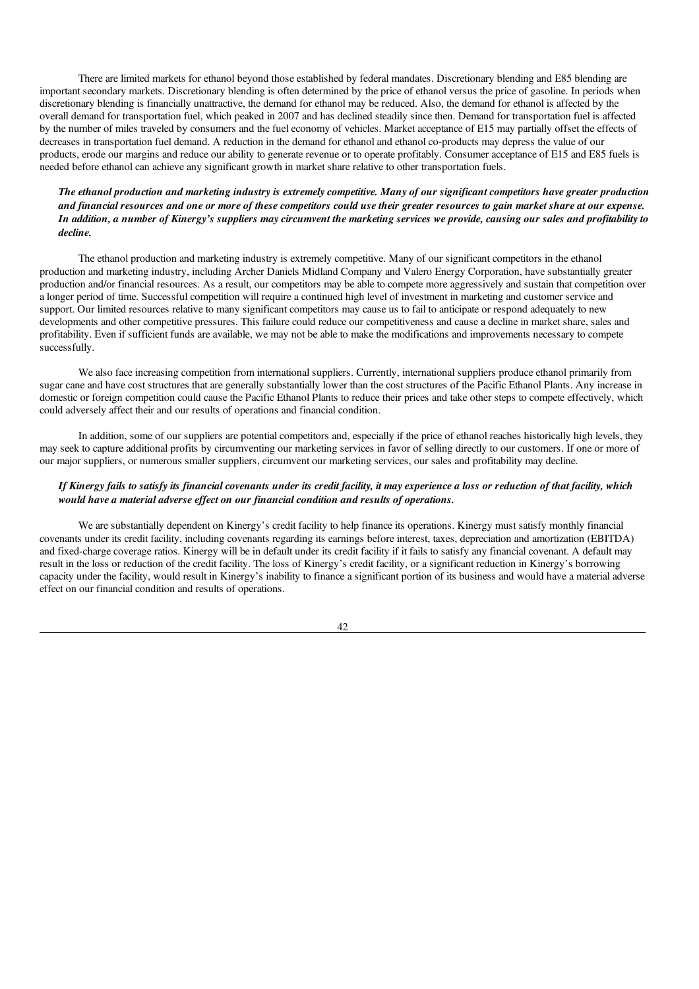There are limited markets for ethanol beyond those established by federal mandates. Discretionary blending and E85 blending are important secondary markets. Discretionary blending is often determined by the price of ethanol versus the price of gasoline. In periods when discretionary blending is financially unattractive, the demand for ethanol may be reduced. Also, the demand for ethanol is affected by the overall demand for transportation fuel, which peaked in 2007 and has declined steadily since then. Demand for transportation fuel is affected by the number of miles traveled by consumers and the fuel economy of vehicles. Market acceptance of E15 may partially offset the effects of decreases in transportation fuel demand. A reduction in the demand for ethanol and ethanol co-products may depress the value of our products, erode our margins and reduce our ability to generate revenue or to operate profitably. Consumer acceptance of E15 and E85 fuels is needed before ethanol can achieve any significant growth in market share relative to other transportation fuels.

# The ethanol production and marketing industry is extremely competitive. Many of our significant competitors have greater production and financial resources and one or more of these competitors could use their greater resources to gain market share at our expense. In addition, a number of Kinergy's suppliers may circumvent the marketing services we provide, causing our sales and profitability to *decline.*

The ethanol production and marketing industry is extremely competitive. Many of our significant competitors in the ethanol production and marketing industry, including Archer Daniels Midland Company and Valero Energy Corporation, have substantially greater production and/or financial resources. As a result, our competitors may be able to compete more aggressively and sustain that competition over a longer period of time. Successful competition will require a continued high level of investment in marketing and customer service and support. Our limited resources relative to many significant competitors may cause us to fail to anticipate or respond adequately to new developments and other competitive pressures. This failure could reduce our competitiveness and cause a decline in market share, sales and profitability. Even if sufficient funds are available, we may not be able to make the modifications and improvements necessary to compete successfully.

We also face increasing competition from international suppliers. Currently, international suppliers produce ethanol primarily from sugar cane and have cost structures that are generally substantially lower than the cost structures of the Pacific Ethanol Plants. Any increase in domestic or foreign competition could cause the Pacific Ethanol Plants to reduce their prices and take other steps to compete effectively, which could adversely affect their and our results of operations and financial condition.

In addition, some of our suppliers are potential competitors and, especially if the price of ethanol reaches historically high levels, they may seek to capture additional profits by circumventing our marketing services in favor of selling directly to our customers. If one or more of our major suppliers, or numerous smaller suppliers, circumvent our marketing services, our sales and profitability may decline.

#### If Kinergy fails to satisfy its financial covenants under its credit facility, it may experience a loss or reduction of that facility, which *would have a material adverse effect on our financial condition and results of operations.*

We are substantially dependent on Kinergy's credit facility to help finance its operations. Kinergy must satisfy monthly financial covenants under its credit facility, including covenants regarding its earnings before interest, taxes, depreciation and amortization (EBITDA) and fixed-charge coverage ratios. Kinergy will be in default under its credit facility if it fails to satisfy any financial covenant. A default may result in the loss or reduction of the credit facility. The loss of Kinergy's credit facility, or a significant reduction in Kinergy's borrowing capacity under the facility, would result in Kinergy's inability to finance a significant portion of its business and would have a material adverse effect on our financial condition and results of operations.

 $\Delta$ 2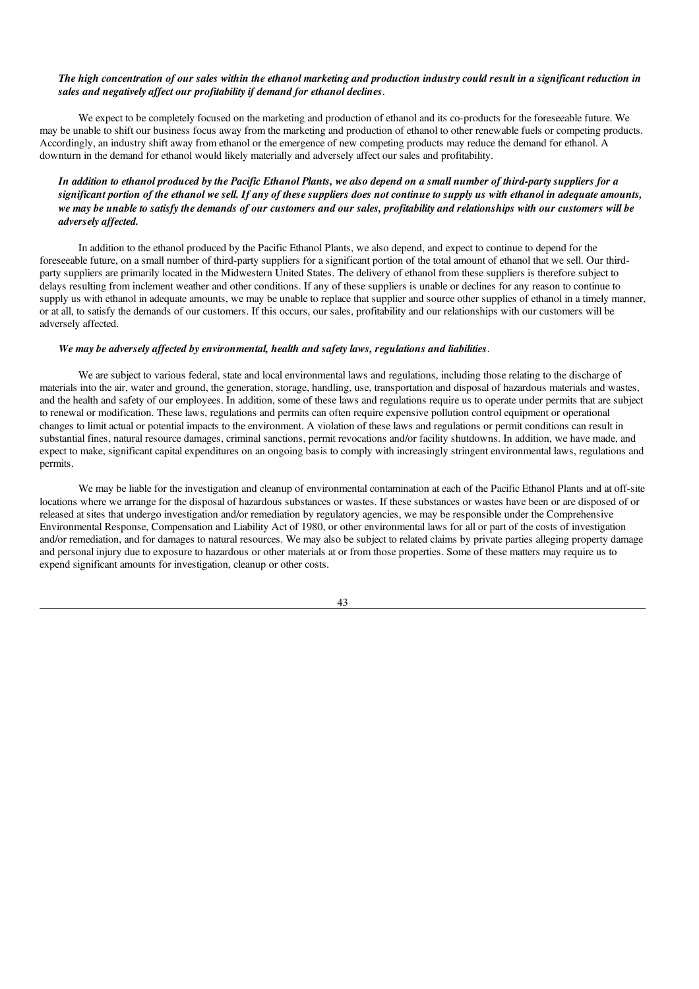### The high concentration of our sales within the ethanol marketing and production industry could result in a significant reduction in *sales and negatively affect our profitability if demand for ethanol declines*.

We expect to be completely focused on the marketing and production of ethanol and its co-products for the foreseeable future. We may be unable to shift our business focus away from the marketing and production of ethanol to other renewable fuels or competing products. Accordingly, an industry shift away from ethanol or the emergence of new competing products may reduce the demand for ethanol. A downturn in the demand for ethanol would likely materially and adversely affect our sales and profitability.

In addition to ethanol produced by the Pacific Ethanol Plants, we also depend on a small number of third-party suppliers for a significant portion of the ethanol we sell. If any of these suppliers does not continue to supply us with ethanol in adequate amounts, we may be unable to satisfy the demands of our customers and our sales, profitability and relationships with our customers will be *adversely affected.*

In addition to the ethanol produced by the Pacific Ethanol Plants, we also depend, and expect to continue to depend for the foreseeable future, on a small number of third-party suppliers for a significant portion of the total amount of ethanol that we sell. Our thirdparty suppliers are primarily located in the Midwestern United States. The delivery of ethanol from these suppliers is therefore subject to delays resulting from inclement weather and other conditions. If any of these suppliers is unable or declines for any reason to continue to supply us with ethanol in adequate amounts, we may be unable to replace that supplier and source other supplies of ethanol in a timely manner, or at all, to satisfy the demands of our customers. If this occurs, our sales, profitability and our relationships with our customers will be adversely affected.

#### *We may be adversely affected by environmental, health and safety laws, regulations and liabilities*.

We are subject to various federal, state and local environmental laws and regulations, including those relating to the discharge of materials into the air, water and ground, the generation, storage, handling, use, transportation and disposal of hazardous materials and wastes, and the health and safety of our employees. In addition, some of these laws and regulations require us to operate under permits that are subject to renewal or modification. These laws, regulations and permits can often require expensive pollution control equipment or operational changes to limit actual or potential impacts to the environment. A violation of these laws and regulations or permit conditions can result in substantial fines, natural resource damages, criminal sanctions, permit revocations and/or facility shutdowns. In addition, we have made, and expect to make, significant capital expenditures on an ongoing basis to comply with increasingly stringent environmental laws, regulations and permits.

We may be liable for the investigation and cleanup of environmental contamination at each of the Pacific Ethanol Plants and at off-site locations where we arrange for the disposal of hazardous substances or wastes. If these substances or wastes have been or are disposed of or released at sites that undergo investigation and/or remediation by regulatory agencies, we may be responsible under the Comprehensive Environmental Response, Compensation and Liability Act of 1980, or other environmental laws for all or part of the costs of investigation and/or remediation, and for damages to natural resources. We may also be subject to related claims by private parties alleging property damage and personal injury due to exposure to hazardous or other materials at or from those properties. Some of these matters may require us to expend significant amounts for investigation, cleanup or other costs.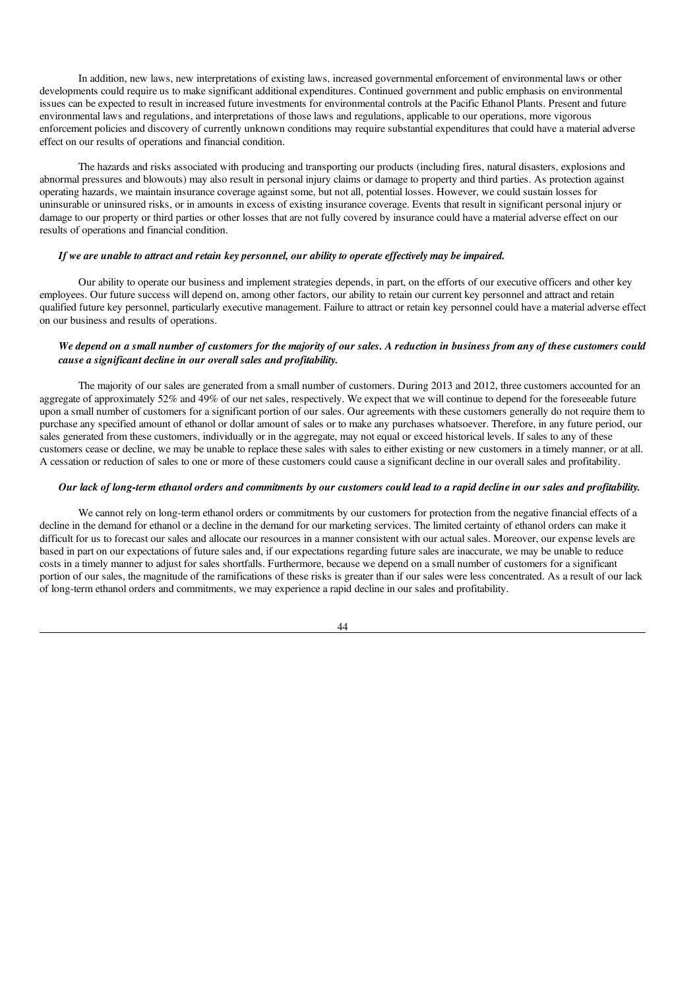In addition, new laws, new interpretations of existing laws, increased governmental enforcement of environmental laws or other developments could require us to make significant additional expenditures. Continued government and public emphasis on environmental issues can be expected to result in increased future investments for environmental controls at the Pacific Ethanol Plants. Present and future environmental laws and regulations, and interpretations of those laws and regulations, applicable to our operations, more vigorous enforcement policies and discovery of currently unknown conditions may require substantial expenditures that could have a material adverse effect on our results of operations and financial condition.

The hazards and risks associated with producing and transporting our products (including fires, natural disasters, explosions and abnormal pressures and blowouts) may also result in personal injury claims or damage to property and third parties. As protection against operating hazards, we maintain insurance coverage against some, but not all, potential losses. However, we could sustain losses for uninsurable or uninsured risks, or in amounts in excess of existing insurance coverage. Events that result in significant personal injury or damage to our property or third parties or other losses that are not fully covered by insurance could have a material adverse effect on our results of operations and financial condition.

#### If we are unable to attract and retain key personnel, our ability to operate effectively may be impaired.

Our ability to operate our business and implement strategies depends, in part, on the efforts of our executive officers and other key employees. Our future success will depend on, among other factors, our ability to retain our current key personnel and attract and retain qualified future key personnel, particularly executive management. Failure to attract or retain key personnel could have a material adverse effect on our business and results of operations.

## We depend on a small number of customers for the majority of our sales. A reduction in business from any of these customers could *cause a significant decline in our overall sales and profitability.*

The majority of our sales are generated from a small number of customers. During 2013 and 2012, three customers accounted for an aggregate of approximately 52% and 49% of our net sales, respectively. We expect that we will continue to depend for the foreseeable future upon a small number of customers for a significant portion of our sales. Our agreements with these customers generally do not require them to purchase any specified amount of ethanol or dollar amount of sales or to make any purchases whatsoever. Therefore, in any future period, our sales generated from these customers, individually or in the aggregate, may not equal or exceed historical levels. If sales to any of these customers cease or decline, we may be unable to replace these sales with sales to either existing or new customers in a timely manner, or at all. A cessation or reduction of sales to one or more of these customers could cause a significant decline in our overall sales and profitability.

#### Our lack of long-term ethanol orders and commitments by our customers could lead to a rapid decline in our sales and profitability.

We cannot rely on long-term ethanol orders or commitments by our customers for protection from the negative financial effects of a decline in the demand for ethanol or a decline in the demand for our marketing services. The limited certainty of ethanol orders can make it difficult for us to forecast our sales and allocate our resources in a manner consistent with our actual sales. Moreover, our expense levels are based in part on our expectations of future sales and, if our expectations regarding future sales are inaccurate, we may be unable to reduce costs in a timely manner to adjust for sales shortfalls. Furthermore, because we depend on a small number of customers for a significant portion of our sales, the magnitude of the ramifications of these risks is greater than if our sales were less concentrated. As a result of our lack of long-term ethanol orders and commitments, we may experience a rapid decline in our sales and profitability.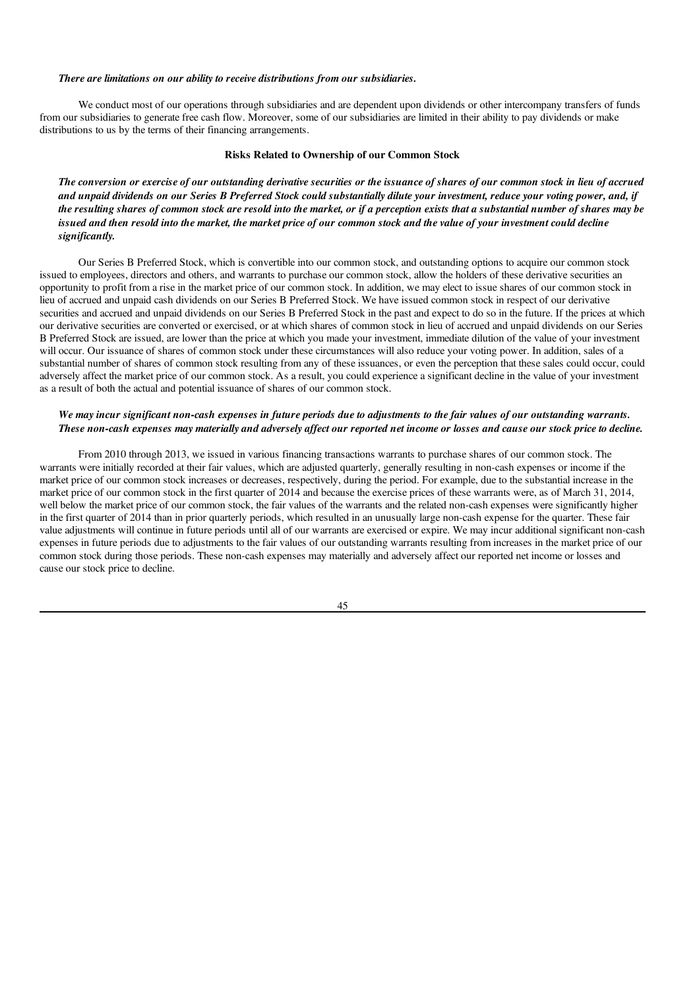#### *There are limitations on our ability to receive distributions from our subsidiaries.*

We conduct most of our operations through subsidiaries and are dependent upon dividends or other intercompany transfers of funds from our subsidiaries to generate free cash flow. Moreover, some of our subsidiaries are limited in their ability to pay dividends or make distributions to us by the terms of their financing arrangements.

#### Risks Related to Ownership of our Common Stock

The conversion or exercise of our outstanding derivative securities or the issuance of shares of our common stock in lieu of accrued and unpaid dividends on our Series B Preferred Stock could substantially dilute your investment, reduce your voting power, and, if the resulting shares of common stock are resold into the market, or if a perception exists that a substantial number of shares may be issued and then resold into the market, the market price of our common stock and the value of your investment could decline *significantly.*

Our Series B Preferred Stock, which is convertible into our common stock, and outstanding options to acquire our common stock issued to employees, directors and others, and warrants to purchase our common stock, allow the holders of these derivative securities an opportunity to profit from a rise in the market price of our common stock. In addition, we may elect to issue shares of our common stock in lieu of accrued and unpaid cash dividends on our Series B Preferred Stock. We have issued common stock in respect of our derivative securities and accrued and unpaid dividends on our Series B Preferred Stock in the past and expect to do so in the future. If the prices at which our derivative securities are converted or exercised, or at which shares of common stock in lieu of accrued and unpaid dividends on our Series B Preferred Stock are issued, are lower than the price at which you made your investment, immediate dilution of the value of your investment will occur. Our issuance of shares of common stock under these circumstances will also reduce your voting power. In addition, sales of a substantial number of shares of common stock resulting from any of these issuances, or even the perception that these sales could occur, could adversely affect the market price of our common stock. As a result, you could experience a significant decline in the value of your investment as a result of both the actual and potential issuance of shares of our common stock.

#### We may incur significant non-cash expenses in future periods due to adjustments to the fair values of our outstanding warrants. These non-cash expenses may materially and adversely affect our reported net income or losses and cause our stock price to decline.

From 2010 through 2013, we issued in various financing transactions warrants to purchase shares of our common stock. The warrants were initially recorded at their fair values, which are adjusted quarterly, generally resulting in non-cash expenses or income if the market price of our common stock increases or decreases, respectively, during the period. For example, due to the substantial increase in the market price of our common stock in the first quarter of 2014 and because the exercise prices of these warrants were, as of March 31, 2014, well below the market price of our common stock, the fair values of the warrants and the related non-cash expenses were significantly higher in the first quarter of 2014 than in prior quarterly periods, which resulted in an unusually large non-cash expense for the quarter. These fair value adjustments will continue in future periods until all of our warrants are exercised or expire. We may incur additional significant non-cash expenses in future periods due to adjustments to the fair values of our outstanding warrants resulting from increases in the market price of our common stock during those periods. These non-cash expenses may materially and adversely affect our reported net income or losses and cause our stock price to decline.

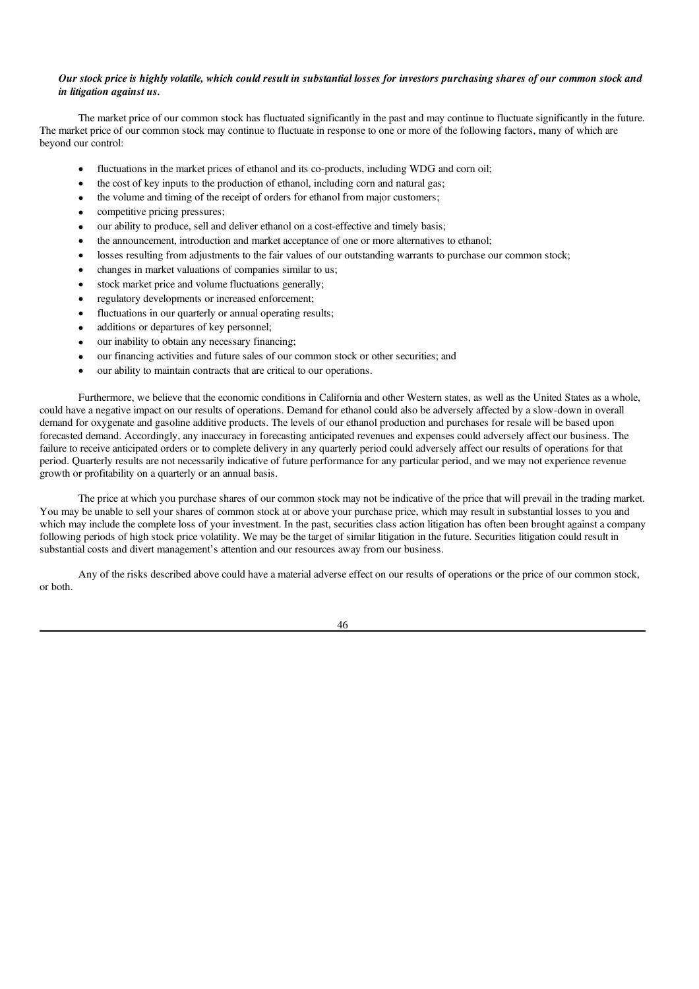## Our stock price is highly volatile, which could result in substantial losses for investors purchasing shares of our common stock and *in litigation against us.*

The market price of our common stock has fluctuated significantly in the past and may continue to fluctuate significantly in the future. The market price of our common stock may continue to fluctuate in response to one or more of the following factors, many of which are beyond our control:

- fluctuations in the market prices of ethanol and its co-products, including WDG and corn oil;
- the cost of key inputs to the production of ethanol, including corn and natural gas;
- the volume and timing of the receipt of orders for ethanol from major customers;
- competitive pricing pressures;
- our ability to produce, sell and deliver ethanol on a cost-effective and timely basis;
- · the announcement, introduction and market acceptance of one or more alternatives to ethanol;
- losses resulting from adjustments to the fair values of our outstanding warrants to purchase our common stock;
- changes in market valuations of companies similar to us;
- stock market price and volume fluctuations generally;
- regulatory developments or increased enforcement;
- fluctuations in our quarterly or annual operating results;
- additions or departures of key personnel;
- our inability to obtain any necessary financing;
- our financing activities and future sales of our common stock or other securities; and
- · our ability to maintain contracts that are critical to our operations.

Furthermore, we believe that the economic conditions in California and other Western states, as well as the United States as a whole, could have a negative impact on our results of operations. Demand for ethanol could also be adversely affected by a slow-down in overall demand for oxygenate and gasoline additive products. The levels of our ethanol production and purchases for resale will be based upon forecasted demand. Accordingly, any inaccuracy in forecasting anticipated revenues and expenses could adversely affect our business. The failure to receive anticipated orders or to complete delivery in any quarterly period could adversely affect our results of operations for that period. Quarterly results are not necessarily indicative of future performance for any particular period, and we may not experience revenue growth or profitability on a quarterly or an annual basis.

The price at which you purchase shares of our common stock may not be indicative of the price that will prevail in the trading market. You may be unable to sell your shares of common stock at or above your purchase price, which may result in substantial losses to you and which may include the complete loss of your investment. In the past, securities class action litigation has often been brought against a company following periods of high stock price volatility. We may be the target of similar litigation in the future. Securities litigation could result in substantial costs and divert management's attention and our resources away from our business.

Any of the risks described above could have a material adverse effect on our results of operations or the price of our common stock, or both.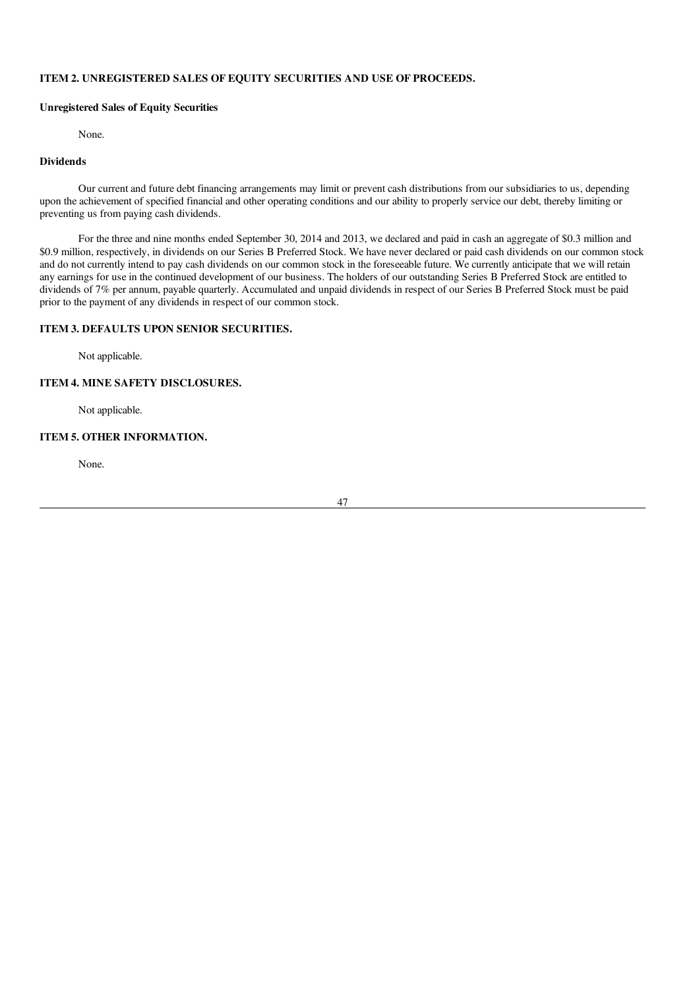# ITEM 2. UNREGISTERED SALES OF EQUITY SECURITIES AND USE OF PROCEEDS.

#### Unregistered Sales of Equity Securities

None.

# Dividends

Our current and future debt financing arrangements may limit or prevent cash distributions from our subsidiaries to us, depending upon the achievement of specified financial and other operating conditions and our ability to properly service our debt, thereby limiting or preventing us from paying cash dividends.

For the three and nine months ended September 30, 2014 and 2013, we declared and paid in cash an aggregate of \$0.3 million and \$0.9 million, respectively, in dividends on our Series B Preferred Stock. We have never declared or paid cash dividends on our common stock and do not currently intend to pay cash dividends on our common stock in the foreseeable future. We currently anticipate that we will retain any earnings for use in the continued development of our business. The holders of our outstanding Series B Preferred Stock are entitled to dividends of 7% per annum, payable quarterly. Accumulated and unpaid dividends in respect of our Series B Preferred Stock must be paid prior to the payment of any dividends in respect of our common stock.

# ITEM 3. DEFAULTS UPON SENIOR SECURITIES.

Not applicable.

## ITEM 4. MINE SAFETY DISCLOSURES.

Not applicable.

# ITEM 5. OTHER INFORMATION.

None.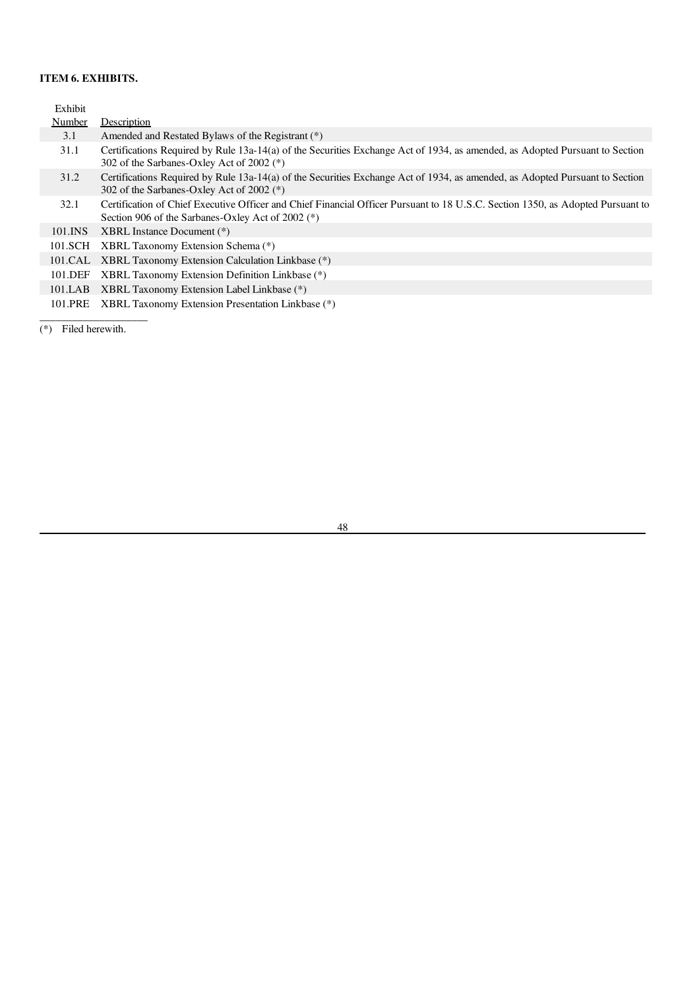# ITEM 6. EXHIBITS.

| Exhibit |                                                                                                                                                                                      |
|---------|--------------------------------------------------------------------------------------------------------------------------------------------------------------------------------------|
| Number  | Description                                                                                                                                                                          |
| 3.1     | Amended and Restated Bylaws of the Registrant (*)                                                                                                                                    |
| 31.1    | Certifications Required by Rule 13a-14(a) of the Securities Exchange Act of 1934, as amended, as Adopted Pursuant to Section<br>302 of the Sarbanes-Oxley Act of 2002 $(*)$          |
| 31.2    | Certifications Required by Rule 13a-14(a) of the Securities Exchange Act of 1934, as amended, as Adopted Pursuant to Section<br>302 of the Sarbanes-Oxley Act of $2002$ (*)          |
| 32.1    | Certification of Chief Executive Officer and Chief Financial Officer Pursuant to 18 U.S.C. Section 1350, as Adopted Pursuant to<br>Section 906 of the Sarbanes-Oxley Act of 2002 (*) |
| 101.INS | XBRL Instance Document (*)                                                                                                                                                           |
|         | 101.SCH XBRL Taxonomy Extension Schema (*)                                                                                                                                           |
|         | 101.CAL XBRL Taxonomy Extension Calculation Linkbase (*)                                                                                                                             |
| 101.DEF | XBRL Taxonomy Extension Definition Linkbase (*)                                                                                                                                      |
| 101.LAB | XBRL Taxonomy Extension Label Linkbase (*)                                                                                                                                           |
| 101.PRE | XBRL Taxonomy Extension Presentation Linkbase (*)                                                                                                                                    |

(\*) Filed herewith.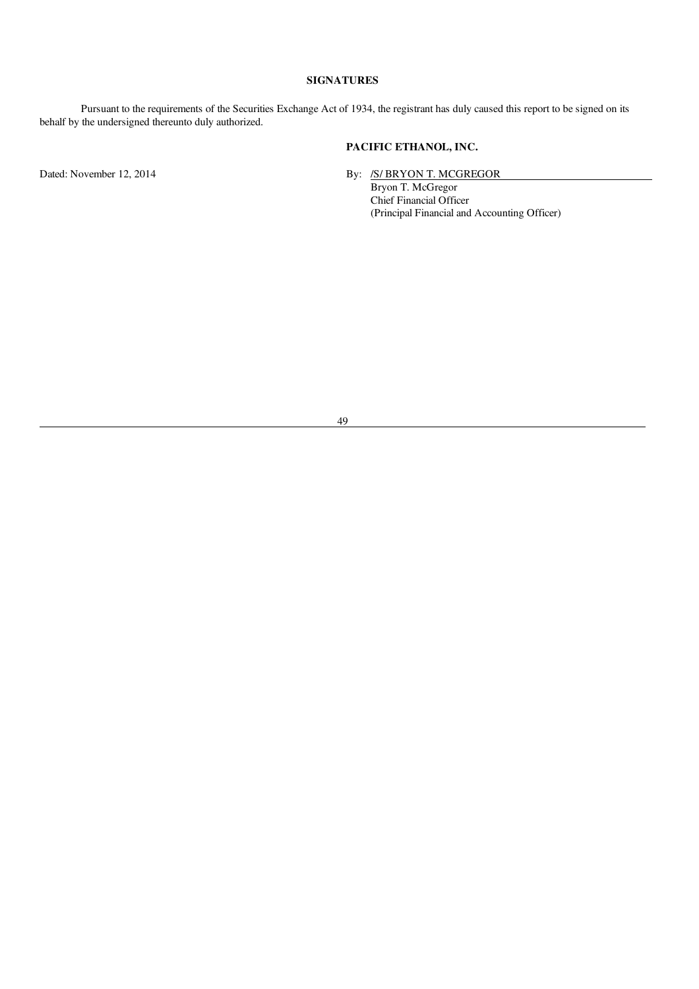#### SIGNATURES

Pursuant to the requirements of the Securities Exchange Act of 1934, the registrant has duly caused this report to be signed on its behalf by the undersigned thereunto duly authorized.

# PACIFIC ETHANOL, INC.

Dated: November 12, 2014 By: /S/ BRYON T. MCGREGOR

Bryon T. McGregor Chief Financial Officer (Principal Financial and Accounting Officer)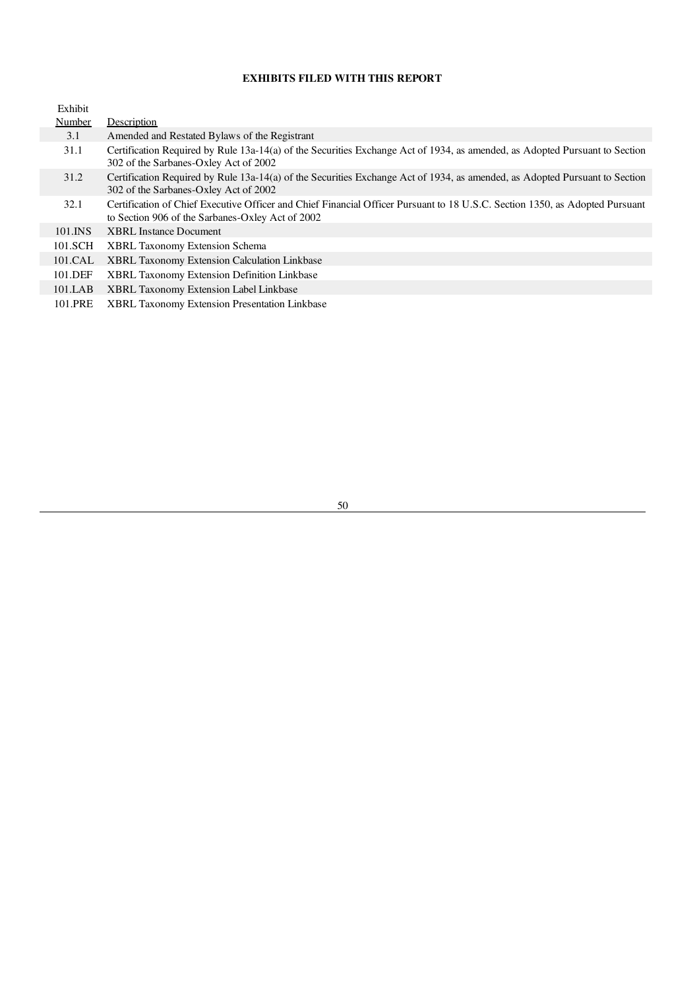# EXHIBITS FILED WITH THIS REPORT

| Exhibit |                                                                                                                                                                                  |
|---------|----------------------------------------------------------------------------------------------------------------------------------------------------------------------------------|
| Number  | Description                                                                                                                                                                      |
| 3.1     | Amended and Restated Bylaws of the Registrant                                                                                                                                    |
| 31.1    | Certification Required by Rule 13a-14(a) of the Securities Exchange Act of 1934, as amended, as Adopted Pursuant to Section<br>302 of the Sarbanes-Oxley Act of 2002             |
| 31.2    | Certification Required by Rule 13a-14(a) of the Securities Exchange Act of 1934, as amended, as Adopted Pursuant to Section<br>302 of the Sarbanes-Oxley Act of 2002             |
| 32.1    | Certification of Chief Executive Officer and Chief Financial Officer Pursuant to 18 U.S.C. Section 1350, as Adopted Pursuant<br>to Section 906 of the Sarbanes-Oxley Act of 2002 |
| 101.INS | <b>XBRL</b> Instance Document                                                                                                                                                    |
| 101.SCH | <b>XBRL Taxonomy Extension Schema</b>                                                                                                                                            |
| 101.CAL | <b>XBRL Taxonomy Extension Calculation Linkbase</b>                                                                                                                              |
| 101.DEF | <b>XBRL Taxonomy Extension Definition Linkbase</b>                                                                                                                               |
| 101.LAB | XBRL Taxonomy Extension Label Linkbase                                                                                                                                           |
| 101.PRE | <b>XBRL Taxonomy Extension Presentation Linkbase</b>                                                                                                                             |

50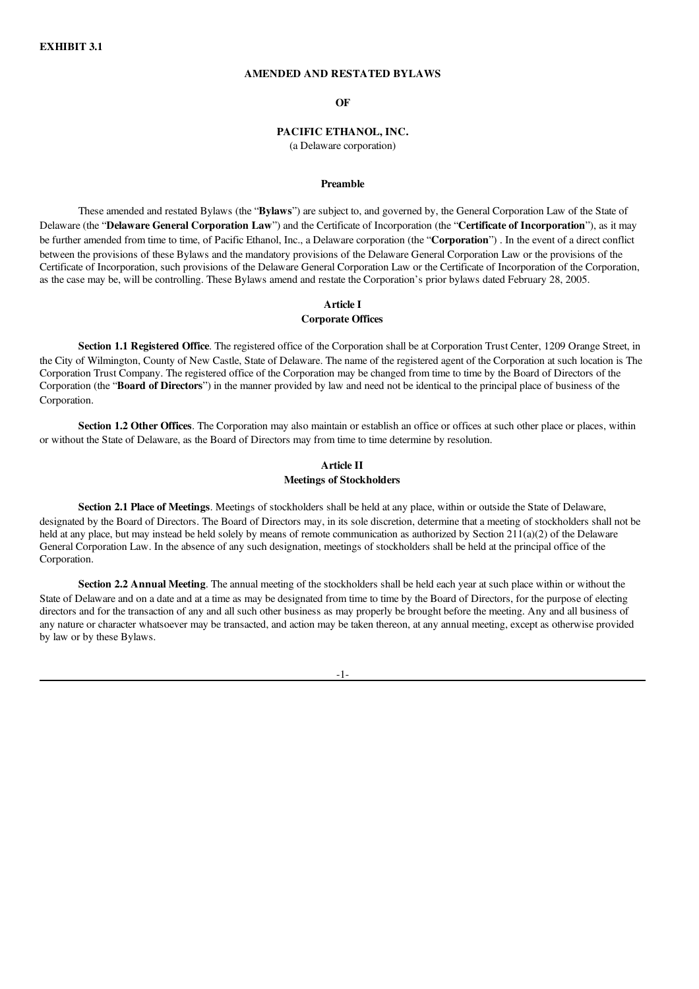# AMENDED AND RESTATED BYLAWS

#### **OF**

#### PACIFIC ETHANOL, INC.

(a Delaware corporation)

#### Preamble

These amended and restated Bylaws (the "Bylaws") are subject to, and governed by, the General Corporation Law of the State of Delaware (the "Delaware General Corporation Law") and the Certificate of Incorporation (the "Certificate of Incorporation"), as it may be further amended from time to time, of Pacific Ethanol, Inc., a Delaware corporation (the "Corporation"). In the event of a direct conflict between the provisions of these Bylaws and the mandatory provisions of the Delaware General Corporation Law or the provisions of the Certificate of Incorporation, such provisions of the Delaware General Corporation Law or the Certificate of Incorporation of the Corporation, as the case may be, will be controlling. These Bylaws amend and restate the Corporation's prior bylaws dated February 28, 2005.

# Article I

# Corporate Offices

Section 1.1 Registered Office. The registered office of the Corporation shall be at Corporation Trust Center, 1209 Orange Street, in the City of Wilmington, County of New Castle, State of Delaware. The name of the registered agent of the Corporation at such location is The Corporation Trust Company. The registered office of the Corporation may be changed from time to time by the Board of Directors of the Corporation (the "Board of Directors") in the manner provided by law and need not be identical to the principal place of business of the Corporation.

Section 1.2 Other Offices. The Corporation may also maintain or establish an office or offices at such other place or places, within or without the State of Delaware, as the Board of Directors may from time to time determine by resolution.

## Article II Meetings of Stockholders

Section 2.1 Place of Meetings. Meetings of stockholders shall be held at any place, within or outside the State of Delaware, designated by the Board of Directors. The Board of Directors may, in its sole discretion, determine that a meeting of stockholders shall not be held at any place, but may instead be held solely by means of remote communication as authorized by Section 211(a)(2) of the Delaware General Corporation Law. In the absence of any such designation, meetings of stockholders shall be held at the principal office of the Corporation.

Section 2.2 Annual Meeting. The annual meeting of the stockholders shall be held each year at such place within or without the State of Delaware and on a date and at a time as may be designated from time to time by the Board of Directors, for the purpose of electing directors and for the transaction of any and all such other business as may properly be brought before the meeting. Any and all business of any nature or character whatsoever may be transacted, and action may be taken thereon, at any annual meeting, except as otherwise provided by law or by these Bylaws.

-1-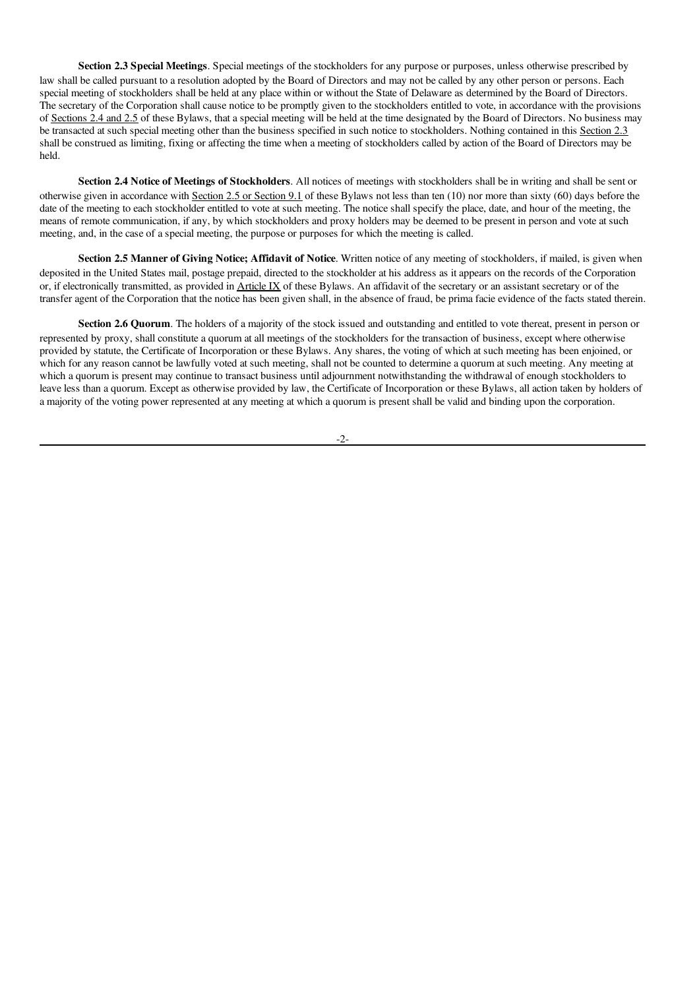Section 2.3 Special Meetings. Special meetings of the stockholders for any purpose or purposes, unless otherwise prescribed by law shall be called pursuant to a resolution adopted by the Board of Directors and may not be called by any other person or persons. Each special meeting of stockholders shall be held at any place within or without the State of Delaware as determined by the Board of Directors. The secretary of the Corporation shall cause notice to be promptly given to the stockholders entitled to vote, in accordance with the provisions of Sections 2.4 and 2.5 of these Bylaws, that a special meeting will be held at the time designated by the Board of Directors. No business may be transacted at such special meeting other than the business specified in such notice to stockholders. Nothing contained in this Section 2.3 shall be construed as limiting, fixing or affecting the time when a meeting of stockholders called by action of the Board of Directors may be held.

Section 2.4 Notice of Meetings of Stockholders. All notices of meetings with stockholders shall be in writing and shall be sent or otherwise given in accordance with Section 2.5 or Section 9.1 of these Bylaws not less than ten (10) nor more than sixty (60) days before the date of the meeting to each stockholder entitled to vote at such meeting. The notice shall specify the place, date, and hour of the meeting, the means of remote communication, if any, by which stockholders and proxy holders may be deemed to be present in person and vote at such meeting, and, in the case of a special meeting, the purpose or purposes for which the meeting is called.

Section 2.5 Manner of Giving Notice; Affidavit of Notice. Written notice of any meeting of stockholders, if mailed, is given when deposited in the United States mail, postage prepaid, directed to the stockholder at his address as it appears on the records of the Corporation or, if electronically transmitted, as provided in Article IX of these Bylaws. An affidavit of the secretary or an assistant secretary or of the transfer agent of the Corporation that the notice has been given shall, in the absence of fraud, be prima facie evidence of the facts stated therein.

Section 2.6 Quorum. The holders of a majority of the stock issued and outstanding and entitled to vote thereat, present in person or represented by proxy, shall constitute a quorum at all meetings of the stockholders for the transaction of business, except where otherwise provided by statute, the Certificate of Incorporation or these Bylaws. Any shares, the voting of which at such meeting has been enjoined, or which for any reason cannot be lawfully voted at such meeting, shall not be counted to determine a quorum at such meeting. Any meeting at which a quorum is present may continue to transact business until adjournment notwithstanding the withdrawal of enough stockholders to leave less than a quorum. Except as otherwise provided by law, the Certificate of Incorporation or these Bylaws, all action taken by holders of a majority of the voting power represented at any meeting at which a quorum is present shall be valid and binding upon the corporation.

 $\cdot$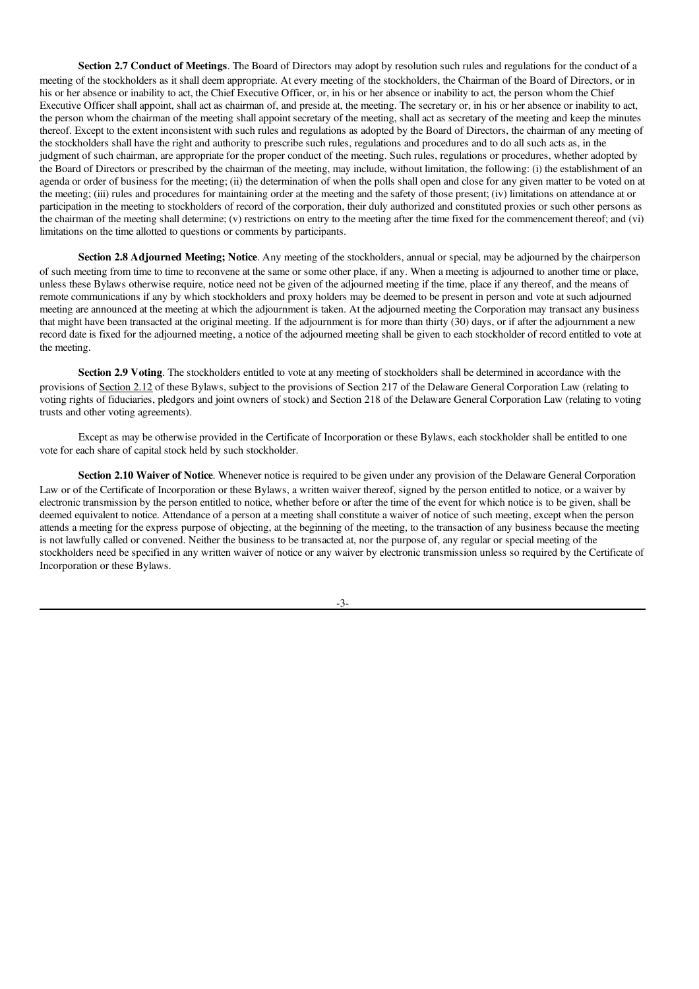Section 2.7 Conduct of Meetings. The Board of Directors may adopt by resolution such rules and regulations for the conduct of a meeting of the stockholders as it shall deem appropriate. At every meeting of the stockholders, the Chairman of the Board of Directors, or in his or her absence or inability to act, the Chief Executive Officer, or, in his or her absence or inability to act, the person whom the Chief Executive Officer shall appoint, shall act as chairman of, and preside at, the meeting. The secretary or, in his or her absence or inability to act, the person whom the chairman of the meeting shall appoint secretary of the meeting, shall act as secretary of the meeting and keep the minutes thereof. Except to the extent inconsistent with such rules and regulations as adopted by the Board of Directors, the chairman of any meeting of the stockholders shall have the right and authority to prescribe such rules, regulations and procedures and to do all such acts as, in the judgment of such chairman, are appropriate for the proper conduct of the meeting. Such rules, regulations or procedures, whether adopted by the Board of Directors or prescribed by the chairman of the meeting, may include, without limitation, the following: (i) the establishment of an agenda or order of business for the meeting; (ii) the determination of when the polls shall open and close for any given matter to be voted on at the meeting; (iii) rules and procedures for maintaining order at the meeting and the safety of those present; (iv) limitations on attendance at or participation in the meeting to stockholders of record of the corporation, their duly authorized and constituted proxies or such other persons as the chairman of the meeting shall determine; (v) restrictions on entry to the meeting after the time fixed for the commencement thereof; and (vi) limitations on the time allotted to questions or comments by participants.

Section 2.8 Adjourned Meeting; Notice. Any meeting of the stockholders, annual or special, may be adjourned by the chairperson of such meeting from time to time to reconvene at the same or some other place, if any. When a meeting is adjourned to another time or place, unless these Bylaws otherwise require, notice need not be given of the adjourned meeting if the time, place if any thereof, and the means of remote communications if any by which stockholders and proxy holders may be deemed to be present in person and vote at such adjourned meeting are announced at the meeting at which the adjournment is taken. At the adjourned meeting the Corporation may transact any business that might have been transacted at the original meeting. If the adjournment is for more than thirty (30) days, or if after the adjournment a new record date is fixed for the adjourned meeting, a notice of the adjourned meeting shall be given to each stockholder of record entitled to vote at the meeting.

Section 2.9 Voting. The stockholders entitled to vote at any meeting of stockholders shall be determined in accordance with the provisions of Section 2.12 of these Bylaws, subject to the provisions of Section 217 of the Delaware General Corporation Law (relating to voting rights of fiduciaries, pledgors and joint owners of stock) and Section 218 of the Delaware General Corporation Law (relating to voting trusts and other voting agreements).

Except as may be otherwise provided in the Certificate of Incorporation or these Bylaws, each stockholder shall be entitled to one vote for each share of capital stock held by such stockholder.

Section 2.10 Waiver of Notice. Whenever notice is required to be given under any provision of the Delaware General Corporation Law or of the Certificate of Incorporation or these Bylaws, a written waiver thereof, signed by the person entitled to notice, or a waiver by electronic transmission by the person entitled to notice, whether before or after the time of the event for which notice is to be given, shall be deemed equivalent to notice. Attendance of a person at a meeting shall constitute a waiver of notice of such meeting, except when the person attends a meeting for the express purpose of objecting, at the beginning of the meeting, to the transaction of any business because the meeting is not lawfully called or convened. Neither the business to be transacted at, nor the purpose of, any regular or special meeting of the stockholders need be specified in any written waiver of notice or any waiver by electronic transmission unless so required by the Certificate of Incorporation or these Bylaws.

-3-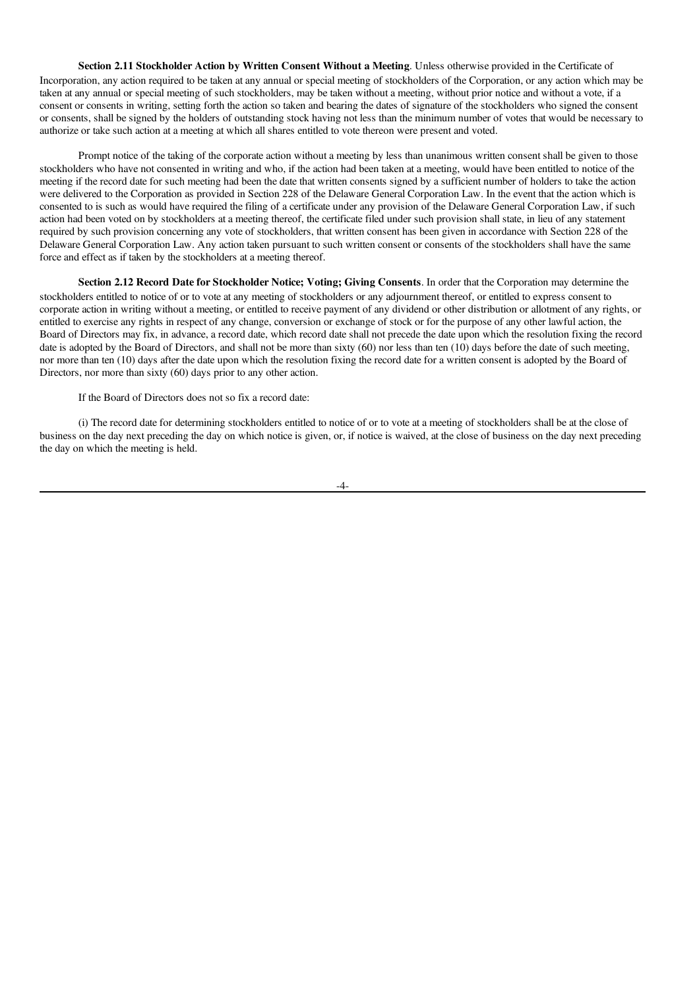Section 2.11 Stockholder Action by Written Consent Without a Meeting. Unless otherwise provided in the Certificate of Incorporation, any action required to be taken at any annual or special meeting of stockholders of the Corporation, or any action which may be taken at any annual or special meeting of such stockholders, may be taken without a meeting, without prior notice and without a vote, if a consent or consents in writing, setting forth the action so taken and bearing the dates of signature of the stockholders who signed the consent or consents, shall be signed by the holders of outstanding stock having not less than the minimum number of votes that would be necessary to authorize or take such action at a meeting at which all shares entitled to vote thereon were present and voted.

Prompt notice of the taking of the corporate action without a meeting by less than unanimous written consent shall be given to those stockholders who have not consented in writing and who, if the action had been taken at a meeting, would have been entitled to notice of the meeting if the record date for such meeting had been the date that written consents signed by a sufficient number of holders to take the action were delivered to the Corporation as provided in Section 228 of the Delaware General Corporation Law. In the event that the action which is consented to is such as would have required the filing of a certificate under any provision of the Delaware General Corporation Law, if such action had been voted on by stockholders at a meeting thereof, the certificate filed under such provision shall state, in lieu of any statement required by such provision concerning any vote of stockholders, that written consent has been given in accordance with Section 228 of the Delaware General Corporation Law. Any action taken pursuant to such written consent or consents of the stockholders shall have the same force and effect as if taken by the stockholders at a meeting thereof.

Section 2.12 Record Date for Stockholder Notice; Voting; Giving Consents. In order that the Corporation may determine the stockholders entitled to notice of or to vote at any meeting of stockholders or any adjournment thereof, or entitled to express consent to corporate action in writing without a meeting, or entitled to receive payment of any dividend or other distribution or allotment of any rights, or entitled to exercise any rights in respect of any change, conversion or exchange of stock or for the purpose of any other lawful action, the Board of Directors may fix, in advance, a record date, which record date shall not precede the date upon which the resolution fixing the record date is adopted by the Board of Directors, and shall not be more than sixty (60) nor less than ten (10) days before the date of such meeting, nor more than ten (10) days after the date upon which the resolution fixing the record date for a written consent is adopted by the Board of Directors, nor more than sixty (60) days prior to any other action.

If the Board of Directors does not so fix a record date:

(i) The record date for determining stockholders entitled to notice of or to vote at a meeting of stockholders shall be at the close of business on the day next preceding the day on which notice is given, or, if notice is waived, at the close of business on the day next preceding the day on which the meeting is held.

 $-4$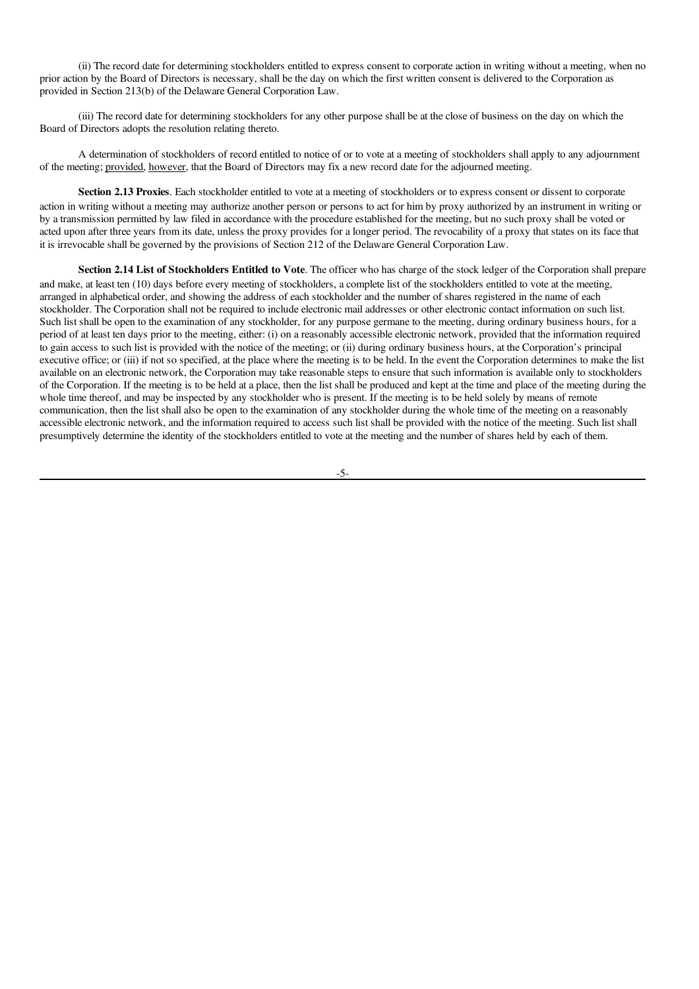(ii) The record date for determining stockholders entitled to express consent to corporate action in writing without a meeting, when no prior action by the Board of Directors is necessary, shall be the day on which the first written consent is delivered to the Corporation as provided in Section 213(b) of the Delaware General Corporation Law.

(iii) The record date for determining stockholders for any other purpose shall be at the close of business on the day on which the Board of Directors adopts the resolution relating thereto.

A determination of stockholders of record entitled to notice of or to vote at a meeting of stockholders shall apply to any adjournment of the meeting; provided, however, that the Board of Directors may fix a new record date for the adjourned meeting.

Section 2.13 Proxies. Each stockholder entitled to vote at a meeting of stockholders or to express consent or dissent to corporate action in writing without a meeting may authorize another person or persons to act for him by proxy authorized by an instrument in writing or by a transmission permitted by law filed in accordance with the procedure established for the meeting, but no such proxy shall be voted or acted upon after three years from its date, unless the proxy provides for a longer period. The revocability of a proxy that states on its face that it is irrevocable shall be governed by the provisions of Section 212 of the Delaware General Corporation Law.

Section 2.14 List of Stockholders Entitled to Vote. The officer who has charge of the stock ledger of the Corporation shall prepare and make, at least ten (10) days before every meeting of stockholders, a complete list of the stockholders entitled to vote at the meeting, arranged in alphabetical order, and showing the address of each stockholder and the number of shares registered in the name of each stockholder. The Corporation shall not be required to include electronic mail addresses or other electronic contact information on such list. Such list shall be open to the examination of any stockholder, for any purpose germane to the meeting, during ordinary business hours, for a period of at least ten days prior to the meeting, either: (i) on a reasonably accessible electronic network, provided that the information required to gain access to such list is provided with the notice of the meeting; or (ii) during ordinary business hours, at the Corporation's principal executive office; or (iii) if not so specified, at the place where the meeting is to be held. In the event the Corporation determines to make the list available on an electronic network, the Corporation may take reasonable steps to ensure that such information is available only to stockholders of the Corporation. If the meeting is to be held at a place, then the list shall be produced and kept at the time and place of the meeting during the whole time thereof, and may be inspected by any stockholder who is present. If the meeting is to be held solely by means of remote communication, then the list shall also be open to the examination of any stockholder during the whole time of the meeting on a reasonably accessible electronic network, and the information required to access such list shall be provided with the notice of the meeting. Such list shall presumptively determine the identity of the stockholders entitled to vote at the meeting and the number of shares held by each of them.

$$
-5-
$$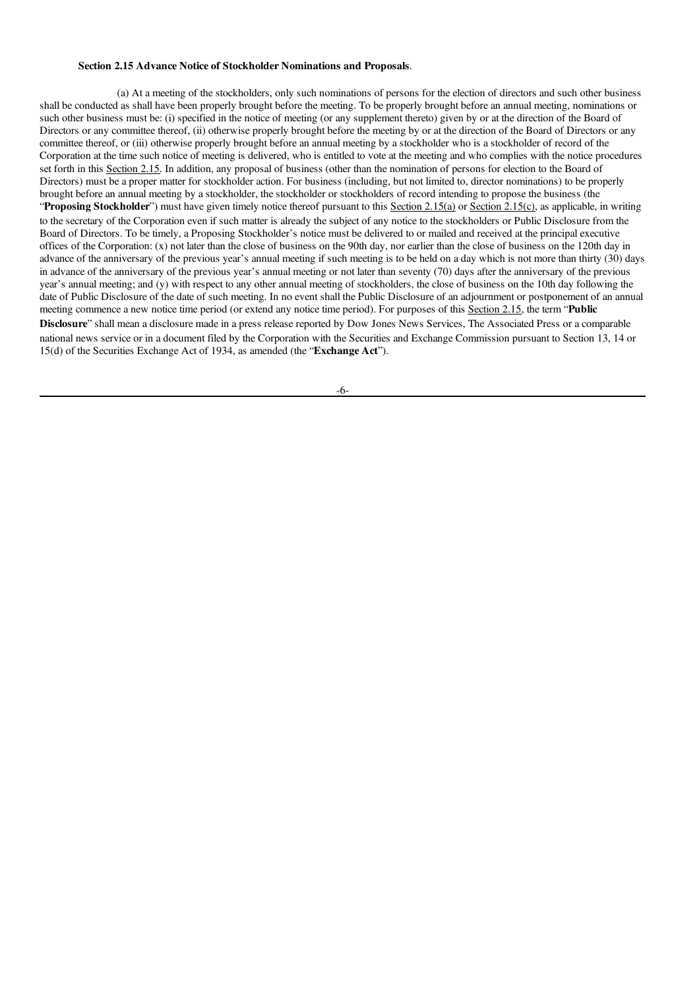#### Section 2.15 Advance Notice of Stockholder Nominations and Proposals.

(a) At a meeting of the stockholders, only such nominations of persons for the election of directors and such other business shall be conducted as shall have been properly brought before the meeting. To be properly brought before an annual meeting, nominations or such other business must be: (i) specified in the notice of meeting (or any supplement thereto) given by or at the direction of the Board of Directors or any committee thereof, (ii) otherwise properly brought before the meeting by or at the direction of the Board of Directors or any committee thereof, or (iii) otherwise properly brought before an annual meeting by a stockholder who is a stockholder of record of the Corporation at the time such notice of meeting is delivered, who is entitled to vote at the meeting and who complies with the notice procedures set forth in this Section 2.15. In addition, any proposal of business (other than the nomination of persons for election to the Board of Directors) must be a proper matter for stockholder action. For business (including, but not limited to, director nominations) to be properly brought before an annual meeting by a stockholder, the stockholder or stockholders of record intending to propose the business (the "Proposing Stockholder") must have given timely notice thereof pursuant to this Section 2.15(a) or Section 2.15(c), as applicable, in writing to the secretary of the Corporation even if such matter is already the subject of any notice to the stockholders or Public Disclosure from the Board of Directors. To be timely, a Proposing Stockholder's notice must be delivered to or mailed and received at the principal executive offices of the Corporation: (x) not later than the close of business on the 90th day, nor earlier than the close of business on the 120th day in advance of the anniversary of the previous year's annual meeting if such meeting is to be held on a day which is not more than thirty (30) days in advance of the anniversary of the previous year's annual meeting or not later than seventy (70) days after the anniversary of the previous year's annual meeting; and (y) with respect to any other annual meeting of stockholders, the close of business on the 10th day following the date of Public Disclosure of the date of such meeting. In no event shall the Public Disclosure of an adjournment or postponement of an annual meeting commence a new notice time period (or extend any notice time period). For purposes of this Section 2.15, the term "Public Disclosure" shall mean a disclosure made in a press release reported by Dow Jones News Services, The Associated Press or a comparable national news service or in a document filed by the Corporation with the Securities and Exchange Commission pursuant to Section 13, 14 or 15(d) of the Securities Exchange Act of 1934, as amended (the "Exchange Act").

-6-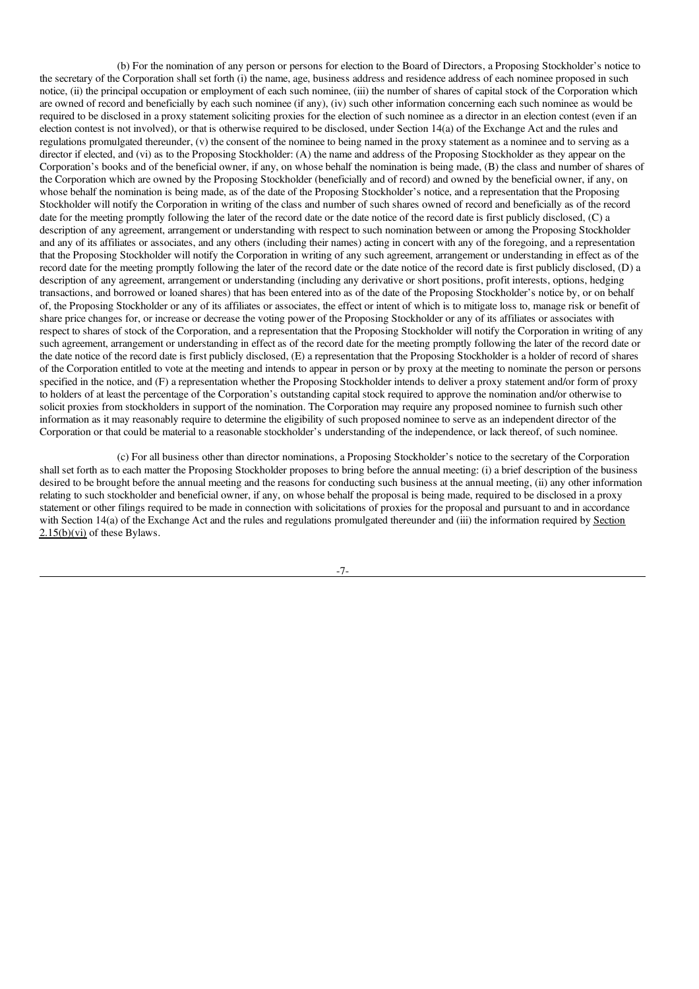(b) For the nomination of any person or persons for election to the Board of Directors, a Proposing Stockholder's notice to the secretary of the Corporation shall set forth (i) the name, age, business address and residence address of each nominee proposed in such notice, (ii) the principal occupation or employment of each such nominee, (iii) the number of shares of capital stock of the Corporation which are owned of record and beneficially by each such nominee (if any), (iv) such other information concerning each such nominee as would be required to be disclosed in a proxy statement soliciting proxies for the election of such nominee as a director in an election contest (even if an election contest is not involved), or that is otherwise required to be disclosed, under Section 14(a) of the Exchange Act and the rules and regulations promulgated thereunder, (v) the consent of the nominee to being named in the proxy statement as a nominee and to serving as a director if elected, and (vi) as to the Proposing Stockholder: (A) the name and address of the Proposing Stockholder as they appear on the Corporation's books and of the beneficial owner, if any, on whose behalf the nomination is being made, (B) the class and number of shares of the Corporation which are owned by the Proposing Stockholder (beneficially and of record) and owned by the beneficial owner, if any, on whose behalf the nomination is being made, as of the date of the Proposing Stockholder's notice, and a representation that the Proposing Stockholder will notify the Corporation in writing of the class and number of such shares owned of record and beneficially as of the record date for the meeting promptly following the later of the record date or the date notice of the record date is first publicly disclosed, (C) a description of any agreement, arrangement or understanding with respect to such nomination between or among the Proposing Stockholder and any of its affiliates or associates, and any others (including their names) acting in concert with any of the foregoing, and a representation that the Proposing Stockholder will notify the Corporation in writing of any such agreement, arrangement or understanding in effect as of the record date for the meeting promptly following the later of the record date or the date notice of the record date is first publicly disclosed, (D) a description of any agreement, arrangement or understanding (including any derivative or short positions, profit interests, options, hedging transactions, and borrowed or loaned shares) that has been entered into as of the date of the Proposing Stockholder's notice by, or on behalf of, the Proposing Stockholder or any of its affiliates or associates, the effect or intent of which is to mitigate loss to, manage risk or benefit of share price changes for, or increase or decrease the voting power of the Proposing Stockholder or any of its affiliates or associates with respect to shares of stock of the Corporation, and a representation that the Proposing Stockholder will notify the Corporation in writing of any such agreement, arrangement or understanding in effect as of the record date for the meeting promptly following the later of the record date or the date notice of the record date is first publicly disclosed, (E) a representation that the Proposing Stockholder is a holder of record of shares of the Corporation entitled to vote at the meeting and intends to appear in person or by proxy at the meeting to nominate the person or persons specified in the notice, and (F) a representation whether the Proposing Stockholder intends to deliver a proxy statement and/or form of proxy to holders of at least the percentage of the Corporation's outstanding capital stock required to approve the nomination and/or otherwise to solicit proxies from stockholders in support of the nomination. The Corporation may require any proposed nominee to furnish such other information as it may reasonably require to determine the eligibility of such proposed nominee to serve as an independent director of the Corporation or that could be material to a reasonable stockholder's understanding of the independence, or lack thereof, of such nominee.

(c) For all business other than director nominations, a Proposing Stockholder's notice to the secretary of the Corporation shall set forth as to each matter the Proposing Stockholder proposes to bring before the annual meeting: (i) a brief description of the business desired to be brought before the annual meeting and the reasons for conducting such business at the annual meeting, (ii) any other information relating to such stockholder and beneficial owner, if any, on whose behalf the proposal is being made, required to be disclosed in a proxy statement or other filings required to be made in connection with solicitations of proxies for the proposal and pursuant to and in accordance with Section 14(a) of the Exchange Act and the rules and regulations promulgated thereunder and (iii) the information required by Section 2.15(b)(vi) of these Bylaws.

-7-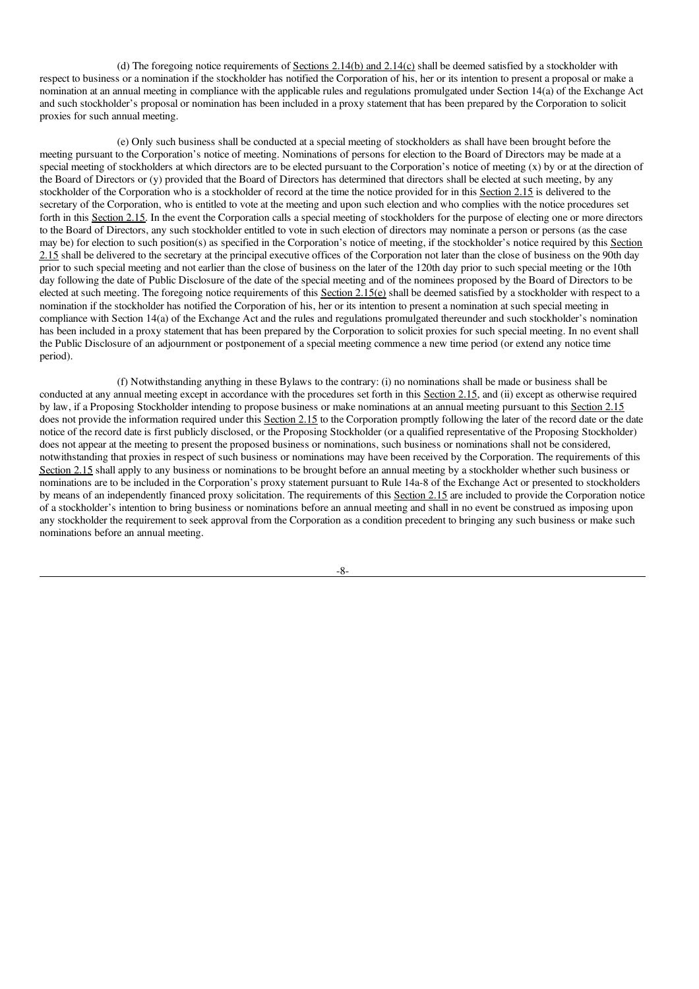(d) The foregoing notice requirements of Sections  $2.14(b)$  and  $2.14(c)$  shall be deemed satisfied by a stockholder with respect to business or a nomination if the stockholder has notified the Corporation of his, her or its intention to present a proposal or make a nomination at an annual meeting in compliance with the applicable rules and regulations promulgated under Section 14(a) of the Exchange Act and such stockholder's proposal or nomination has been included in a proxy statement that has been prepared by the Corporation to solicit proxies for such annual meeting.

(e) Only such business shall be conducted at a special meeting of stockholders as shall have been brought before the meeting pursuant to the Corporation's notice of meeting. Nominations of persons for election to the Board of Directors may be made at a special meeting of stockholders at which directors are to be elected pursuant to the Corporation's notice of meeting  $(x)$  by or at the direction of the Board of Directors or (y) provided that the Board of Directors has determined that directors shall be elected at such meeting, by any stockholder of the Corporation who is a stockholder of record at the time the notice provided for in this Section 2.15 is delivered to the secretary of the Corporation, who is entitled to vote at the meeting and upon such election and who complies with the notice procedures set forth in this Section 2.15. In the event the Corporation calls a special meeting of stockholders for the purpose of electing one or more directors to the Board of Directors, any such stockholder entitled to vote in such election of directors may nominate a person or persons (as the case may be) for election to such position(s) as specified in the Corporation's notice of meeting, if the stockholder's notice required by this Section 2.15 shall be delivered to the secretary at the principal executive offices of the Corporation not later than the close of business on the 90th day prior to such special meeting and not earlier than the close of business on the later of the 120th day prior to such special meeting or the 10th day following the date of Public Disclosure of the date of the special meeting and of the nominees proposed by the Board of Directors to be elected at such meeting. The foregoing notice requirements of this Section 2.15(e) shall be deemed satisfied by a stockholder with respect to a nomination if the stockholder has notified the Corporation of his, her or its intention to present a nomination at such special meeting in compliance with Section 14(a) of the Exchange Act and the rules and regulations promulgated thereunder and such stockholder's nomination has been included in a proxy statement that has been prepared by the Corporation to solicit proxies for such special meeting. In no event shall the Public Disclosure of an adjournment or postponement of a special meeting commence a new time period (or extend any notice time period).

(f) Notwithstanding anything in these Bylaws to the contrary: (i) no nominations shall be made or business shall be conducted at any annual meeting except in accordance with the procedures set forth in this Section 2.15, and (ii) except as otherwise required by law, if a Proposing Stockholder intending to propose business or make nominations at an annual meeting pursuant to this Section 2.15 does not provide the information required under this Section 2.15 to the Corporation promptly following the later of the record date or the date notice of the record date is first publicly disclosed, or the Proposing Stockholder (or a qualified representative of the Proposing Stockholder) does not appear at the meeting to present the proposed business or nominations, such business or nominations shall not be considered, notwithstanding that proxies in respect of such business or nominations may have been received by the Corporation. The requirements of this Section 2.15 shall apply to any business or nominations to be brought before an annual meeting by a stockholder whether such business or nominations are to be included in the Corporation's proxy statement pursuant to Rule 14a-8 of the Exchange Act or presented to stockholders by means of an independently financed proxy solicitation. The requirements of this Section 2.15 are included to provide the Corporation notice of a stockholder's intention to bring business or nominations before an annual meeting and shall in no event be construed as imposing upon any stockholder the requirement to seek approval from the Corporation as a condition precedent to bringing any such business or make such nominations before an annual meeting.

-8-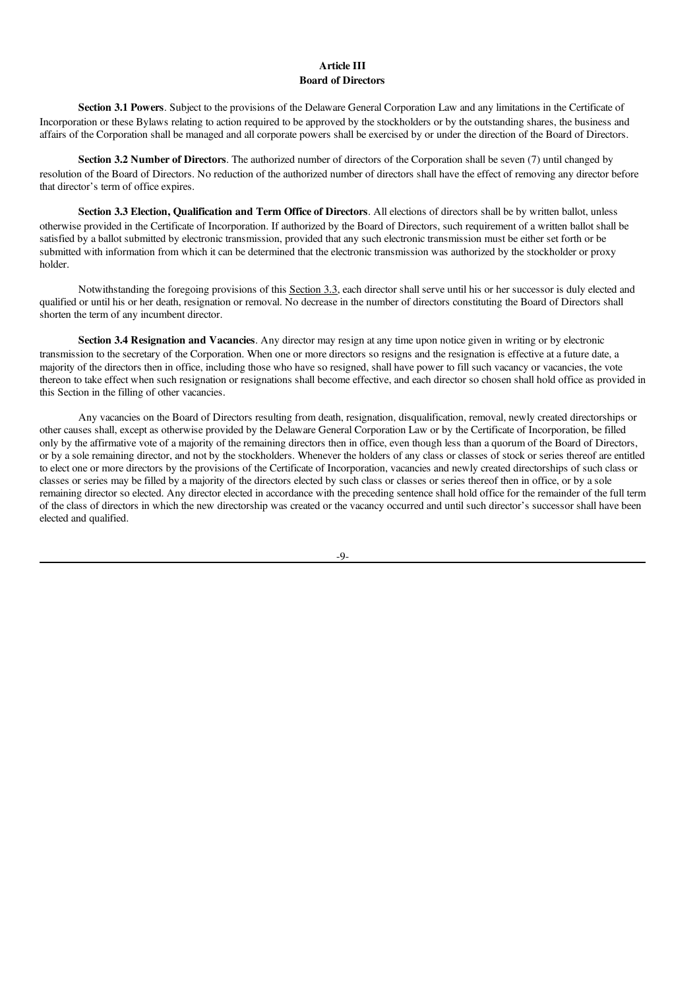## Article III Board of Directors

Section 3.1 Powers. Subject to the provisions of the Delaware General Corporation Law and any limitations in the Certificate of Incorporation or these Bylaws relating to action required to be approved by the stockholders or by the outstanding shares, the business and affairs of the Corporation shall be managed and all corporate powers shall be exercised by or under the direction of the Board of Directors.

Section 3.2 Number of Directors. The authorized number of directors of the Corporation shall be seven (7) until changed by resolution of the Board of Directors. No reduction of the authorized number of directors shall have the effect of removing any director before that director's term of office expires.

Section 3.3 Election, Qualification and Term Office of Directors. All elections of directors shall be by written ballot, unless otherwise provided in the Certificate of Incorporation. If authorized by the Board of Directors, such requirement of a written ballot shall be satisfied by a ballot submitted by electronic transmission, provided that any such electronic transmission must be either set forth or be submitted with information from which it can be determined that the electronic transmission was authorized by the stockholder or proxy holder.

Notwithstanding the foregoing provisions of this Section 3.3, each director shall serve until his or her successor is duly elected and qualified or until his or her death, resignation or removal. No decrease in the number of directors constituting the Board of Directors shall shorten the term of any incumbent director.

Section 3.4 Resignation and Vacancies. Any director may resign at any time upon notice given in writing or by electronic transmission to the secretary of the Corporation. When one or more directors so resigns and the resignation is effective at a future date, a majority of the directors then in office, including those who have so resigned, shall have power to fill such vacancy or vacancies, the vote thereon to take effect when such resignation or resignations shall become effective, and each director so chosen shall hold office as provided in this Section in the filling of other vacancies.

Any vacancies on the Board of Directors resulting from death, resignation, disqualification, removal, newly created directorships or other causes shall, except as otherwise provided by the Delaware General Corporation Law or by the Certificate of Incorporation, be filled only by the affirmative vote of a majority of the remaining directors then in office, even though less than a quorum of the Board of Directors, or by a sole remaining director, and not by the stockholders. Whenever the holders of any class or classes of stock or series thereof are entitled to elect one or more directors by the provisions of the Certificate of Incorporation, vacancies and newly created directorships of such class or classes or series may be filled by a majority of the directors elected by such class or classes or series thereof then in office, or by a sole remaining director so elected. Any director elected in accordance with the preceding sentence shall hold office for the remainder of the full term of the class of directors in which the new directorship was created or the vacancy occurred and until such director's successor shall have been elected and qualified.

 $-9-$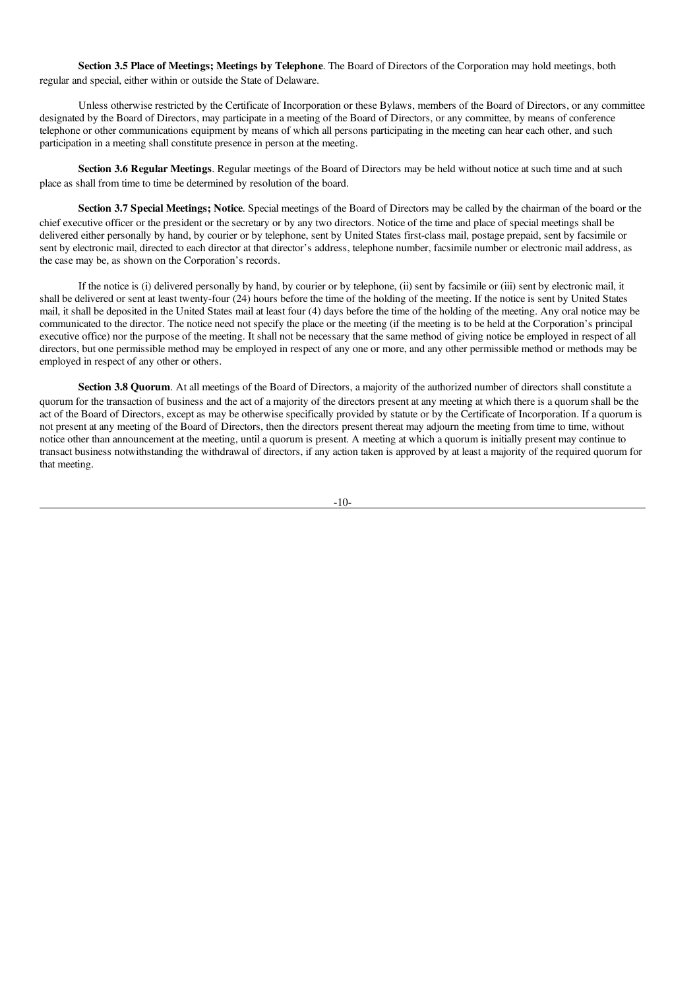Section 3.5 Place of Meetings; Meetings by Telephone. The Board of Directors of the Corporation may hold meetings, both regular and special, either within or outside the State of Delaware.

Unless otherwise restricted by the Certificate of Incorporation or these Bylaws, members of the Board of Directors, or any committee designated by the Board of Directors, may participate in a meeting of the Board of Directors, or any committee, by means of conference telephone or other communications equipment by means of which all persons participating in the meeting can hear each other, and such participation in a meeting shall constitute presence in person at the meeting.

Section 3.6 Regular Meetings. Regular meetings of the Board of Directors may be held without notice at such time and at such place as shall from time to time be determined by resolution of the board.

Section 3.7 Special Meetings; Notice. Special meetings of the Board of Directors may be called by the chairman of the board or the chief executive officer or the president or the secretary or by any two directors. Notice of the time and place of special meetings shall be delivered either personally by hand, by courier or by telephone, sent by United States first-class mail, postage prepaid, sent by facsimile or sent by electronic mail, directed to each director at that director's address, telephone number, facsimile number or electronic mail address, as the case may be, as shown on the Corporation's records.

If the notice is (i) delivered personally by hand, by courier or by telephone, (ii) sent by facsimile or (iii) sent by electronic mail, it shall be delivered or sent at least twenty-four (24) hours before the time of the holding of the meeting. If the notice is sent by United States mail, it shall be deposited in the United States mail at least four (4) days before the time of the holding of the meeting. Any oral notice may be communicated to the director. The notice need not specify the place or the meeting (if the meeting is to be held at the Corporation's principal executive office) nor the purpose of the meeting. It shall not be necessary that the same method of giving notice be employed in respect of all directors, but one permissible method may be employed in respect of any one or more, and any other permissible method or methods may be employed in respect of any other or others.

Section 3.8 Quorum. At all meetings of the Board of Directors, a majority of the authorized number of directors shall constitute a quorum for the transaction of business and the act of a majority of the directors present at any meeting at which there is a quorum shall be the act of the Board of Directors, except as may be otherwise specifically provided by statute or by the Certificate of Incorporation. If a quorum is not present at any meeting of the Board of Directors, then the directors present thereat may adjourn the meeting from time to time, without notice other than announcement at the meeting, until a quorum is present. A meeting at which a quorum is initially present may continue to transact business notwithstanding the withdrawal of directors, if any action taken is approved by at least a majority of the required quorum for that meeting.

-10-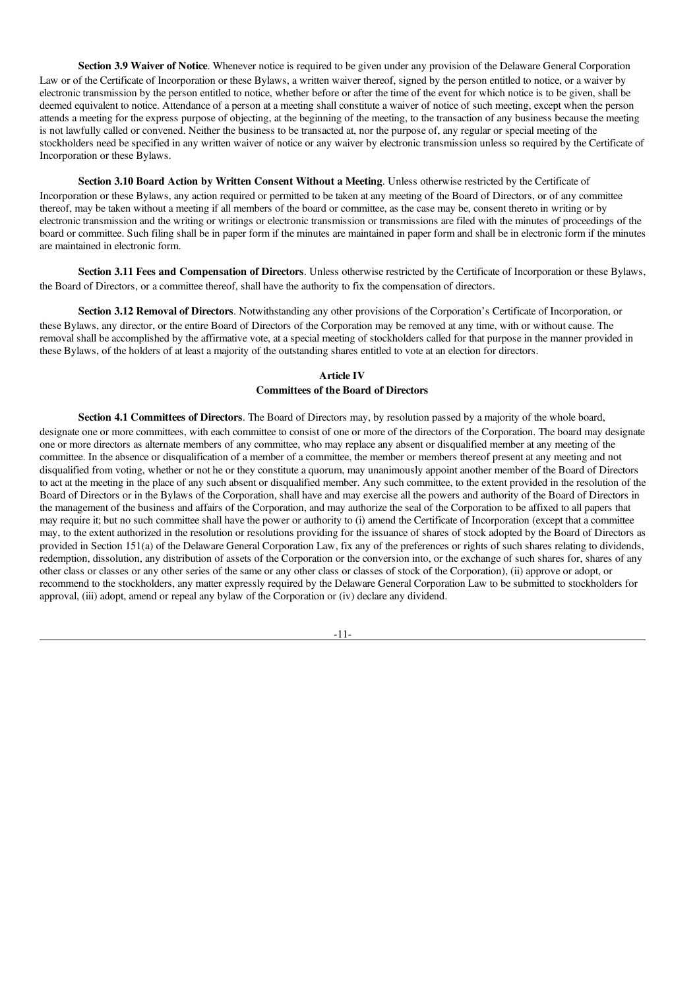Section 3.9 Waiver of Notice. Whenever notice is required to be given under any provision of the Delaware General Corporation Law or of the Certificate of Incorporation or these Bylaws, a written waiver thereof, signed by the person entitled to notice, or a waiver by electronic transmission by the person entitled to notice, whether before or after the time of the event for which notice is to be given, shall be deemed equivalent to notice. Attendance of a person at a meeting shall constitute a waiver of notice of such meeting, except when the person attends a meeting for the express purpose of objecting, at the beginning of the meeting, to the transaction of any business because the meeting is not lawfully called or convened. Neither the business to be transacted at, nor the purpose of, any regular or special meeting of the stockholders need be specified in any written waiver of notice or any waiver by electronic transmission unless so required by the Certificate of Incorporation or these Bylaws.

Section 3.10 Board Action by Written Consent Without a Meeting. Unless otherwise restricted by the Certificate of Incorporation or these Bylaws, any action required or permitted to be taken at any meeting of the Board of Directors, or of any committee thereof, may be taken without a meeting if all members of the board or committee, as the case may be, consent thereto in writing or by electronic transmission and the writing or writings or electronic transmission or transmissions are filed with the minutes of proceedings of the board or committee. Such filing shall be in paper form if the minutes are maintained in paper form and shall be in electronic form if the minutes are maintained in electronic form.

Section 3.11 Fees and Compensation of Directors. Unless otherwise restricted by the Certificate of Incorporation or these Bylaws, the Board of Directors, or a committee thereof, shall have the authority to fix the compensation of directors.

Section 3.12 Removal of Directors. Notwithstanding any other provisions of the Corporation's Certificate of Incorporation, or these Bylaws, any director, or the entire Board of Directors of the Corporation may be removed at any time, with or without cause. The removal shall be accomplished by the affirmative vote, at a special meeting of stockholders called for that purpose in the manner provided in these Bylaws, of the holders of at least a majority of the outstanding shares entitled to vote at an election for directors.

# Article IV Committees of the Board of Directors

Section 4.1 Committees of Directors. The Board of Directors may, by resolution passed by a majority of the whole board,

designate one or more committees, with each committee to consist of one or more of the directors of the Corporation. The board may designate one or more directors as alternate members of any committee, who may replace any absent or disqualified member at any meeting of the committee. In the absence or disqualification of a member of a committee, the member or members thereof present at any meeting and not disqualified from voting, whether or not he or they constitute a quorum, may unanimously appoint another member of the Board of Directors to act at the meeting in the place of any such absent or disqualified member. Any such committee, to the extent provided in the resolution of the Board of Directors or in the Bylaws of the Corporation, shall have and may exercise all the powers and authority of the Board of Directors in the management of the business and affairs of the Corporation, and may authorize the seal of the Corporation to be affixed to all papers that may require it; but no such committee shall have the power or authority to (i) amend the Certificate of Incorporation (except that a committee may, to the extent authorized in the resolution or resolutions providing for the issuance of shares of stock adopted by the Board of Directors as provided in Section 151(a) of the Delaware General Corporation Law, fix any of the preferences or rights of such shares relating to dividends, redemption, dissolution, any distribution of assets of the Corporation or the conversion into, or the exchange of such shares for, shares of any other class or classes or any other series of the same or any other class or classes of stock of the Corporation), (ii) approve or adopt, or recommend to the stockholders, any matter expressly required by the Delaware General Corporation Law to be submitted to stockholders for approval, (iii) adopt, amend or repeal any bylaw of the Corporation or (iv) declare any dividend.

-11-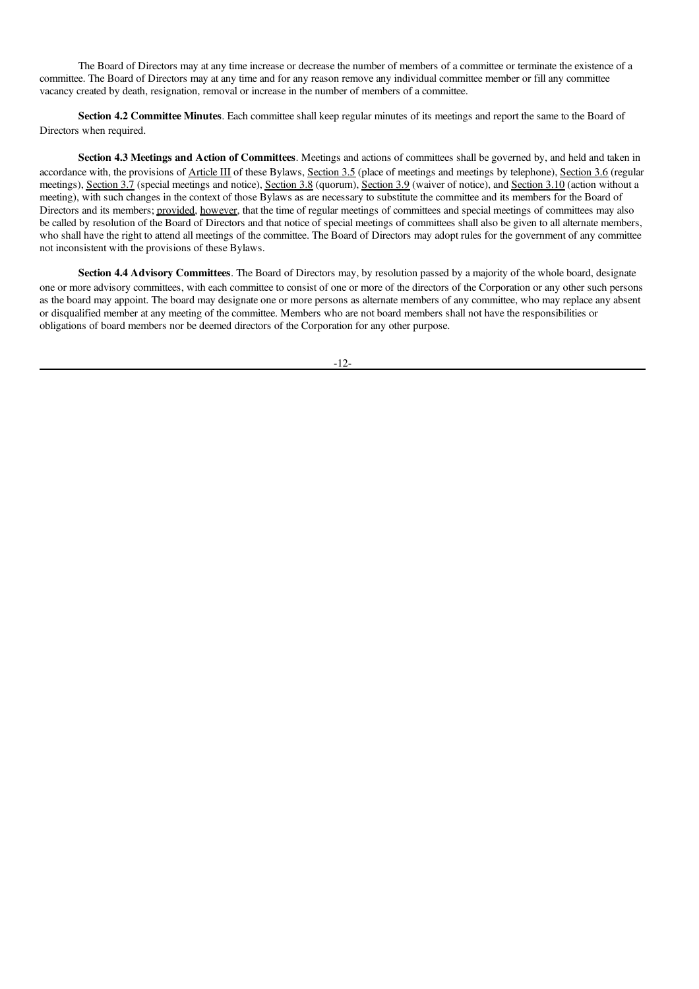The Board of Directors may at any time increase or decrease the number of members of a committee or terminate the existence of a committee. The Board of Directors may at any time and for any reason remove any individual committee member or fill any committee vacancy created by death, resignation, removal or increase in the number of members of a committee.

Section 4.2 Committee Minutes. Each committee shall keep regular minutes of its meetings and report the same to the Board of Directors when required.

Section 4.3 Meetings and Action of Committees. Meetings and actions of committees shall be governed by, and held and taken in accordance with, the provisions of Article III of these Bylaws, Section 3.5 (place of meetings and meetings by telephone), Section 3.6 (regular meetings), Section 3.7 (special meetings and notice), Section 3.8 (quorum), Section 3.9 (waiver of notice), and Section 3.10 (action without a meeting), with such changes in the context of those Bylaws as are necessary to substitute the committee and its members for the Board of Directors and its members; provided, however, that the time of regular meetings of committees and special meetings of committees may also be called by resolution of the Board of Directors and that notice of special meetings of committees shall also be given to all alternate members, who shall have the right to attend all meetings of the committee. The Board of Directors may adopt rules for the government of any committee not inconsistent with the provisions of these Bylaws.

Section 4.4 Advisory Committees. The Board of Directors may, by resolution passed by a majority of the whole board, designate one or more advisory committees, with each committee to consist of one or more of the directors of the Corporation or any other such persons as the board may appoint. The board may designate one or more persons as alternate members of any committee, who may replace any absent or disqualified member at any meeting of the committee. Members who are not board members shall not have the responsibilities or obligations of board members nor be deemed directors of the Corporation for any other purpose.

-12-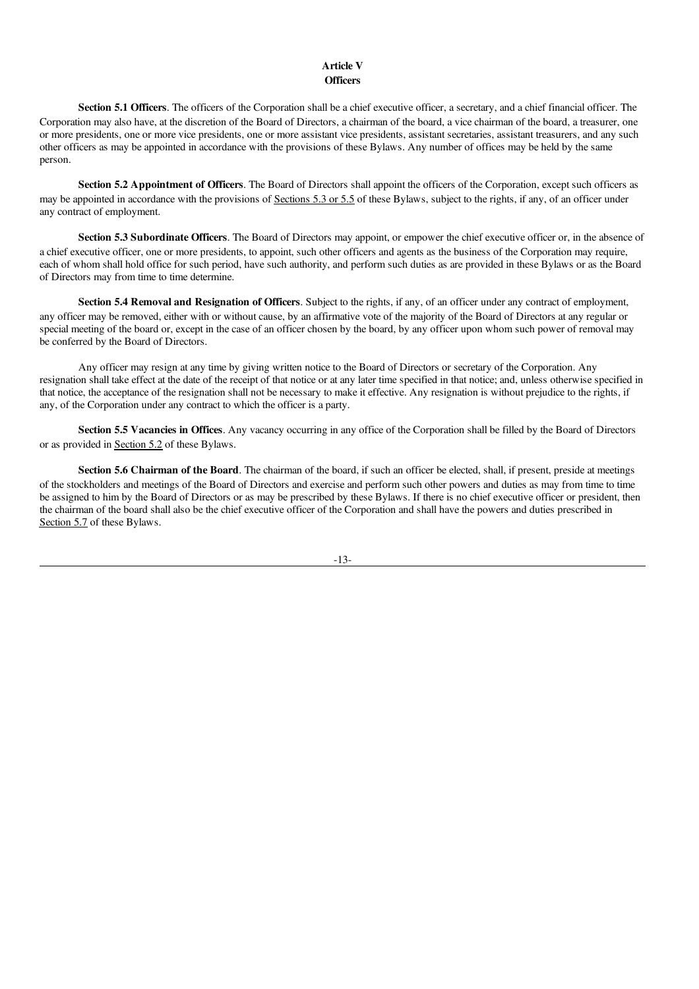# Article V **Officers**

Section 5.1 Officers. The officers of the Corporation shall be a chief executive officer, a secretary, and a chief financial officer. The Corporation may also have, at the discretion of the Board of Directors, a chairman of the board, a vice chairman of the board, a treasurer, one or more presidents, one or more vice presidents, one or more assistant vice presidents, assistant secretaries, assistant treasurers, and any such other officers as may be appointed in accordance with the provisions of these Bylaws. Any number of offices may be held by the same person.

Section 5.2 Appointment of Officers. The Board of Directors shall appoint the officers of the Corporation, except such officers as may be appointed in accordance with the provisions of Sections 5.3 or 5.5 of these Bylaws, subject to the rights, if any, of an officer under any contract of employment.

Section 5.3 Subordinate Officers. The Board of Directors may appoint, or empower the chief executive officer or, in the absence of a chief executive officer, one or more presidents, to appoint, such other officers and agents as the business of the Corporation may require, each of whom shall hold office for such period, have such authority, and perform such duties as are provided in these Bylaws or as the Board of Directors may from time to time determine.

Section 5.4 Removal and Resignation of Officers. Subject to the rights, if any, of an officer under any contract of employment, any officer may be removed, either with or without cause, by an affirmative vote of the majority of the Board of Directors at any regular or special meeting of the board or, except in the case of an officer chosen by the board, by any officer upon whom such power of removal may be conferred by the Board of Directors.

Any officer may resign at any time by giving written notice to the Board of Directors or secretary of the Corporation. Any resignation shall take effect at the date of the receipt of that notice or at any later time specified in that notice; and, unless otherwise specified in that notice, the acceptance of the resignation shall not be necessary to make it effective. Any resignation is without prejudice to the rights, if any, of the Corporation under any contract to which the officer is a party.

Section 5.5 Vacancies in Offices. Any vacancy occurring in any office of the Corporation shall be filled by the Board of Directors or as provided in Section 5.2 of these Bylaws.

Section 5.6 Chairman of the Board. The chairman of the board, if such an officer be elected, shall, if present, preside at meetings of the stockholders and meetings of the Board of Directors and exercise and perform such other powers and duties as may from time to time be assigned to him by the Board of Directors or as may be prescribed by these Bylaws. If there is no chief executive officer or president, then the chairman of the board shall also be the chief executive officer of the Corporation and shall have the powers and duties prescribed in Section 5.7 of these Bylaws.

-13-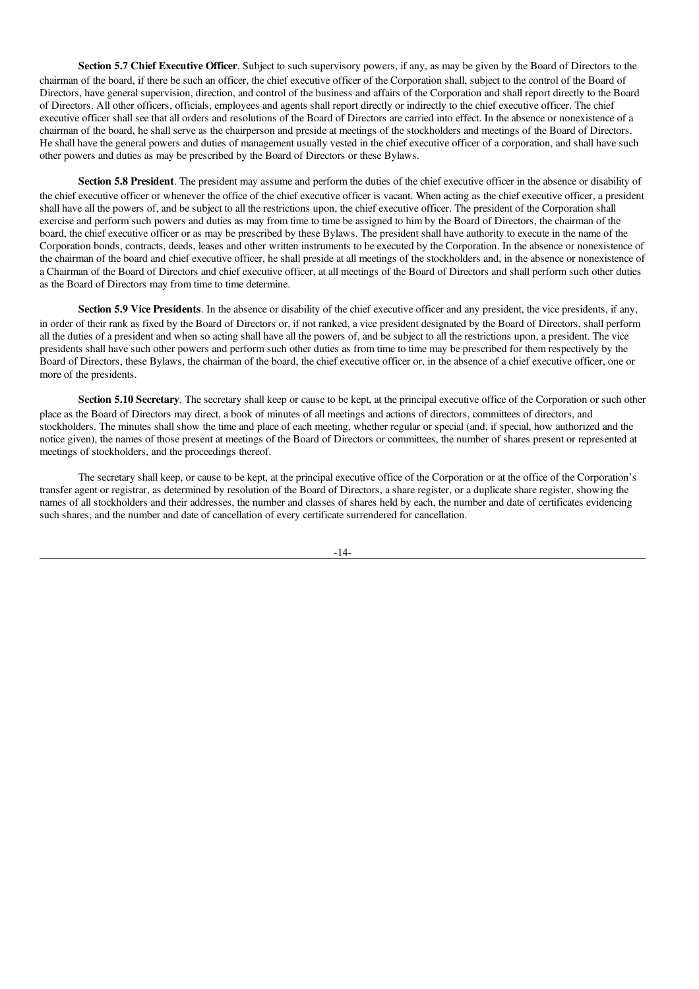Section 5.7 Chief Executive Officer. Subject to such supervisory powers, if any, as may be given by the Board of Directors to the chairman of the board, if there be such an officer, the chief executive officer of the Corporation shall, subject to the control of the Board of Directors, have general supervision, direction, and control of the business and affairs of the Corporation and shall report directly to the Board of Directors. All other officers, officials, employees and agents shall report directly or indirectly to the chief executive officer. The chief executive officer shall see that all orders and resolutions of the Board of Directors are carried into effect. In the absence or nonexistence of a chairman of the board, he shall serve as the chairperson and preside at meetings of the stockholders and meetings of the Board of Directors. He shall have the general powers and duties of management usually vested in the chief executive officer of a corporation, and shall have such other powers and duties as may be prescribed by the Board of Directors or these Bylaws.

Section 5.8 President. The president may assume and perform the duties of the chief executive officer in the absence or disability of the chief executive officer or whenever the office of the chief executive officer is vacant. When acting as the chief executive officer, a president shall have all the powers of, and be subject to all the restrictions upon, the chief executive officer. The president of the Corporation shall exercise and perform such powers and duties as may from time to time be assigned to him by the Board of Directors, the chairman of the board, the chief executive officer or as may be prescribed by these Bylaws. The president shall have authority to execute in the name of the Corporation bonds, contracts, deeds, leases and other written instruments to be executed by the Corporation. In the absence or nonexistence of the chairman of the board and chief executive officer, he shall preside at all meetings of the stockholders and, in the absence or nonexistence of a Chairman of the Board of Directors and chief executive officer, at all meetings of the Board of Directors and shall perform such other duties as the Board of Directors may from time to time determine.

Section 5.9 Vice Presidents. In the absence or disability of the chief executive officer and any president, the vice presidents, if any, in order of their rank as fixed by the Board of Directors or, if not ranked, a vice president designated by the Board of Directors, shall perform all the duties of a president and when so acting shall have all the powers of, and be subject to all the restrictions upon, a president. The vice presidents shall have such other powers and perform such other duties as from time to time may be prescribed for them respectively by the Board of Directors, these Bylaws, the chairman of the board, the chief executive officer or, in the absence of a chief executive officer, one or more of the presidents.

Section 5.10 Secretary. The secretary shall keep or cause to be kept, at the principal executive office of the Corporation or such other place as the Board of Directors may direct, a book of minutes of all meetings and actions of directors, committees of directors, and stockholders. The minutes shall show the time and place of each meeting, whether regular or special (and, if special, how authorized and the notice given), the names of those present at meetings of the Board of Directors or committees, the number of shares present or represented at meetings of stockholders, and the proceedings thereof.

The secretary shall keep, or cause to be kept, at the principal executive office of the Corporation or at the office of the Corporation's transfer agent or registrar, as determined by resolution of the Board of Directors, a share register, or a duplicate share register, showing the names of all stockholders and their addresses, the number and classes of shares held by each, the number and date of certificates evidencing such shares, and the number and date of cancellation of every certificate surrendered for cancellation.

-14-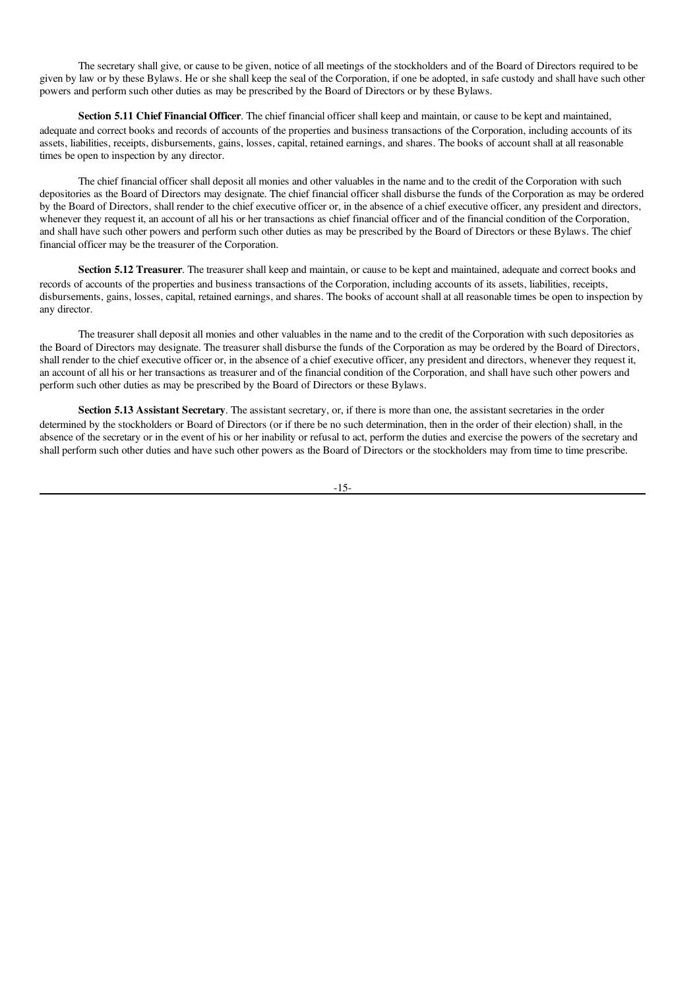The secretary shall give, or cause to be given, notice of all meetings of the stockholders and of the Board of Directors required to be given by law or by these Bylaws. He or she shall keep the seal of the Corporation, if one be adopted, in safe custody and shall have such other powers and perform such other duties as may be prescribed by the Board of Directors or by these Bylaws.

Section 5.11 Chief Financial Officer. The chief financial officer shall keep and maintain, or cause to be kept and maintained, adequate and correct books and records of accounts of the properties and business transactions of the Corporation, including accounts of its assets, liabilities, receipts, disbursements, gains, losses, capital, retained earnings, and shares. The books of account shall at all reasonable times be open to inspection by any director.

The chief financial officer shall deposit all monies and other valuables in the name and to the credit of the Corporation with such depositories as the Board of Directors may designate. The chief financial officer shall disburse the funds of the Corporation as may be ordered by the Board of Directors, shall render to the chief executive officer or, in the absence of a chief executive officer, any president and directors, whenever they request it, an account of all his or her transactions as chief financial officer and of the financial condition of the Corporation, and shall have such other powers and perform such other duties as may be prescribed by the Board of Directors or these Bylaws. The chief financial officer may be the treasurer of the Corporation.

Section 5.12 Treasurer. The treasurer shall keep and maintain, or cause to be kept and maintained, adequate and correct books and records of accounts of the properties and business transactions of the Corporation, including accounts of its assets, liabilities, receipts, disbursements, gains, losses, capital, retained earnings, and shares. The books of account shall at all reasonable times be open to inspection by any director.

The treasurer shall deposit all monies and other valuables in the name and to the credit of the Corporation with such depositories as the Board of Directors may designate. The treasurer shall disburse the funds of the Corporation as may be ordered by the Board of Directors, shall render to the chief executive officer or, in the absence of a chief executive officer, any president and directors, whenever they request it, an account of all his or her transactions as treasurer and of the financial condition of the Corporation, and shall have such other powers and perform such other duties as may be prescribed by the Board of Directors or these Bylaws.

Section 5.13 Assistant Secretary. The assistant secretary, or, if there is more than one, the assistant secretaries in the order determined by the stockholders or Board of Directors (or if there be no such determination, then in the order of their election) shall, in the absence of the secretary or in the event of his or her inability or refusal to act, perform the duties and exercise the powers of the secretary and shall perform such other duties and have such other powers as the Board of Directors or the stockholders may from time to time prescribe.

-15-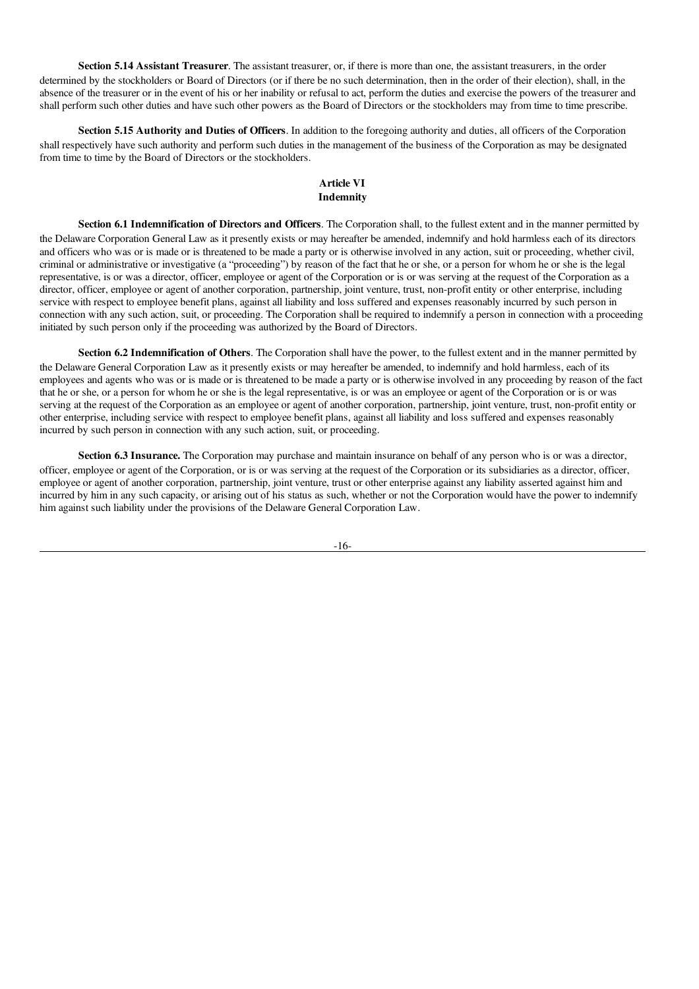Section 5.14 Assistant Treasurer. The assistant treasurer, or, if there is more than one, the assistant treasurers, in the order determined by the stockholders or Board of Directors (or if there be no such determination, then in the order of their election), shall, in the absence of the treasurer or in the event of his or her inability or refusal to act, perform the duties and exercise the powers of the treasurer and shall perform such other duties and have such other powers as the Board of Directors or the stockholders may from time to time prescribe.

Section 5.15 Authority and Duties of Officers. In addition to the foregoing authority and duties, all officers of the Corporation shall respectively have such authority and perform such duties in the management of the business of the Corporation as may be designated from time to time by the Board of Directors or the stockholders.

# Article VI Indemnity

Section 6.1 Indemnification of Directors and Officers. The Corporation shall, to the fullest extent and in the manner permitted by the Delaware Corporation General Law as it presently exists or may hereafter be amended, indemnify and hold harmless each of its directors and officers who was or is made or is threatened to be made a party or is otherwise involved in any action, suit or proceeding, whether civil, criminal or administrative or investigative (a "proceeding") by reason of the fact that he or she, or a person for whom he or she is the legal representative, is or was a director, officer, employee or agent of the Corporation or is or was serving at the request of the Corporation as a director, officer, employee or agent of another corporation, partnership, joint venture, trust, non-profit entity or other enterprise, including service with respect to employee benefit plans, against all liability and loss suffered and expenses reasonably incurred by such person in connection with any such action, suit, or proceeding. The Corporation shall be required to indemnify a person in connection with a proceeding initiated by such person only if the proceeding was authorized by the Board of Directors.

Section 6.2 Indemnification of Others. The Corporation shall have the power, to the fullest extent and in the manner permitted by the Delaware General Corporation Law as it presently exists or may hereafter be amended, to indemnify and hold harmless, each of its employees and agents who was or is made or is threatened to be made a party or is otherwise involved in any proceeding by reason of the fact that he or she, or a person for whom he or she is the legal representative, is or was an employee or agent of the Corporation or is or was serving at the request of the Corporation as an employee or agent of another corporation, partnership, joint venture, trust, non-profit entity or other enterprise, including service with respect to employee benefit plans, against all liability and loss suffered and expenses reasonably incurred by such person in connection with any such action, suit, or proceeding.

Section 6.3 Insurance. The Corporation may purchase and maintain insurance on behalf of any person who is or was a director, officer, employee or agent of the Corporation, or is or was serving at the request of the Corporation or its subsidiaries as a director, officer, employee or agent of another corporation, partnership, joint venture, trust or other enterprise against any liability asserted against him and incurred by him in any such capacity, or arising out of his status as such, whether or not the Corporation would have the power to indemnify him against such liability under the provisions of the Delaware General Corporation Law.

-16-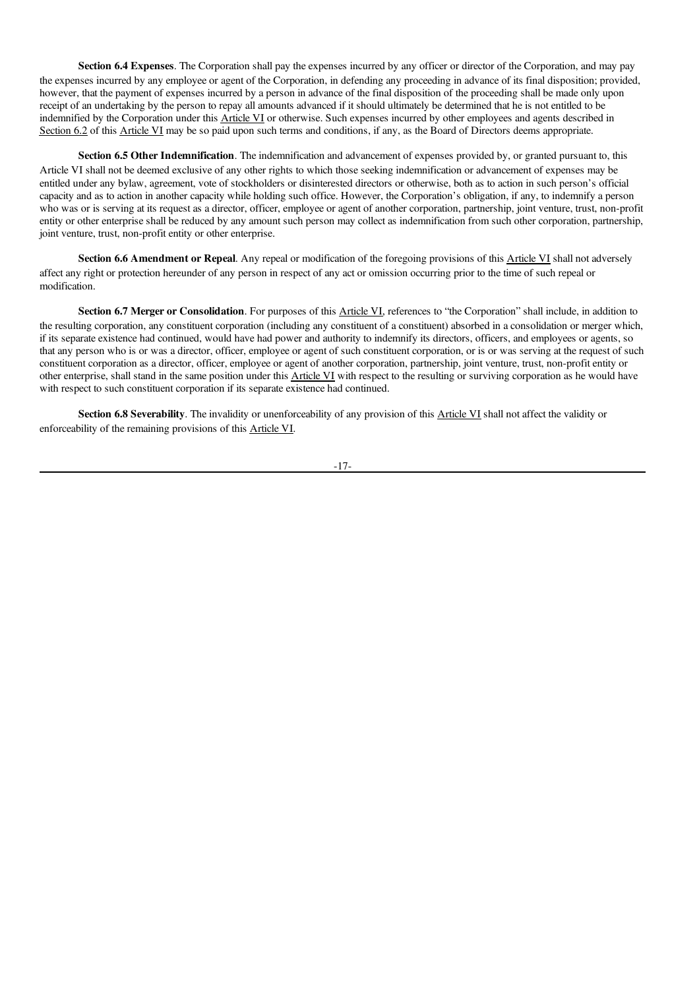Section 6.4 Expenses. The Corporation shall pay the expenses incurred by any officer or director of the Corporation, and may pay the expenses incurred by any employee or agent of the Corporation, in defending any proceeding in advance of its final disposition; provided, however, that the payment of expenses incurred by a person in advance of the final disposition of the proceeding shall be made only upon receipt of an undertaking by the person to repay all amounts advanced if it should ultimately be determined that he is not entitled to be indemnified by the Corporation under this Article VI or otherwise. Such expenses incurred by other employees and agents described in Section 6.2 of this Article VI may be so paid upon such terms and conditions, if any, as the Board of Directors deems appropriate.

Section 6.5 Other Indemnification. The indemnification and advancement of expenses provided by, or granted pursuant to, this Article VI shall not be deemed exclusive of any other rights to which those seeking indemnification or advancement of expenses may be entitled under any bylaw, agreement, vote of stockholders or disinterested directors or otherwise, both as to action in such person's official capacity and as to action in another capacity while holding such office. However, the Corporation's obligation, if any, to indemnify a person who was or is serving at its request as a director, officer, employee or agent of another corporation, partnership, joint venture, trust, non-profit entity or other enterprise shall be reduced by any amount such person may collect as indemnification from such other corporation, partnership, joint venture, trust, non-profit entity or other enterprise.

Section 6.6 Amendment or Repeal. Any repeal or modification of the foregoing provisions of this Article VI shall not adversely affect any right or protection hereunder of any person in respect of any act or omission occurring prior to the time of such repeal or modification.

Section 6.7 Merger or Consolidation. For purposes of this Article VI, references to "the Corporation" shall include, in addition to the resulting corporation, any constituent corporation (including any constituent of a constituent) absorbed in a consolidation or merger which, if its separate existence had continued, would have had power and authority to indemnify its directors, officers, and employees or agents, so that any person who is or was a director, officer, employee or agent of such constituent corporation, or is or was serving at the request of such constituent corporation as a director, officer, employee or agent of another corporation, partnership, joint venture, trust, non-profit entity or other enterprise, shall stand in the same position under this Article VI with respect to the resulting or surviving corporation as he would have with respect to such constituent corporation if its separate existence had continued.

Section 6.8 Severability. The invalidity or unenforceability of any provision of this Article VI shall not affect the validity or enforceability of the remaining provisions of this Article VI.

-17-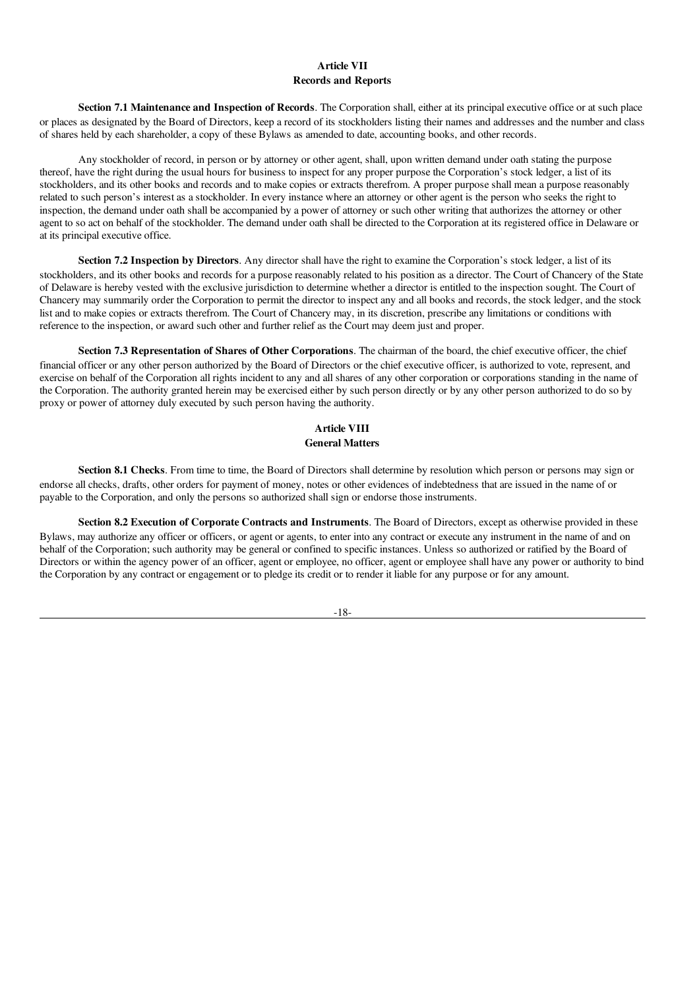# Article VII Records and Reports

Section 7.1 Maintenance and Inspection of Records. The Corporation shall, either at its principal executive office or at such place or places as designated by the Board of Directors, keep a record of its stockholders listing their names and addresses and the number and class of shares held by each shareholder, a copy of these Bylaws as amended to date, accounting books, and other records.

Any stockholder of record, in person or by attorney or other agent, shall, upon written demand under oath stating the purpose thereof, have the right during the usual hours for business to inspect for any proper purpose the Corporation's stock ledger, a list of its stockholders, and its other books and records and to make copies or extracts therefrom. A proper purpose shall mean a purpose reasonably related to such person's interest as a stockholder. In every instance where an attorney or other agent is the person who seeks the right to inspection, the demand under oath shall be accompanied by a power of attorney or such other writing that authorizes the attorney or other agent to so act on behalf of the stockholder. The demand under oath shall be directed to the Corporation at its registered office in Delaware or at its principal executive office.

Section 7.2 Inspection by Directors. Any director shall have the right to examine the Corporation's stock ledger, a list of its stockholders, and its other books and records for a purpose reasonably related to his position as a director. The Court of Chancery of the State of Delaware is hereby vested with the exclusive jurisdiction to determine whether a director is entitled to the inspection sought. The Court of Chancery may summarily order the Corporation to permit the director to inspect any and all books and records, the stock ledger, and the stock list and to make copies or extracts therefrom. The Court of Chancery may, in its discretion, prescribe any limitations or conditions with reference to the inspection, or award such other and further relief as the Court may deem just and proper.

Section 7.3 Representation of Shares of Other Corporations. The chairman of the board, the chief executive officer, the chief financial officer or any other person authorized by the Board of Directors or the chief executive officer, is authorized to vote, represent, and exercise on behalf of the Corporation all rights incident to any and all shares of any other corporation or corporations standing in the name of the Corporation. The authority granted herein may be exercised either by such person directly or by any other person authorized to do so by proxy or power of attorney duly executed by such person having the authority.

# Article VIII General Matters

Section 8.1 Checks. From time to time, the Board of Directors shall determine by resolution which person or persons may sign or endorse all checks, drafts, other orders for payment of money, notes or other evidences of indebtedness that are issued in the name of or payable to the Corporation, and only the persons so authorized shall sign or endorse those instruments.

Section 8.2 Execution of Corporate Contracts and Instruments. The Board of Directors, except as otherwise provided in these Bylaws, may authorize any officer or officers, or agent or agents, to enter into any contract or execute any instrument in the name of and on behalf of the Corporation; such authority may be general or confined to specific instances. Unless so authorized or ratified by the Board of Directors or within the agency power of an officer, agent or employee, no officer, agent or employee shall have any power or authority to bind the Corporation by any contract or engagement or to pledge its credit or to render it liable for any purpose or for any amount.

-18-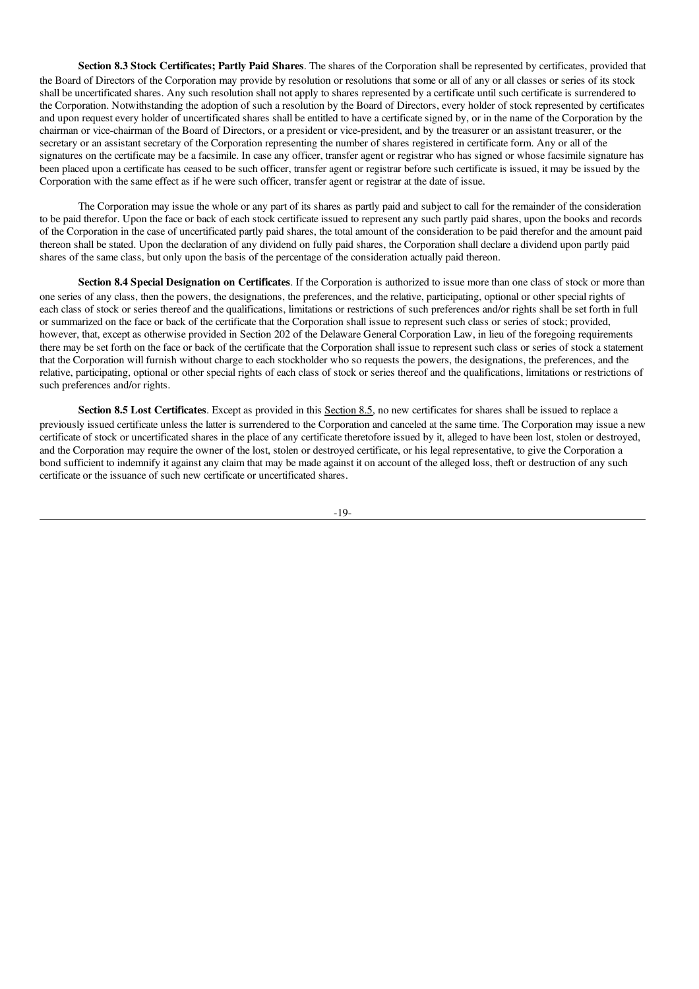Section 8.3 Stock Certificates; Partly Paid Shares. The shares of the Corporation shall be represented by certificates, provided that the Board of Directors of the Corporation may provide by resolution or resolutions that some or all of any or all classes or series of its stock shall be uncertificated shares. Any such resolution shall not apply to shares represented by a certificate until such certificate is surrendered to the Corporation. Notwithstanding the adoption of such a resolution by the Board of Directors, every holder of stock represented by certificates and upon request every holder of uncertificated shares shall be entitled to have a certificate signed by, or in the name of the Corporation by the chairman or vice-chairman of the Board of Directors, or a president or vice-president, and by the treasurer or an assistant treasurer, or the secretary or an assistant secretary of the Corporation representing the number of shares registered in certificate form. Any or all of the signatures on the certificate may be a facsimile. In case any officer, transfer agent or registrar who has signed or whose facsimile signature has been placed upon a certificate has ceased to be such officer, transfer agent or registrar before such certificate is issued, it may be issued by the Corporation with the same effect as if he were such officer, transfer agent or registrar at the date of issue.

The Corporation may issue the whole or any part of its shares as partly paid and subject to call for the remainder of the consideration to be paid therefor. Upon the face or back of each stock certificate issued to represent any such partly paid shares, upon the books and records of the Corporation in the case of uncertificated partly paid shares, the total amount of the consideration to be paid therefor and the amount paid thereon shall be stated. Upon the declaration of any dividend on fully paid shares, the Corporation shall declare a dividend upon partly paid shares of the same class, but only upon the basis of the percentage of the consideration actually paid thereon.

Section 8.4 Special Designation on Certificates. If the Corporation is authorized to issue more than one class of stock or more than one series of any class, then the powers, the designations, the preferences, and the relative, participating, optional or other special rights of each class of stock or series thereof and the qualifications, limitations or restrictions of such preferences and/or rights shall be set forth in full or summarized on the face or back of the certificate that the Corporation shall issue to represent such class or series of stock; provided, however, that, except as otherwise provided in Section 202 of the Delaware General Corporation Law, in lieu of the foregoing requirements there may be set forth on the face or back of the certificate that the Corporation shall issue to represent such class or series of stock a statement that the Corporation will furnish without charge to each stockholder who so requests the powers, the designations, the preferences, and the relative, participating, optional or other special rights of each class of stock or series thereof and the qualifications, limitations or restrictions of such preferences and/or rights.

Section 8.5 Lost Certificates. Except as provided in this Section 8.5, no new certificates for shares shall be issued to replace a previously issued certificate unless the latter is surrendered to the Corporation and canceled at the same time. The Corporation may issue a new certificate of stock or uncertificated shares in the place of any certificate theretofore issued by it, alleged to have been lost, stolen or destroyed, and the Corporation may require the owner of the lost, stolen or destroyed certificate, or his legal representative, to give the Corporation a bond sufficient to indemnify it against any claim that may be made against it on account of the alleged loss, theft or destruction of any such certificate or the issuance of such new certificate or uncertificated shares.

-19-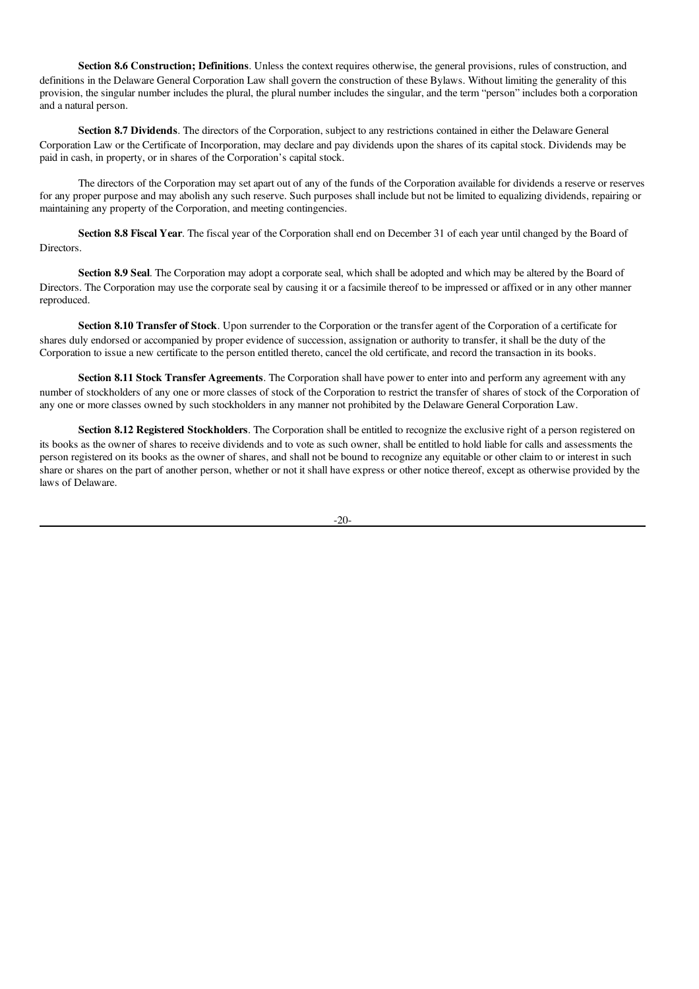Section 8.6 Construction; Definitions. Unless the context requires otherwise, the general provisions, rules of construction, and definitions in the Delaware General Corporation Law shall govern the construction of these Bylaws. Without limiting the generality of this provision, the singular number includes the plural, the plural number includes the singular, and the term "person" includes both a corporation and a natural person.

Section 8.7 Dividends. The directors of the Corporation, subject to any restrictions contained in either the Delaware General Corporation Law or the Certificate of Incorporation, may declare and pay dividends upon the shares of its capital stock. Dividends may be paid in cash, in property, or in shares of the Corporation's capital stock.

The directors of the Corporation may set apart out of any of the funds of the Corporation available for dividends a reserve or reserves for any proper purpose and may abolish any such reserve. Such purposes shall include but not be limited to equalizing dividends, repairing or maintaining any property of the Corporation, and meeting contingencies.

Section 8.8 Fiscal Year. The fiscal year of the Corporation shall end on December 31 of each year until changed by the Board of Directors.

Section 8.9 Seal. The Corporation may adopt a corporate seal, which shall be adopted and which may be altered by the Board of Directors. The Corporation may use the corporate seal by causing it or a facsimile thereof to be impressed or affixed or in any other manner reproduced.

Section 8.10 Transfer of Stock. Upon surrender to the Corporation or the transfer agent of the Corporation of a certificate for shares duly endorsed or accompanied by proper evidence of succession, assignation or authority to transfer, it shall be the duty of the Corporation to issue a new certificate to the person entitled thereto, cancel the old certificate, and record the transaction in its books.

Section 8.11 Stock Transfer Agreements. The Corporation shall have power to enter into and perform any agreement with any number of stockholders of any one or more classes of stock of the Corporation to restrict the transfer of shares of stock of the Corporation of any one or more classes owned by such stockholders in any manner not prohibited by the Delaware General Corporation Law.

Section 8.12 Registered Stockholders. The Corporation shall be entitled to recognize the exclusive right of a person registered on its books as the owner of shares to receive dividends and to vote as such owner, shall be entitled to hold liable for calls and assessments the person registered on its books as the owner of shares, and shall not be bound to recognize any equitable or other claim to or interest in such share or shares on the part of another person, whether or not it shall have express or other notice thereof, except as otherwise provided by the laws of Delaware.

-20-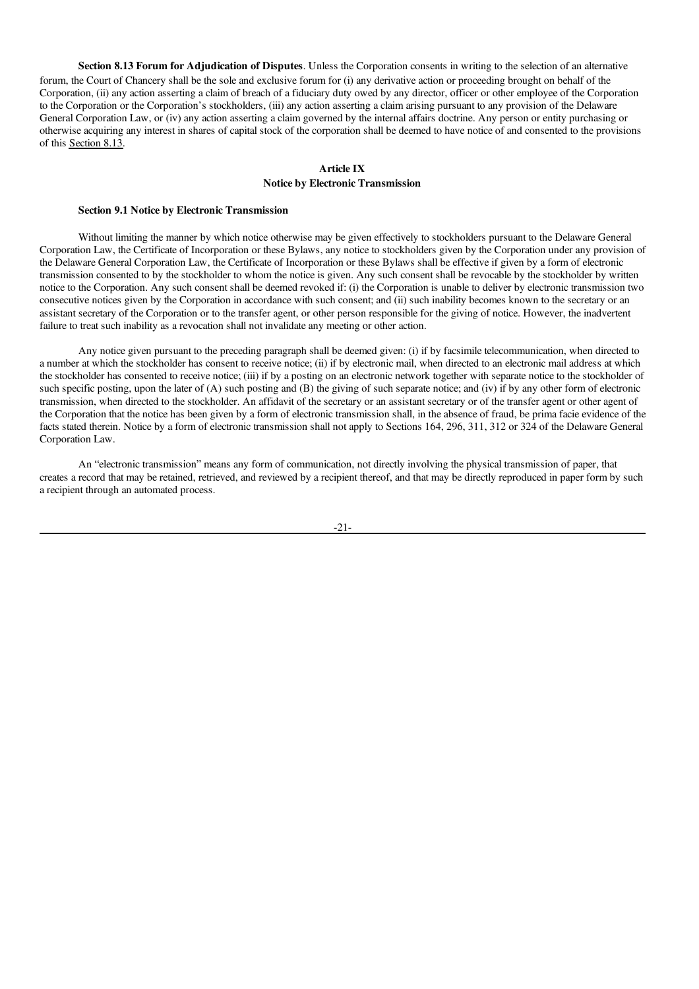Section 8.13 Forum for Adjudication of Disputes. Unless the Corporation consents in writing to the selection of an alternative forum, the Court of Chancery shall be the sole and exclusive forum for (i) any derivative action or proceeding brought on behalf of the Corporation, (ii) any action asserting a claim of breach of a fiduciary duty owed by any director, officer or other employee of the Corporation to the Corporation or the Corporation's stockholders, (iii) any action asserting a claim arising pursuant to any provision of the Delaware General Corporation Law, or (iv) any action asserting a claim governed by the internal affairs doctrine. Any person or entity purchasing or otherwise acquiring any interest in shares of capital stock of the corporation shall be deemed to have notice of and consented to the provisions of this Section 8.13.

#### Article IX

#### Notice by Electronic Transmission

#### Section 9.1 Notice by Electronic Transmission

Without limiting the manner by which notice otherwise may be given effectively to stockholders pursuant to the Delaware General Corporation Law, the Certificate of Incorporation or these Bylaws, any notice to stockholders given by the Corporation under any provision of the Delaware General Corporation Law, the Certificate of Incorporation or these Bylaws shall be effective if given by a form of electronic transmission consented to by the stockholder to whom the notice is given. Any such consent shall be revocable by the stockholder by written notice to the Corporation. Any such consent shall be deemed revoked if: (i) the Corporation is unable to deliver by electronic transmission two consecutive notices given by the Corporation in accordance with such consent; and (ii) such inability becomes known to the secretary or an assistant secretary of the Corporation or to the transfer agent, or other person responsible for the giving of notice. However, the inadvertent failure to treat such inability as a revocation shall not invalidate any meeting or other action.

Any notice given pursuant to the preceding paragraph shall be deemed given: (i) if by facsimile telecommunication, when directed to a number at which the stockholder has consent to receive notice; (ii) if by electronic mail, when directed to an electronic mail address at which the stockholder has consented to receive notice; (iii) if by a posting on an electronic network together with separate notice to the stockholder of such specific posting, upon the later of (A) such posting and (B) the giving of such separate notice; and (iv) if by any other form of electronic transmission, when directed to the stockholder. An affidavit of the secretary or an assistant secretary or of the transfer agent or other agent of the Corporation that the notice has been given by a form of electronic transmission shall, in the absence of fraud, be prima facie evidence of the facts stated therein. Notice by a form of electronic transmission shall not apply to Sections 164, 296, 311, 312 or 324 of the Delaware General Corporation Law.

An "electronic transmission" means any form of communication, not directly involving the physical transmission of paper, that creates a record that may be retained, retrieved, and reviewed by a recipient thereof, and that may be directly reproduced in paper form by such a recipient through an automated process.

-21-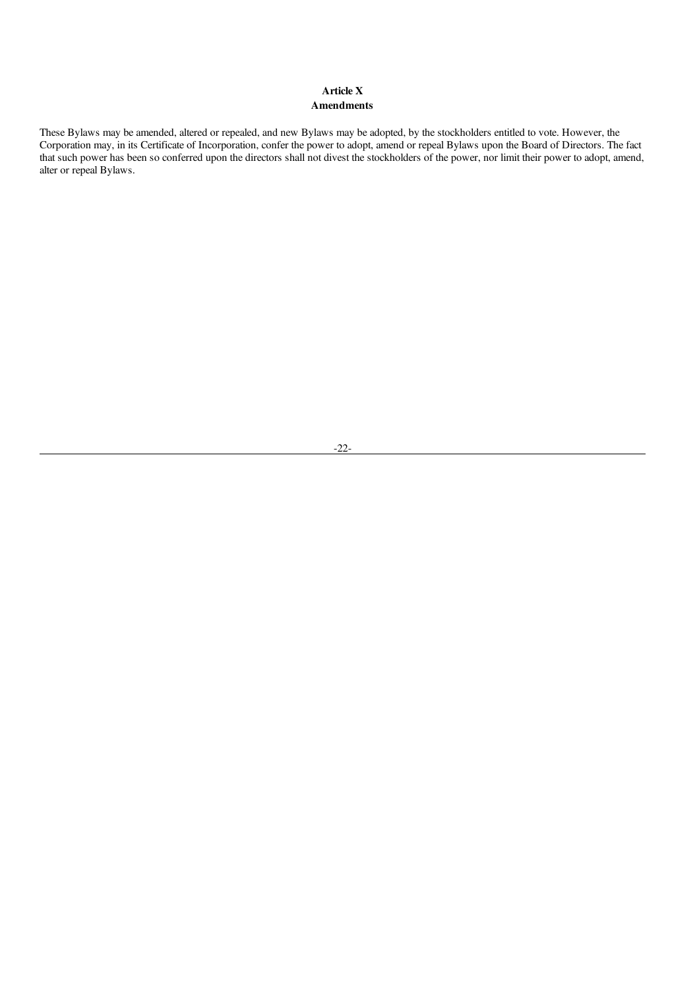# Article X

# Amendments

These Bylaws may be amended, altered or repealed, and new Bylaws may be adopted, by the stockholders entitled to vote. However, the Corporation may, in its Certificate of Incorporation, confer the power to adopt, amend or repeal Bylaws upon the Board of Directors. The fact that such power has been so conferred upon the directors shall not divest the stockholders of the power, nor limit their power to adopt, amend, alter or repeal Bylaws.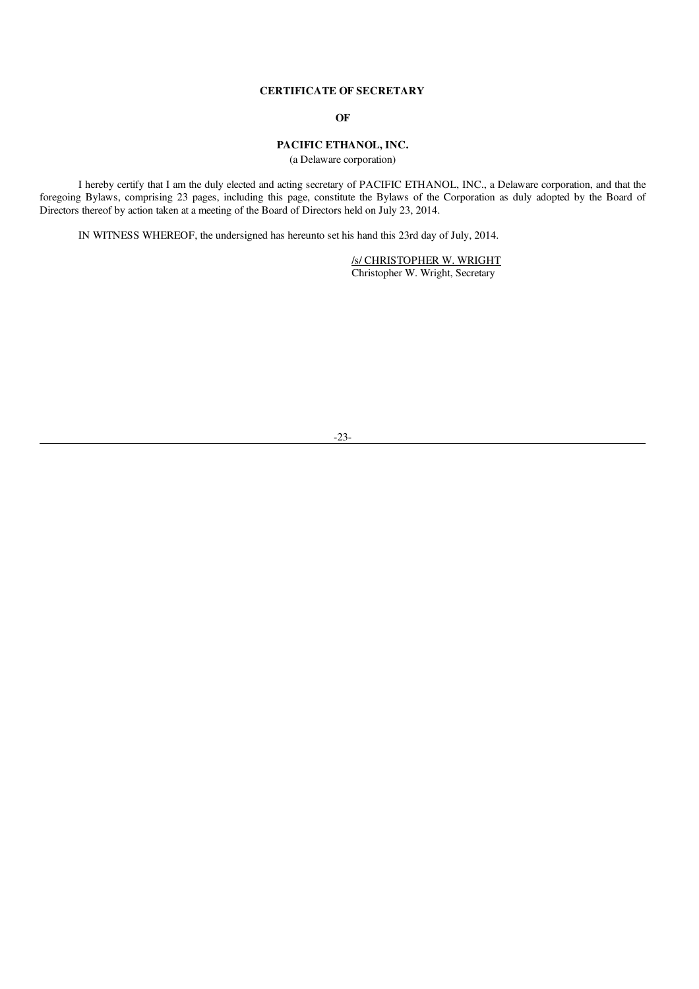#### CERTIFICATE OF SECRETARY

## **OF**

#### PACIFIC ETHANOL, INC.

(a Delaware corporation)

I hereby certify that I am the duly elected and acting secretary of PACIFIC ETHANOL, INC., a Delaware corporation, and that the foregoing Bylaws, comprising 23 pages, including this page, constitute the Bylaws of the Corporation as duly adopted by the Board of Directors thereof by action taken at a meeting of the Board of Directors held on July 23, 2014.

IN WITNESS WHEREOF, the undersigned has hereunto set his hand this 23rd day of July, 2014.

/s/ CHRISTOPHER W. WRIGHT Christopher W. Wright, Secretary

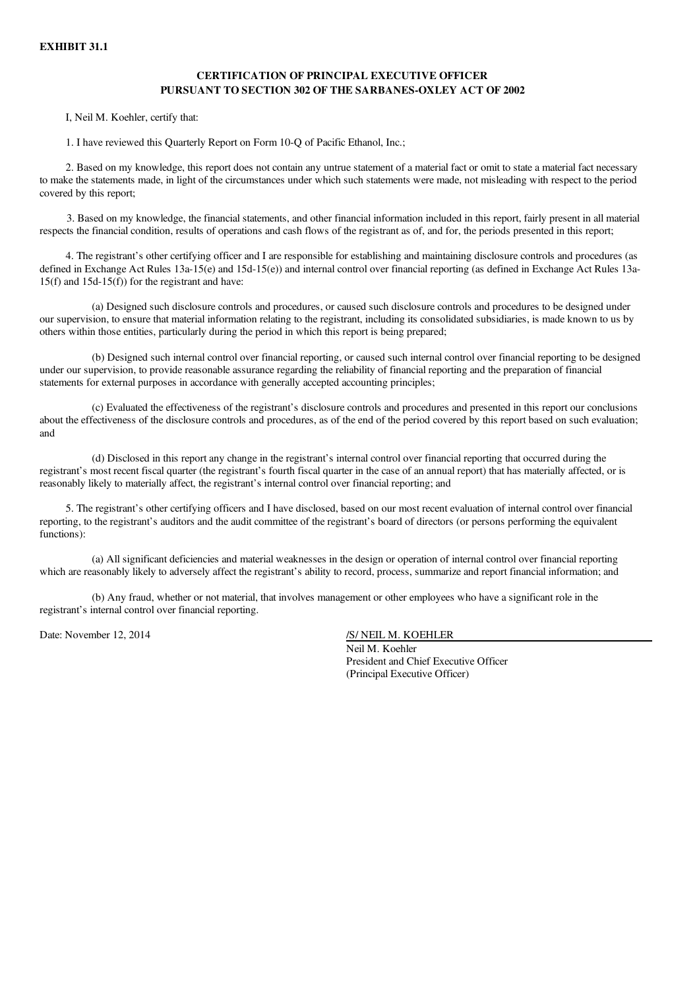#### CERTIFICATION OF PRINCIPAL EXECUTIVE OFFICER PURSUANT TO SECTION 302 OF THE SARBANES-OXLEY ACT OF 2002

I, Neil M. Koehler, certify that:

1. I have reviewed this Quarterly Report on Form 10-Q of Pacific Ethanol, Inc.;

2. Based on my knowledge, this report does not contain any untrue statement of a material fact or omit to state a material fact necessary to make the statements made, in light of the circumstances under which such statements were made, not misleading with respect to the period covered by this report;

3. Based on my knowledge, the financial statements, and other financial information included in this report, fairly present in all material respects the financial condition, results of operations and cash flows of the registrant as of, and for, the periods presented in this report;

4. The registrant's other certifying officer and I are responsible for establishing and maintaining disclosure controls and procedures (as defined in Exchange Act Rules 13a-15(e) and 15d-15(e)) and internal control over financial reporting (as defined in Exchange Act Rules 13a-15(f) and 15d-15(f)) for the registrant and have:

(a) Designed such disclosure controls and procedures, or caused such disclosure controls and procedures to be designed under our supervision, to ensure that material information relating to the registrant, including its consolidated subsidiaries, is made known to us by others within those entities, particularly during the period in which this report is being prepared;

(b) Designed such internal control over financial reporting, or caused such internal control over financial reporting to be designed under our supervision, to provide reasonable assurance regarding the reliability of financial reporting and the preparation of financial statements for external purposes in accordance with generally accepted accounting principles;

(c) Evaluated the effectiveness of the registrant's disclosure controls and procedures and presented in this report our conclusions about the effectiveness of the disclosure controls and procedures, as of the end of the period covered by this report based on such evaluation; and

(d) Disclosed in this report any change in the registrant's internal control over financial reporting that occurred during the registrant's most recent fiscal quarter (the registrant's fourth fiscal quarter in the case of an annual report) that has materially affected, or is reasonably likely to materially affect, the registrant's internal control over financial reporting; and

5. The registrant's other certifying officers and I have disclosed, based on our most recent evaluation of internal control over financial reporting, to the registrant's auditors and the audit committee of the registrant's board of directors (or persons performing the equivalent functions):

(a) All significant deficiencies and material weaknesses in the design or operation of internal control over financial reporting which are reasonably likely to adversely affect the registrant's ability to record, process, summarize and report financial information; and

(b) Any fraud, whether or not material, that involves management or other employees who have a significant role in the registrant's internal control over financial reporting.

Date: November 12, 2014 /S/ NEIL M. KOEHLER

Neil M. Koehler President and Chief Executive Officer (Principal Executive Officer)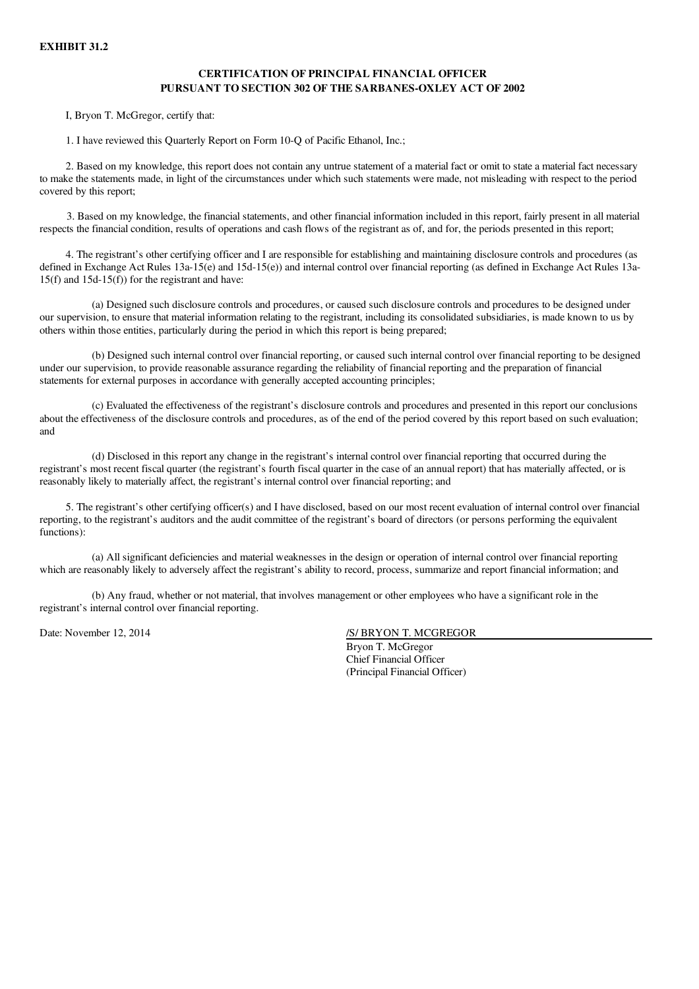## CERTIFICATION OF PRINCIPAL FINANCIAL OFFICER PURSUANT TO SECTION 302 OF THE SARBANES-OXLEY ACT OF 2002

I, Bryon T. McGregor, certify that:

1. I have reviewed this Quarterly Report on Form 10-Q of Pacific Ethanol, Inc.;

2. Based on my knowledge, this report does not contain any untrue statement of a material fact or omit to state a material fact necessary to make the statements made, in light of the circumstances under which such statements were made, not misleading with respect to the period covered by this report;

3. Based on my knowledge, the financial statements, and other financial information included in this report, fairly present in all material respects the financial condition, results of operations and cash flows of the registrant as of, and for, the periods presented in this report;

4. The registrant's other certifying officer and I are responsible for establishing and maintaining disclosure controls and procedures (as defined in Exchange Act Rules 13a-15(e) and 15d-15(e)) and internal control over financial reporting (as defined in Exchange Act Rules 13a-15(f) and 15d-15(f)) for the registrant and have:

(a) Designed such disclosure controls and procedures, or caused such disclosure controls and procedures to be designed under our supervision, to ensure that material information relating to the registrant, including its consolidated subsidiaries, is made known to us by others within those entities, particularly during the period in which this report is being prepared;

(b) Designed such internal control over financial reporting, or caused such internal control over financial reporting to be designed under our supervision, to provide reasonable assurance regarding the reliability of financial reporting and the preparation of financial statements for external purposes in accordance with generally accepted accounting principles;

(c) Evaluated the effectiveness of the registrant's disclosure controls and procedures and presented in this report our conclusions about the effectiveness of the disclosure controls and procedures, as of the end of the period covered by this report based on such evaluation; and

(d) Disclosed in this report any change in the registrant's internal control over financial reporting that occurred during the registrant's most recent fiscal quarter (the registrant's fourth fiscal quarter in the case of an annual report) that has materially affected, or is reasonably likely to materially affect, the registrant's internal control over financial reporting; and

5. The registrant's other certifying officer(s) and I have disclosed, based on our most recent evaluation of internal control over financial reporting, to the registrant's auditors and the audit committee of the registrant's board of directors (or persons performing the equivalent functions):

(a) All significant deficiencies and material weaknesses in the design or operation of internal control over financial reporting which are reasonably likely to adversely affect the registrant's ability to record, process, summarize and report financial information; and

(b) Any fraud, whether or not material, that involves management or other employees who have a significant role in the registrant's internal control over financial reporting.

Date: November 12, 2014 /S/ BRYON T. MCGREGOR

Bryon T. McGregor Chief Financial Officer (Principal Financial Officer)